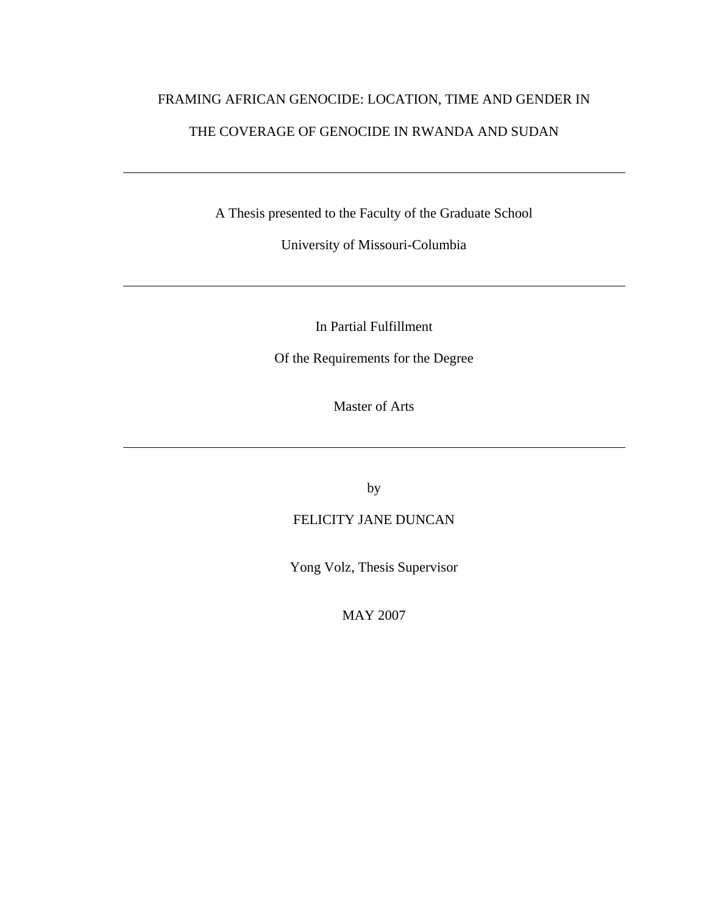# FRAMING AFRICAN GENOCIDE: LOCATION, TIME AND GENDER IN THE COVERAGE OF GENOCIDE IN RWANDA AND SUDAN

A Thesis presented to the Faculty of the Graduate School

University of Missouri-Columbia

In Partial Fulfillment

Of the Requirements for the Degree

Master of Arts

by

### FELICITY JANE DUNCAN

Yong Volz, Thesis Supervisor

MAY 2007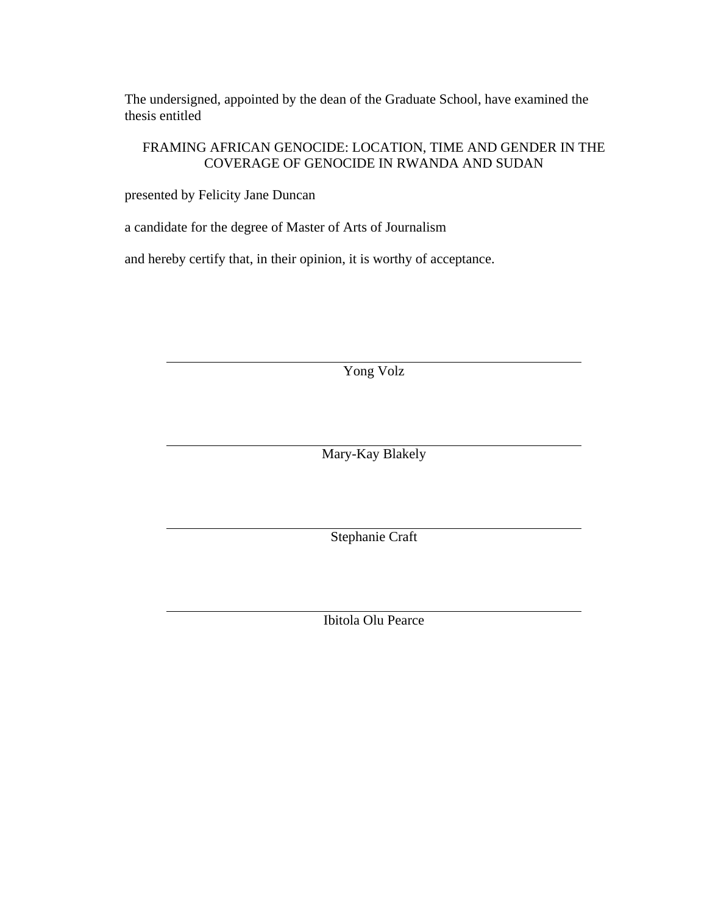The undersigned, appointed by the dean of the Graduate School, have examined the thesis entitled

### FRAMING AFRICAN GENOCIDE: LOCATION, TIME AND GENDER IN THE COVERAGE OF GENOCIDE IN RWANDA AND SUDAN

presented by Felicity Jane Duncan

a candidate for the degree of Master of Arts of Journalism

and hereby certify that, in their opinion, it is worthy of acceptance.

Yong Volz

Mary-Kay Blakely

Stephanie Craft

Ibitola Olu Pearce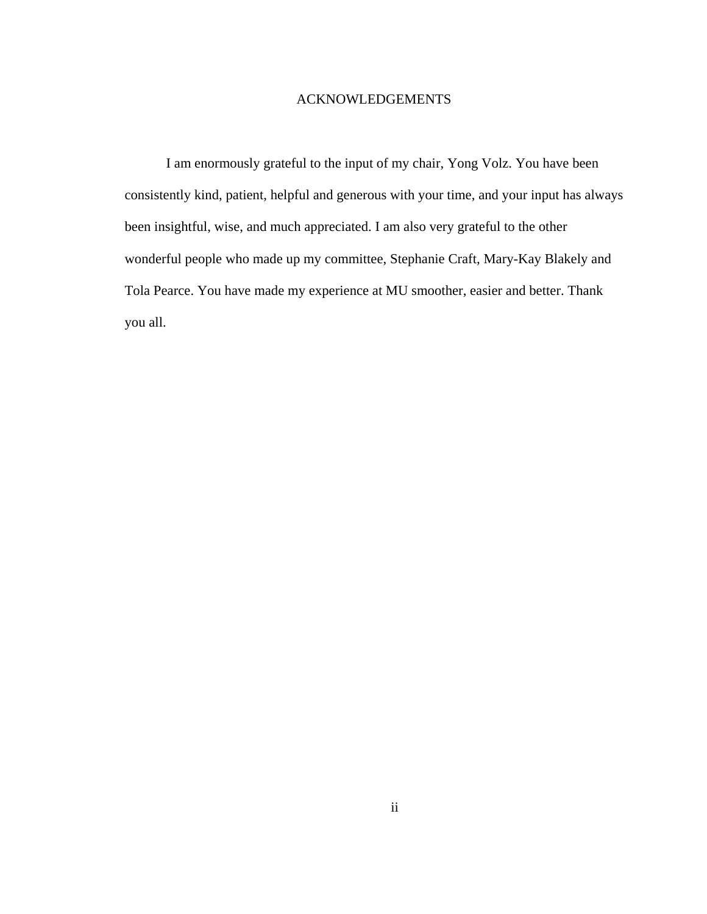#### ACKNOWLEDGEMENTS

I am enormously grateful to the input of my chair, Yong Volz. You have been consistently kind, patient, helpful and generous with your time, and your input has always been insightful, wise, and much appreciated. I am also very grateful to the other wonderful people who made up my committee, Stephanie Craft, Mary-Kay Blakely and Tola Pearce. You have made my experience at MU smoother, easier and better. Thank you all.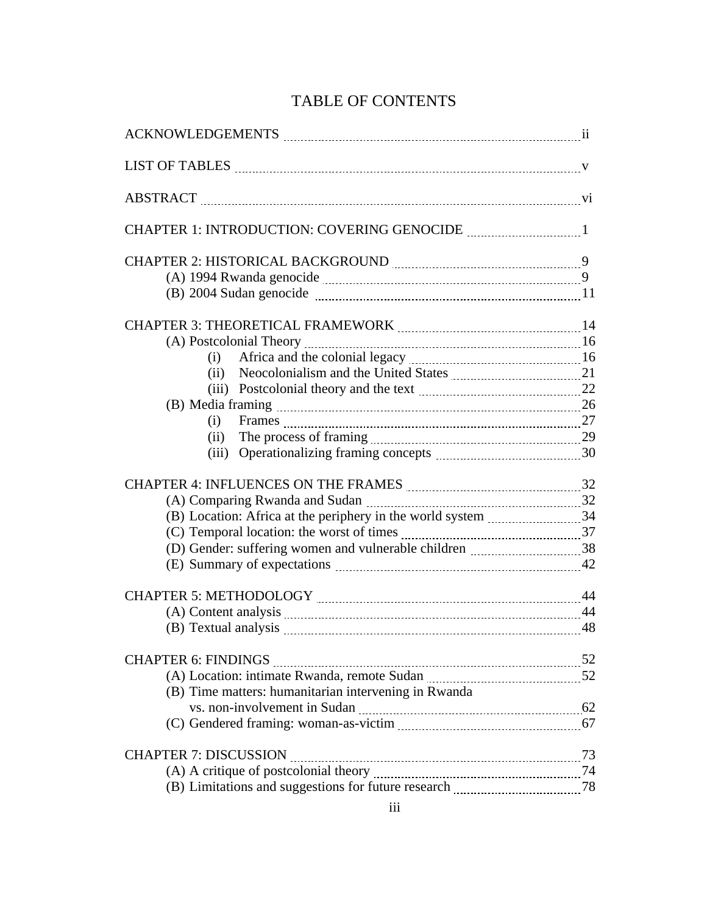# TABLE OF CONTENTS

| (B) 2004 Sudan genocide manufacture and the state of 11       |  |
|---------------------------------------------------------------|--|
|                                                               |  |
|                                                               |  |
| (i)                                                           |  |
|                                                               |  |
|                                                               |  |
|                                                               |  |
|                                                               |  |
|                                                               |  |
| (iii) Operationalizing framing concepts <i>manualizion</i> 30 |  |
| CHAPTER 4: INFLUENCES ON THE FRAMES MARKEY MARKEY MARKET 32   |  |
|                                                               |  |
|                                                               |  |
|                                                               |  |
|                                                               |  |
|                                                               |  |
|                                                               |  |
|                                                               |  |
|                                                               |  |
|                                                               |  |
|                                                               |  |
| (B) Time matters: humanitarian intervening in Rwanda          |  |
|                                                               |  |
|                                                               |  |
| <b>CHAPTER 7: DISCUSSION</b>                                  |  |
|                                                               |  |
|                                                               |  |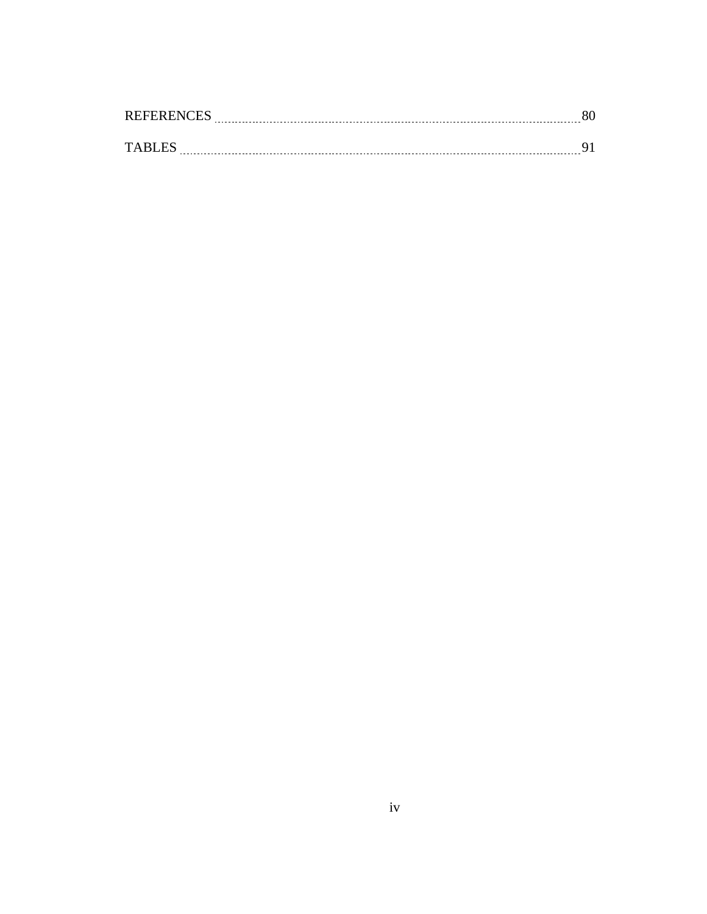| <b>REFERENCES</b> |  |
|-------------------|--|
|                   |  |
| TARI ES           |  |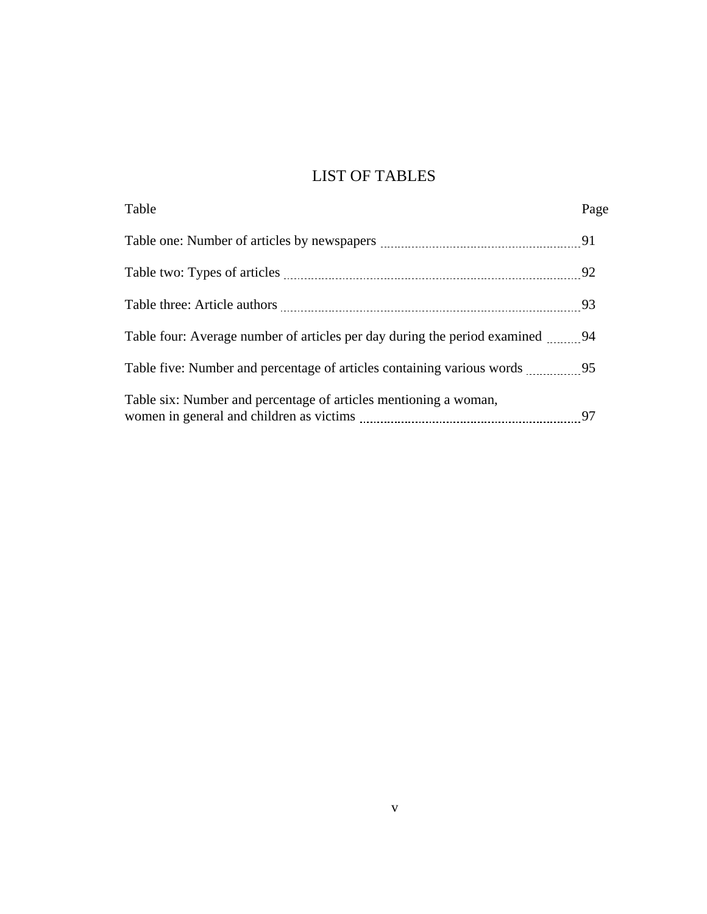## LIST OF TABLES

| Table                                                                     | Page |
|---------------------------------------------------------------------------|------|
|                                                                           |      |
|                                                                           | 92   |
|                                                                           |      |
|                                                                           |      |
| Table five: Number and percentage of articles containing various words 35 |      |
| Table six: Number and percentage of articles mentioning a woman,          | 97   |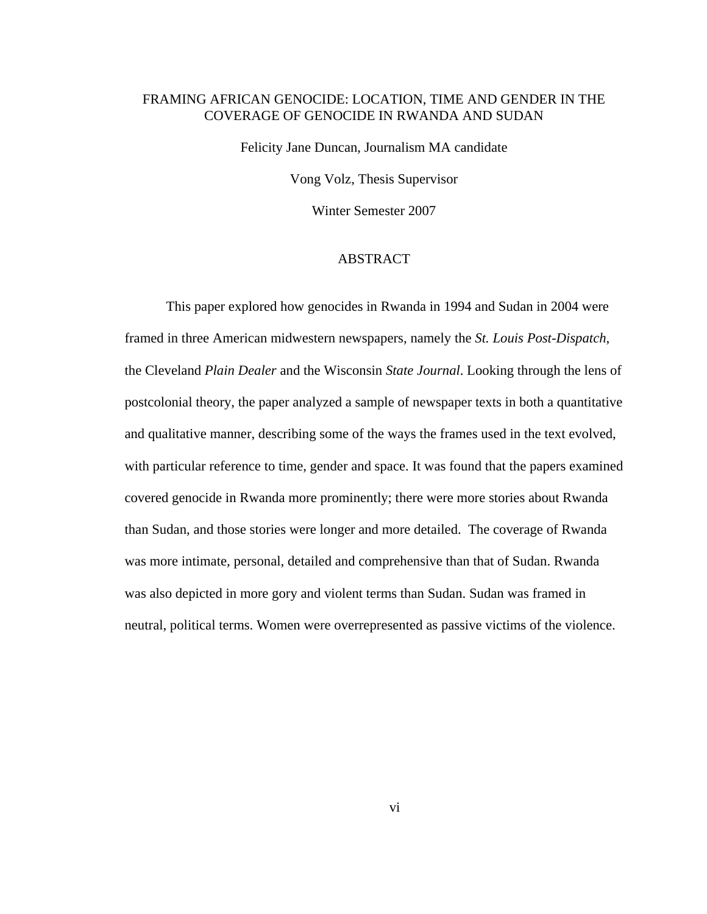#### FRAMING AFRICAN GENOCIDE: LOCATION, TIME AND GENDER IN THE COVERAGE OF GENOCIDE IN RWANDA AND SUDAN

Felicity Jane Duncan, Journalism MA candidate Vong Volz, Thesis Supervisor

Winter Semester 2007

#### ABSTRACT

This paper explored how genocides in Rwanda in 1994 and Sudan in 2004 were framed in three American midwestern newspapers, namely the *St. Louis Post-Dispatch*, the Cleveland *Plain Dealer* and the Wisconsin *State Journal*. Looking through the lens of postcolonial theory, the paper analyzed a sample of newspaper texts in both a quantitative and qualitative manner, describing some of the ways the frames used in the text evolved, with particular reference to time, gender and space. It was found that the papers examined covered genocide in Rwanda more prominently; there were more stories about Rwanda than Sudan, and those stories were longer and more detailed. The coverage of Rwanda was more intimate, personal, detailed and comprehensive than that of Sudan. Rwanda was also depicted in more gory and violent terms than Sudan. Sudan was framed in neutral, political terms. Women were overrepresented as passive victims of the violence.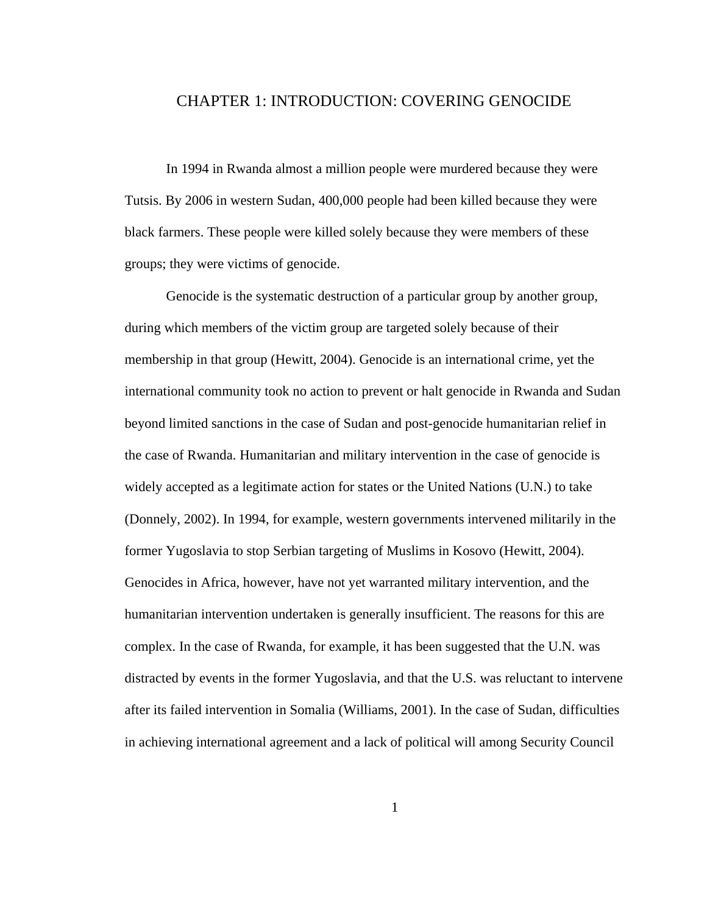#### CHAPTER 1: INTRODUCTION: COVERING GENOCIDE

In 1994 in Rwanda almost a million people were murdered because they were Tutsis. By 2006 in western Sudan, 400,000 people had been killed because they were black farmers. These people were killed solely because they were members of these groups; they were victims of genocide.

Genocide is the systematic destruction of a particular group by another group, during which members of the victim group are targeted solely because of their membership in that group (Hewitt, 2004). Genocide is an international crime, yet the international community took no action to prevent or halt genocide in Rwanda and Sudan beyond limited sanctions in the case of Sudan and post-genocide humanitarian relief in the case of Rwanda. Humanitarian and military intervention in the case of genocide is widely accepted as a legitimate action for states or the United Nations (U.N.) to take (Donnely, 2002). In 1994, for example, western governments intervened militarily in the former Yugoslavia to stop Serbian targeting of Muslims in Kosovo (Hewitt, 2004). Genocides in Africa, however, have not yet warranted military intervention, and the humanitarian intervention undertaken is generally insufficient. The reasons for this are complex. In the case of Rwanda, for example, it has been suggested that the U.N. was distracted by events in the former Yugoslavia, and that the U.S. was reluctant to intervene after its failed intervention in Somalia (Williams, 2001). In the case of Sudan, difficulties in achieving international agreement and a lack of political will among Security Council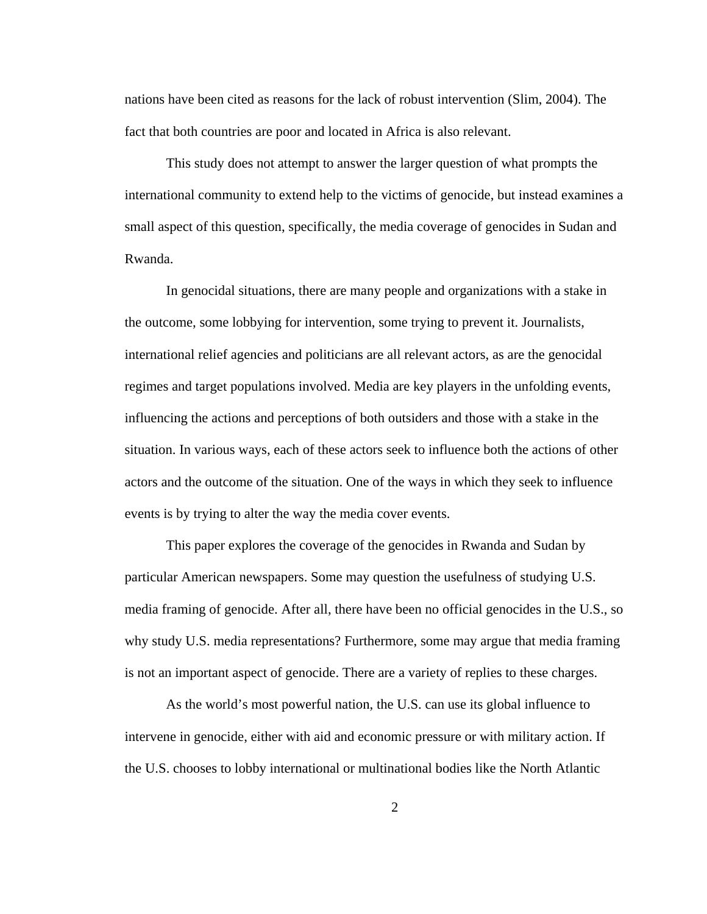nations have been cited as reasons for the lack of robust intervention (Slim, 2004). The fact that both countries are poor and located in Africa is also relevant.

This study does not attempt to answer the larger question of what prompts the international community to extend help to the victims of genocide, but instead examines a small aspect of this question, specifically, the media coverage of genocides in Sudan and Rwanda.

In genocidal situations, there are many people and organizations with a stake in the outcome, some lobbying for intervention, some trying to prevent it. Journalists, international relief agencies and politicians are all relevant actors, as are the genocidal regimes and target populations involved. Media are key players in the unfolding events, influencing the actions and perceptions of both outsiders and those with a stake in the situation. In various ways, each of these actors seek to influence both the actions of other actors and the outcome of the situation. One of the ways in which they seek to influence events is by trying to alter the way the media cover events.

This paper explores the coverage of the genocides in Rwanda and Sudan by particular American newspapers. Some may question the usefulness of studying U.S. media framing of genocide. After all, there have been no official genocides in the U.S., so why study U.S. media representations? Furthermore, some may argue that media framing is not an important aspect of genocide. There are a variety of replies to these charges.

As the world's most powerful nation, the U.S. can use its global influence to intervene in genocide, either with aid and economic pressure or with military action. If the U.S. chooses to lobby international or multinational bodies like the North Atlantic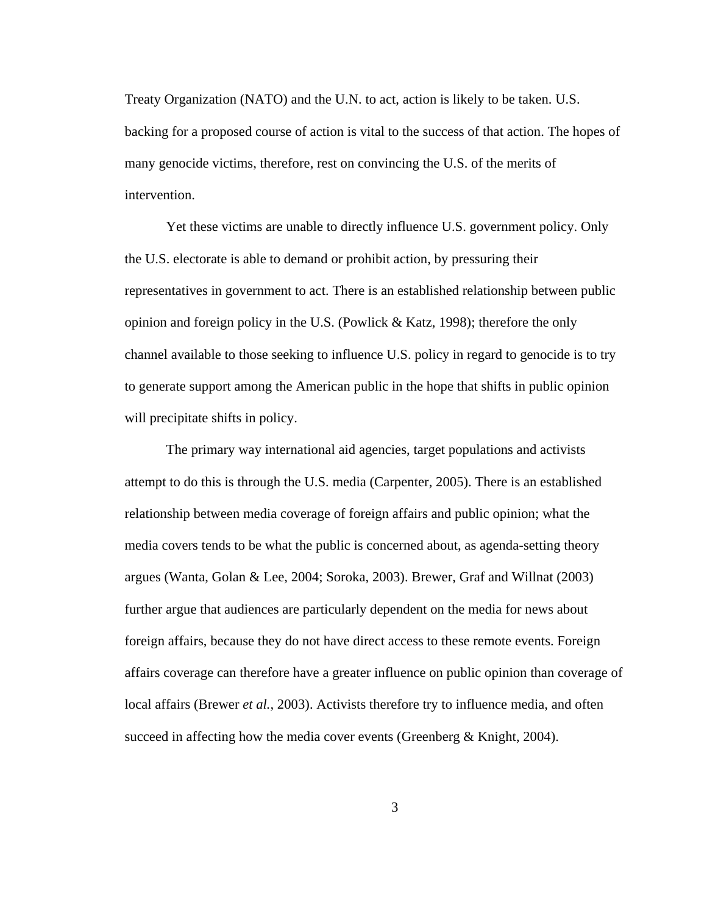Treaty Organization (NATO) and the U.N. to act, action is likely to be taken. U.S. backing for a proposed course of action is vital to the success of that action. The hopes of many genocide victims, therefore, rest on convincing the U.S. of the merits of intervention.

Yet these victims are unable to directly influence U.S. government policy. Only the U.S. electorate is able to demand or prohibit action, by pressuring their representatives in government to act. There is an established relationship between public opinion and foreign policy in the U.S. (Powlick & Katz, 1998); therefore the only channel available to those seeking to influence U.S. policy in regard to genocide is to try to generate support among the American public in the hope that shifts in public opinion will precipitate shifts in policy.

The primary way international aid agencies, target populations and activists attempt to do this is through the U.S. media (Carpenter, 2005). There is an established relationship between media coverage of foreign affairs and public opinion; what the media covers tends to be what the public is concerned about, as agenda-setting theory argues (Wanta, Golan & Lee, 2004; Soroka, 2003). Brewer, Graf and Willnat (2003) further argue that audiences are particularly dependent on the media for news about foreign affairs, because they do not have direct access to these remote events. Foreign affairs coverage can therefore have a greater influence on public opinion than coverage of local affairs (Brewer *et al.,* 2003). Activists therefore try to influence media, and often succeed in affecting how the media cover events (Greenberg & Knight, 2004).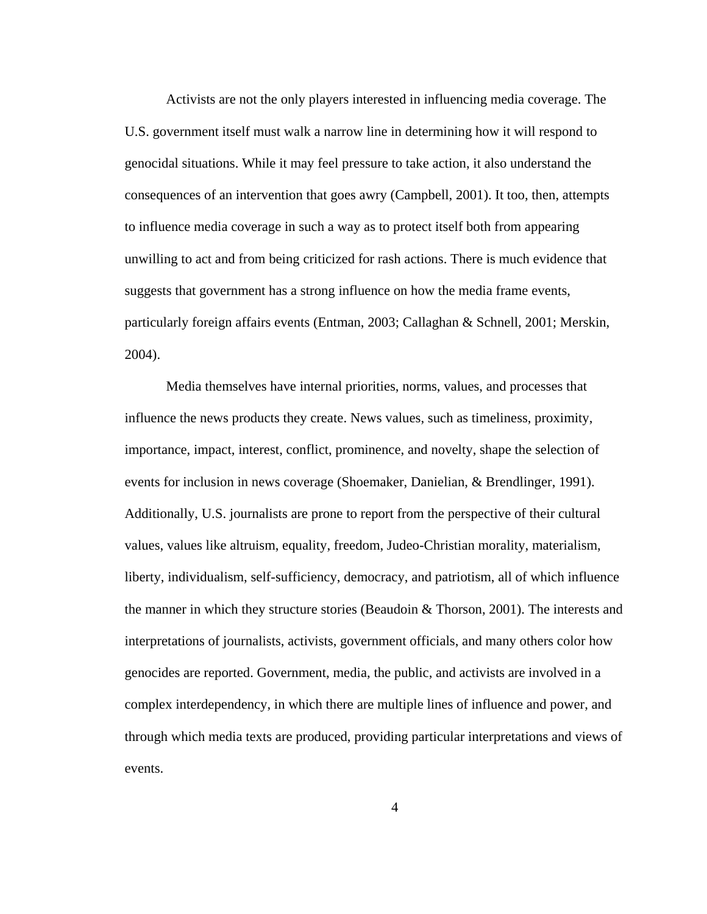Activists are not the only players interested in influencing media coverage. The U.S. government itself must walk a narrow line in determining how it will respond to genocidal situations. While it may feel pressure to take action, it also understand the consequences of an intervention that goes awry (Campbell, 2001). It too, then, attempts to influence media coverage in such a way as to protect itself both from appearing unwilling to act and from being criticized for rash actions. There is much evidence that suggests that government has a strong influence on how the media frame events, particularly foreign affairs events (Entman, 2003; Callaghan & Schnell, 2001; Merskin, 2004).

Media themselves have internal priorities, norms, values, and processes that influence the news products they create. News values, such as timeliness, proximity, importance, impact, interest, conflict, prominence, and novelty, shape the selection of events for inclusion in news coverage (Shoemaker, Danielian, & Brendlinger, 1991). Additionally, U.S. journalists are prone to report from the perspective of their cultural values, values like altruism, equality, freedom, Judeo-Christian morality, materialism, liberty, individualism, self-sufficiency, democracy, and patriotism, all of which influence the manner in which they structure stories (Beaudoin & Thorson, 2001). The interests and interpretations of journalists, activists, government officials, and many others color how genocides are reported. Government, media, the public, and activists are involved in a complex interdependency, in which there are multiple lines of influence and power, and through which media texts are produced, providing particular interpretations and views of events.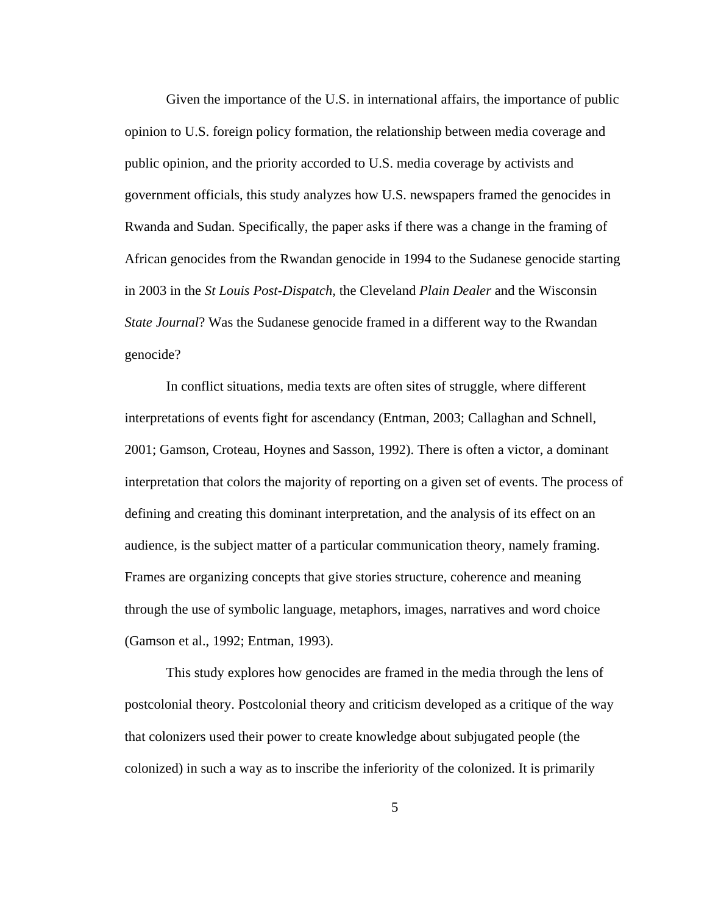Given the importance of the U.S. in international affairs, the importance of public opinion to U.S. foreign policy formation, the relationship between media coverage and public opinion, and the priority accorded to U.S. media coverage by activists and government officials, this study analyzes how U.S. newspapers framed the genocides in Rwanda and Sudan. Specifically, the paper asks if there was a change in the framing of African genocides from the Rwandan genocide in 1994 to the Sudanese genocide starting in 2003 in the *St Louis Post-Dispatch,* the Cleveland *Plain Dealer* and the Wisconsin *State Journal*? Was the Sudanese genocide framed in a different way to the Rwandan genocide?

In conflict situations, media texts are often sites of struggle, where different interpretations of events fight for ascendancy (Entman, 2003; Callaghan and Schnell, 2001; Gamson, Croteau, Hoynes and Sasson, 1992). There is often a victor, a dominant interpretation that colors the majority of reporting on a given set of events. The process of defining and creating this dominant interpretation, and the analysis of its effect on an audience, is the subject matter of a particular communication theory, namely framing. Frames are organizing concepts that give stories structure, coherence and meaning through the use of symbolic language, metaphors, images, narratives and word choice (Gamson et al., 1992; Entman, 1993).

This study explores how genocides are framed in the media through the lens of postcolonial theory. Postcolonial theory and criticism developed as a critique of the way that colonizers used their power to create knowledge about subjugated people (the colonized) in such a way as to inscribe the inferiority of the colonized. It is primarily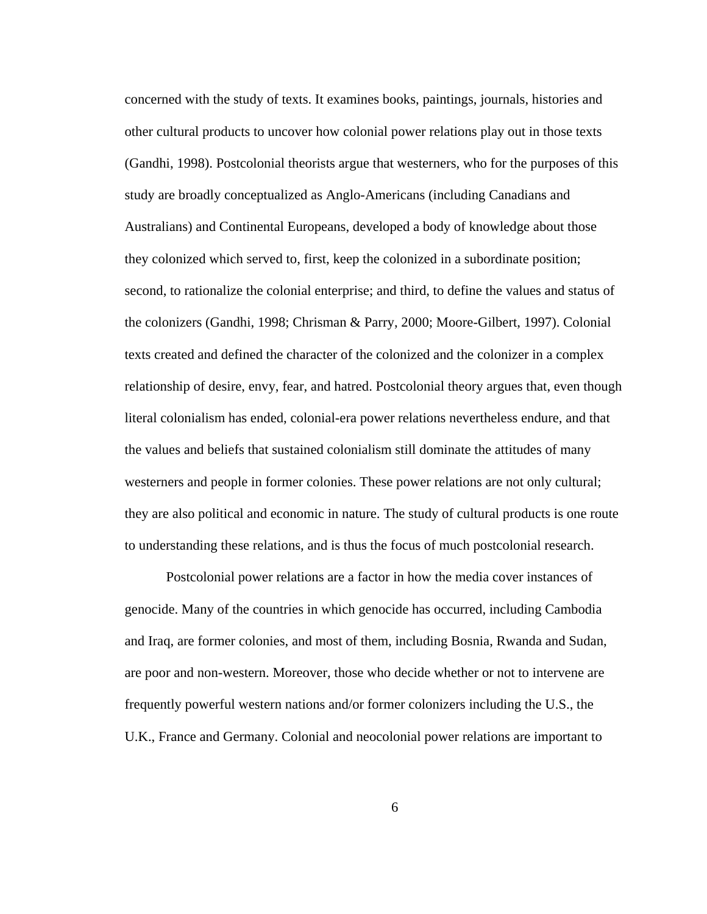concerned with the study of texts. It examines books, paintings, journals, histories and other cultural products to uncover how colonial power relations play out in those texts (Gandhi, 1998). Postcolonial theorists argue that westerners, who for the purposes of this study are broadly conceptualized as Anglo-Americans (including Canadians and Australians) and Continental Europeans, developed a body of knowledge about those they colonized which served to, first, keep the colonized in a subordinate position; second, to rationalize the colonial enterprise; and third, to define the values and status of the colonizers (Gandhi, 1998; Chrisman & Parry, 2000; Moore-Gilbert, 1997). Colonial texts created and defined the character of the colonized and the colonizer in a complex relationship of desire, envy, fear, and hatred. Postcolonial theory argues that, even though literal colonialism has ended, colonial-era power relations nevertheless endure, and that the values and beliefs that sustained colonialism still dominate the attitudes of many westerners and people in former colonies. These power relations are not only cultural; they are also political and economic in nature. The study of cultural products is one route to understanding these relations, and is thus the focus of much postcolonial research.

Postcolonial power relations are a factor in how the media cover instances of genocide. Many of the countries in which genocide has occurred, including Cambodia and Iraq, are former colonies, and most of them, including Bosnia, Rwanda and Sudan, are poor and non-western. Moreover, those who decide whether or not to intervene are frequently powerful western nations and/or former colonizers including the U.S., the U.K., France and Germany. Colonial and neocolonial power relations are important to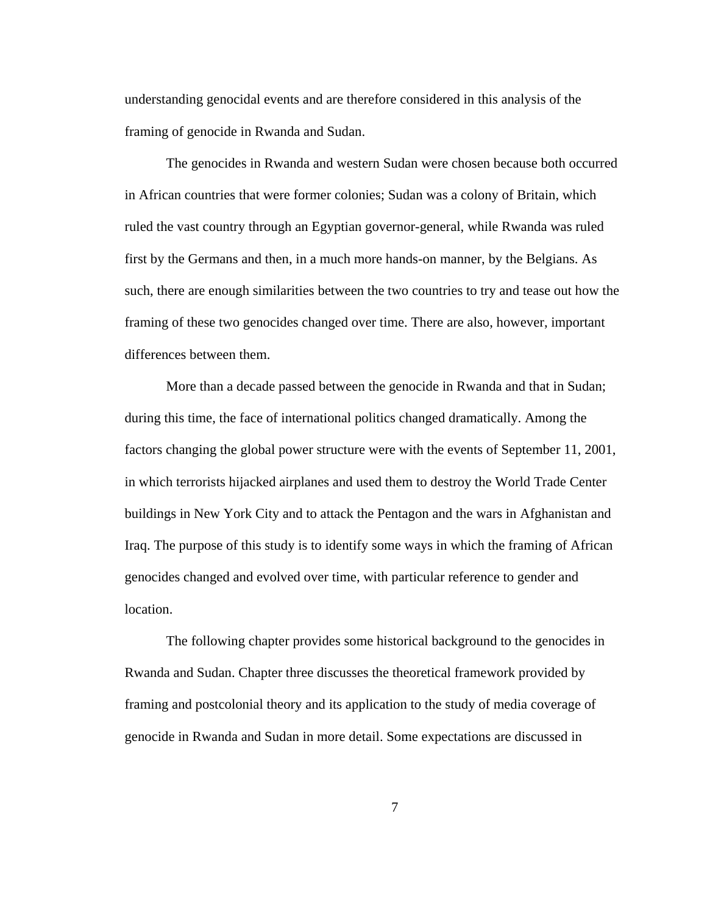understanding genocidal events and are therefore considered in this analysis of the framing of genocide in Rwanda and Sudan.

The genocides in Rwanda and western Sudan were chosen because both occurred in African countries that were former colonies; Sudan was a colony of Britain, which ruled the vast country through an Egyptian governor-general, while Rwanda was ruled first by the Germans and then, in a much more hands-on manner, by the Belgians. As such, there are enough similarities between the two countries to try and tease out how the framing of these two genocides changed over time. There are also, however, important differences between them.

More than a decade passed between the genocide in Rwanda and that in Sudan; during this time, the face of international politics changed dramatically. Among the factors changing the global power structure were with the events of September 11, 2001, in which terrorists hijacked airplanes and used them to destroy the World Trade Center buildings in New York City and to attack the Pentagon and the wars in Afghanistan and Iraq. The purpose of this study is to identify some ways in which the framing of African genocides changed and evolved over time, with particular reference to gender and location.

The following chapter provides some historical background to the genocides in Rwanda and Sudan. Chapter three discusses the theoretical framework provided by framing and postcolonial theory and its application to the study of media coverage of genocide in Rwanda and Sudan in more detail. Some expectations are discussed in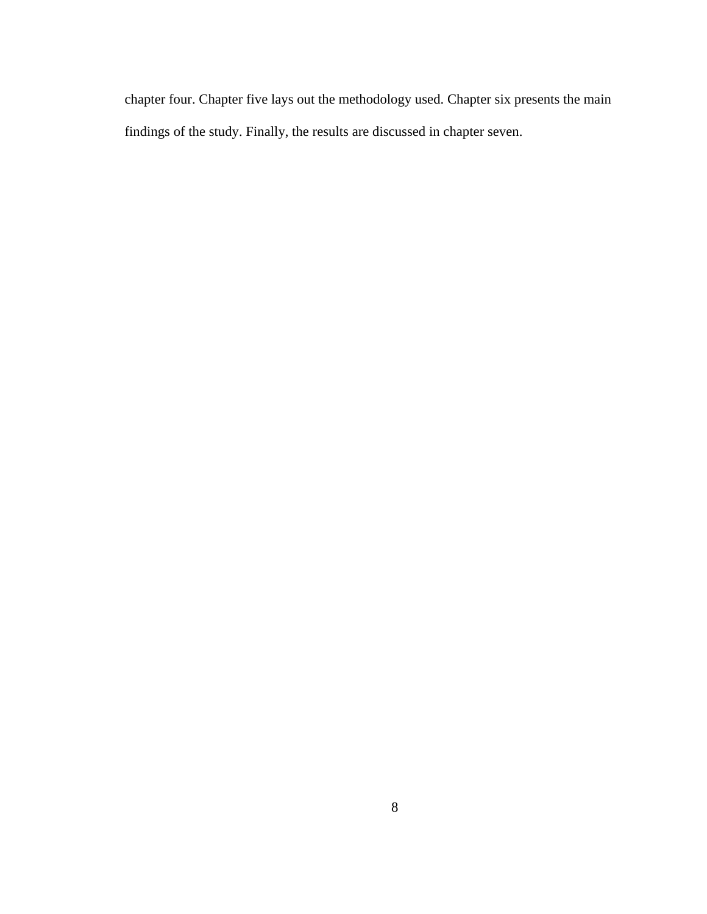chapter four. Chapter five lays out the methodology used. Chapter six presents the main findings of the study. Finally, the results are discussed in chapter seven.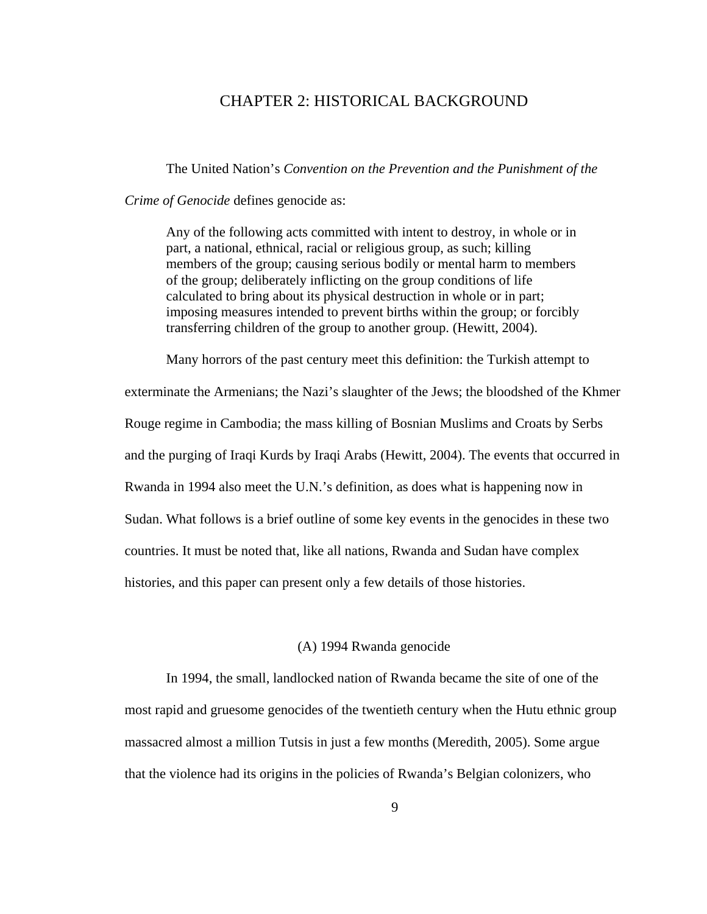#### CHAPTER 2: HISTORICAL BACKGROUND

The United Nation's *Convention on the Prevention and the Punishment of the* 

*Crime of Genocide* defines genocide as:

Any of the following acts committed with intent to destroy, in whole or in part, a national, ethnical, racial or religious group, as such; killing members of the group; causing serious bodily or mental harm to members of the group; deliberately inflicting on the group conditions of life calculated to bring about its physical destruction in whole or in part; imposing measures intended to prevent births within the group; or forcibly transferring children of the group to another group. (Hewitt, 2004).

Many horrors of the past century meet this definition: the Turkish attempt to exterminate the Armenians; the Nazi's slaughter of the Jews; the bloodshed of the Khmer Rouge regime in Cambodia; the mass killing of Bosnian Muslims and Croats by Serbs and the purging of Iraqi Kurds by Iraqi Arabs (Hewitt, 2004). The events that occurred in Rwanda in 1994 also meet the U.N.'s definition, as does what is happening now in Sudan. What follows is a brief outline of some key events in the genocides in these two countries. It must be noted that, like all nations, Rwanda and Sudan have complex histories, and this paper can present only a few details of those histories.

#### (A) 1994 Rwanda genocide

In 1994, the small, landlocked nation of Rwanda became the site of one of the most rapid and gruesome genocides of the twentieth century when the Hutu ethnic group massacred almost a million Tutsis in just a few months (Meredith, 2005). Some argue that the violence had its origins in the policies of Rwanda's Belgian colonizers, who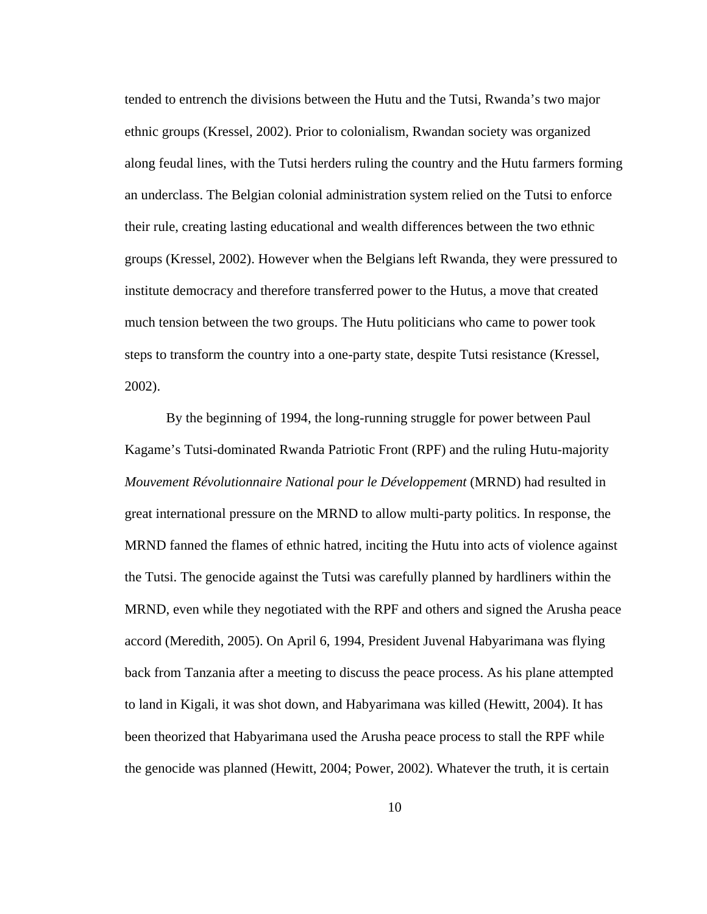tended to entrench the divisions between the Hutu and the Tutsi, Rwanda's two major ethnic groups (Kressel, 2002). Prior to colonialism, Rwandan society was organized along feudal lines, with the Tutsi herders ruling the country and the Hutu farmers forming an underclass. The Belgian colonial administration system relied on the Tutsi to enforce their rule, creating lasting educational and wealth differences between the two ethnic groups (Kressel, 2002). However when the Belgians left Rwanda, they were pressured to institute democracy and therefore transferred power to the Hutus, a move that created much tension between the two groups. The Hutu politicians who came to power took steps to transform the country into a one-party state, despite Tutsi resistance (Kressel, 2002).

By the beginning of 1994, the long-running struggle for power between Paul Kagame's Tutsi-dominated Rwanda Patriotic Front (RPF) and the ruling Hutu-majority *Mouvement Révolutionnaire National pour le Développement* (MRND) had resulted in great international pressure on the MRND to allow multi-party politics. In response, the MRND fanned the flames of ethnic hatred, inciting the Hutu into acts of violence against the Tutsi. The genocide against the Tutsi was carefully planned by hardliners within the MRND, even while they negotiated with the RPF and others and signed the Arusha peace accord (Meredith, 2005). On April 6, 1994, President Juvenal Habyarimana was flying back from Tanzania after a meeting to discuss the peace process. As his plane attempted to land in Kigali, it was shot down, and Habyarimana was killed (Hewitt, 2004). It has been theorized that Habyarimana used the Arusha peace process to stall the RPF while the genocide was planned (Hewitt, 2004; Power, 2002). Whatever the truth, it is certain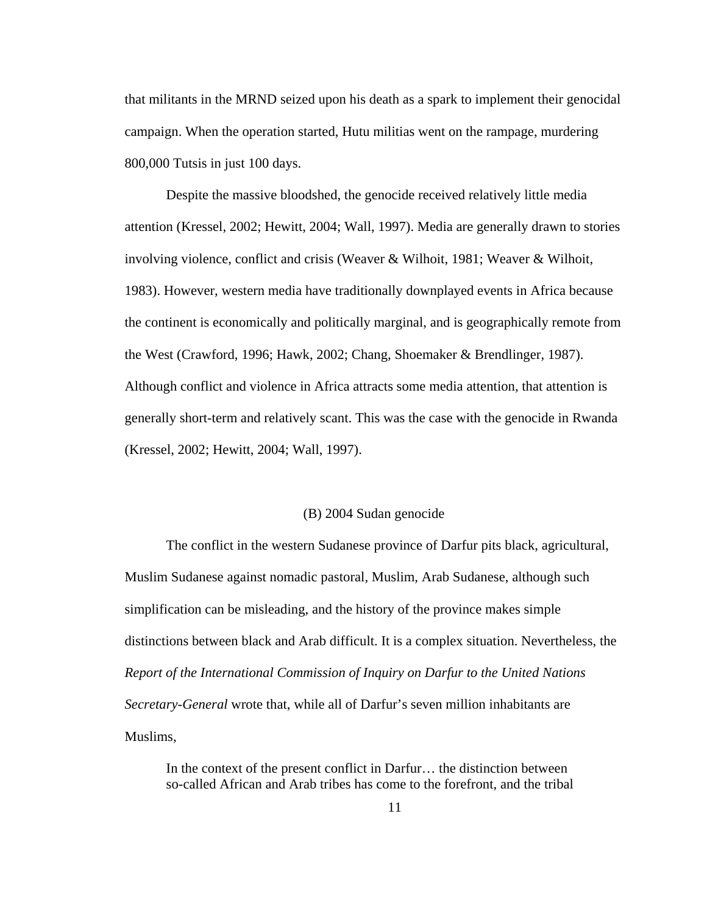that militants in the MRND seized upon his death as a spark to implement their genocidal campaign. When the operation started, Hutu militias went on the rampage, murdering 800,000 Tutsis in just 100 days.

Despite the massive bloodshed, the genocide received relatively little media attention (Kressel, 2002; Hewitt, 2004; Wall, 1997). Media are generally drawn to stories involving violence, conflict and crisis (Weaver & Wilhoit, 1981; Weaver & Wilhoit, 1983). However, western media have traditionally downplayed events in Africa because the continent is economically and politically marginal, and is geographically remote from the West (Crawford, 1996; Hawk, 2002; Chang, Shoemaker & Brendlinger, 1987). Although conflict and violence in Africa attracts some media attention, that attention is generally short-term and relatively scant. This was the case with the genocide in Rwanda (Kressel, 2002; Hewitt, 2004; Wall, 1997).

#### (B) 2004 Sudan genocide

The conflict in the western Sudanese province of Darfur pits black, agricultural, Muslim Sudanese against nomadic pastoral, Muslim, Arab Sudanese, although such simplification can be misleading, and the history of the province makes simple distinctions between black and Arab difficult. It is a complex situation. Nevertheless, the *Report of the International Commission of Inquiry on Darfur to the United Nations Secretary-General* wrote that, while all of Darfur's seven million inhabitants are Muslims,

In the context of the present conflict in Darfur… the distinction between so-called African and Arab tribes has come to the forefront, and the tribal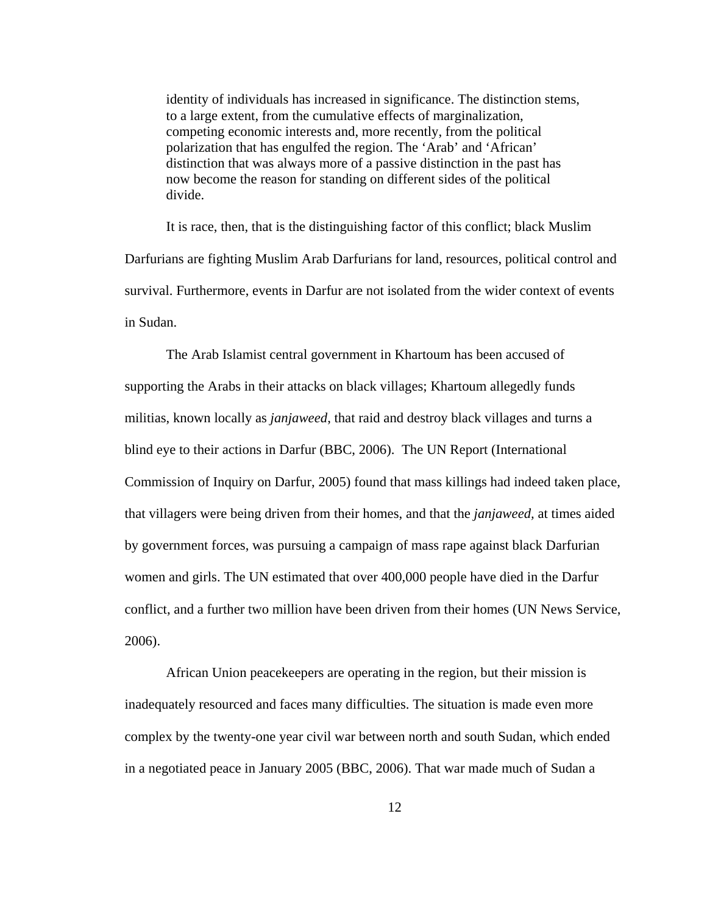identity of individuals has increased in significance. The distinction stems, to a large extent, from the cumulative effects of marginalization, competing economic interests and, more recently, from the political polarization that has engulfed the region. The 'Arab' and 'African' distinction that was always more of a passive distinction in the past has now become the reason for standing on different sides of the political divide.

It is race, then, that is the distinguishing factor of this conflict; black Muslim Darfurians are fighting Muslim Arab Darfurians for land, resources, political control and survival. Furthermore, events in Darfur are not isolated from the wider context of events in Sudan.

The Arab Islamist central government in Khartoum has been accused of supporting the Arabs in their attacks on black villages; Khartoum allegedly funds militias, known locally as *janjaweed*, that raid and destroy black villages and turns a blind eye to their actions in Darfur (BBC, 2006). The UN Report (International Commission of Inquiry on Darfur, 2005) found that mass killings had indeed taken place, that villagers were being driven from their homes, and that the *janjaweed,* at times aided by government forces, was pursuing a campaign of mass rape against black Darfurian women and girls. The UN estimated that over 400,000 people have died in the Darfur conflict, and a further two million have been driven from their homes (UN News Service, 2006).

African Union peacekeepers are operating in the region, but their mission is inadequately resourced and faces many difficulties. The situation is made even more complex by the twenty-one year civil war between north and south Sudan, which ended in a negotiated peace in January 2005 (BBC, 2006). That war made much of Sudan a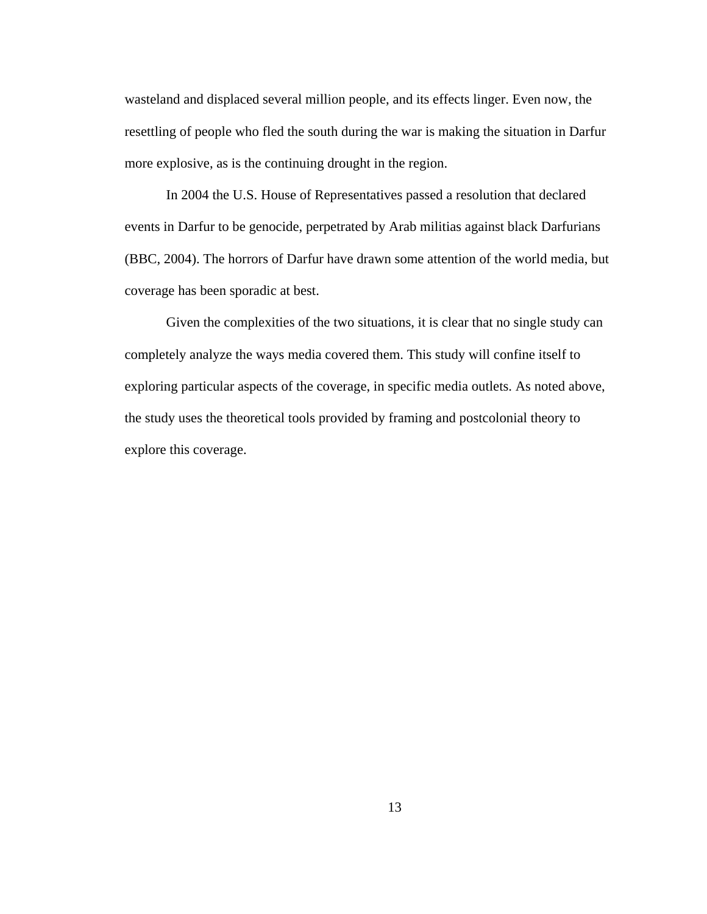wasteland and displaced several million people, and its effects linger. Even now, the resettling of people who fled the south during the war is making the situation in Darfur more explosive, as is the continuing drought in the region.

In 2004 the U.S. House of Representatives passed a resolution that declared events in Darfur to be genocide, perpetrated by Arab militias against black Darfurians (BBC, 2004). The horrors of Darfur have drawn some attention of the world media, but coverage has been sporadic at best.

Given the complexities of the two situations, it is clear that no single study can completely analyze the ways media covered them. This study will confine itself to exploring particular aspects of the coverage, in specific media outlets. As noted above, the study uses the theoretical tools provided by framing and postcolonial theory to explore this coverage.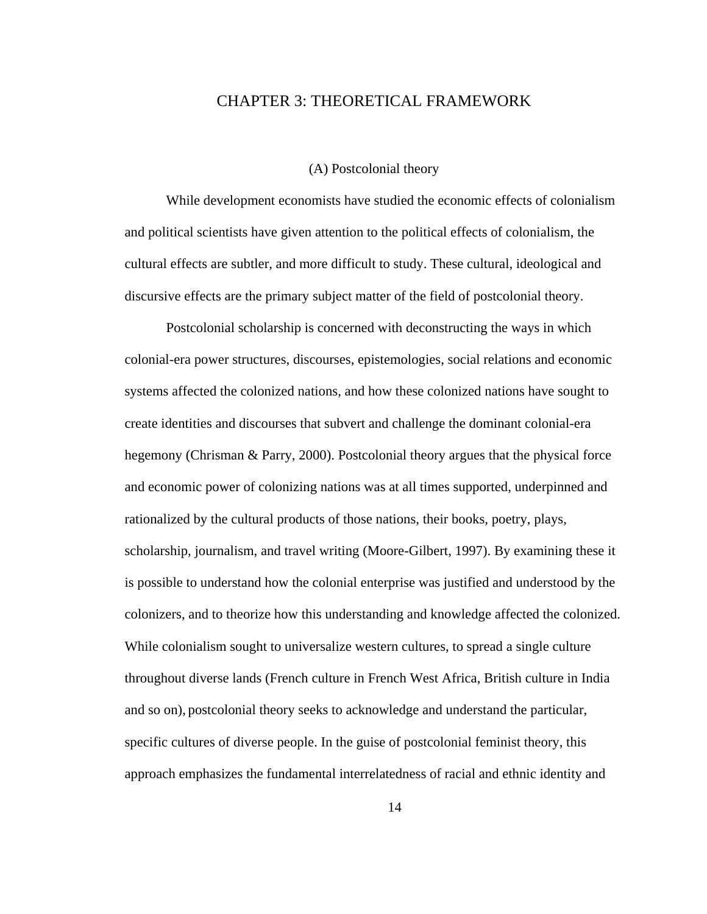#### CHAPTER 3: THEORETICAL FRAMEWORK

#### (A) Postcolonial theory

While development economists have studied the economic effects of colonialism and political scientists have given attention to the political effects of colonialism, the cultural effects are subtler, and more difficult to study. These cultural, ideological and discursive effects are the primary subject matter of the field of postcolonial theory.

Postcolonial scholarship is concerned with deconstructing the ways in which colonial-era power structures, discourses, epistemologies, social relations and economic systems affected the colonized nations, and how these colonized nations have sought to create identities and discourses that subvert and challenge the dominant colonial-era hegemony (Chrisman & Parry, 2000). Postcolonial theory argues that the physical force and economic power of colonizing nations was at all times supported, underpinned and rationalized by the cultural products of those nations, their books, poetry, plays, scholarship, journalism, and travel writing (Moore-Gilbert, 1997). By examining these it is possible to understand how the colonial enterprise was justified and understood by the colonizers, and to theorize how this understanding and knowledge affected the colonized. While colonialism sought to universalize western cultures, to spread a single culture throughout diverse lands (French culture in French West Africa, British culture in India and so on), postcolonial theory seeks to acknowledge and understand the particular, specific cultures of diverse people. In the guise of postcolonial feminist theory, this approach emphasizes the fundamental interrelatedness of racial and ethnic identity and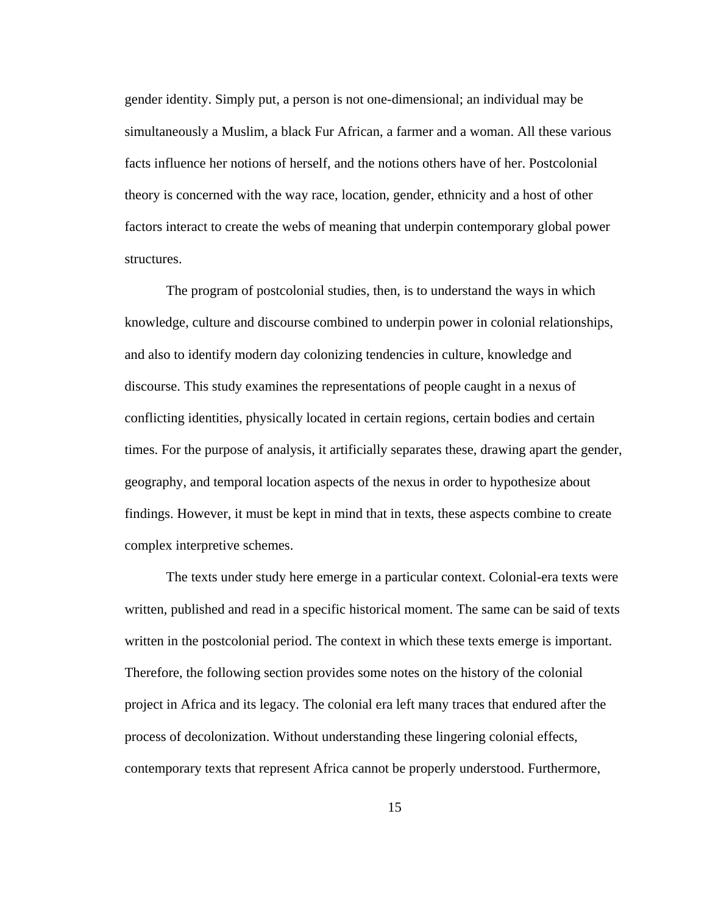gender identity. Simply put, a person is not one-dimensional; an individual may be simultaneously a Muslim, a black Fur African, a farmer and a woman. All these various facts influence her notions of herself, and the notions others have of her. Postcolonial theory is concerned with the way race, location, gender, ethnicity and a host of other factors interact to create the webs of meaning that underpin contemporary global power structures.

The program of postcolonial studies, then, is to understand the ways in which knowledge, culture and discourse combined to underpin power in colonial relationships, and also to identify modern day colonizing tendencies in culture, knowledge and discourse. This study examines the representations of people caught in a nexus of conflicting identities, physically located in certain regions, certain bodies and certain times. For the purpose of analysis, it artificially separates these, drawing apart the gender, geography, and temporal location aspects of the nexus in order to hypothesize about findings. However, it must be kept in mind that in texts, these aspects combine to create complex interpretive schemes.

The texts under study here emerge in a particular context. Colonial-era texts were written, published and read in a specific historical moment. The same can be said of texts written in the postcolonial period. The context in which these texts emerge is important. Therefore, the following section provides some notes on the history of the colonial project in Africa and its legacy. The colonial era left many traces that endured after the process of decolonization. Without understanding these lingering colonial effects, contemporary texts that represent Africa cannot be properly understood. Furthermore,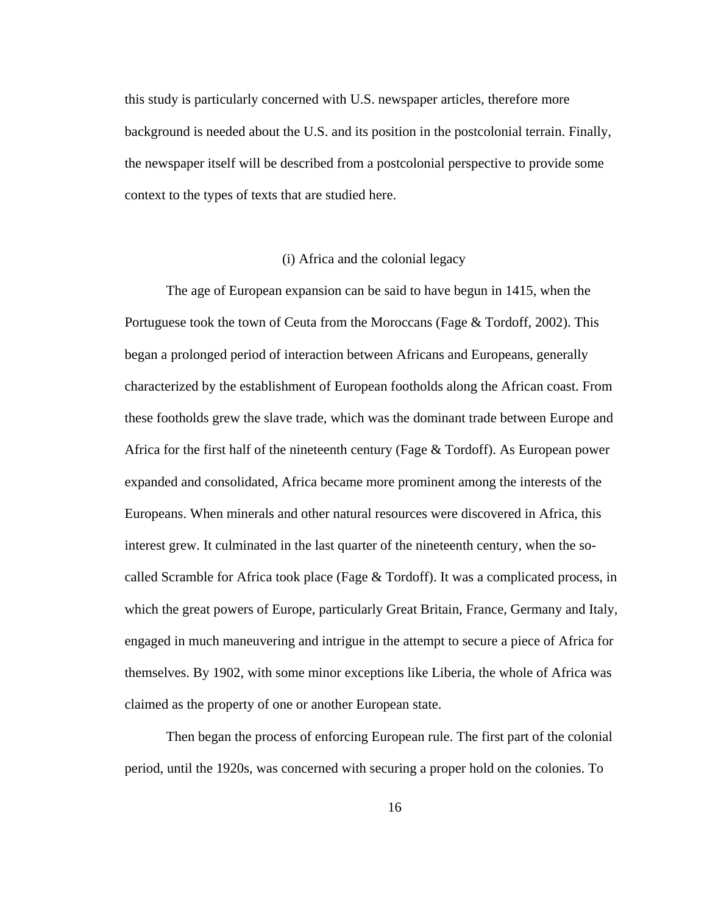this study is particularly concerned with U.S. newspaper articles, therefore more background is needed about the U.S. and its position in the postcolonial terrain. Finally, the newspaper itself will be described from a postcolonial perspective to provide some context to the types of texts that are studied here.

#### (i) Africa and the colonial legacy

The age of European expansion can be said to have begun in 1415, when the Portuguese took the town of Ceuta from the Moroccans (Fage & Tordoff, 2002). This began a prolonged period of interaction between Africans and Europeans, generally characterized by the establishment of European footholds along the African coast. From these footholds grew the slave trade, which was the dominant trade between Europe and Africa for the first half of the nineteenth century (Fage & Tordoff). As European power expanded and consolidated, Africa became more prominent among the interests of the Europeans. When minerals and other natural resources were discovered in Africa, this interest grew. It culminated in the last quarter of the nineteenth century, when the socalled Scramble for Africa took place (Fage & Tordoff). It was a complicated process, in which the great powers of Europe, particularly Great Britain, France, Germany and Italy, engaged in much maneuvering and intrigue in the attempt to secure a piece of Africa for themselves. By 1902, with some minor exceptions like Liberia, the whole of Africa was claimed as the property of one or another European state.

Then began the process of enforcing European rule. The first part of the colonial period, until the 1920s, was concerned with securing a proper hold on the colonies. To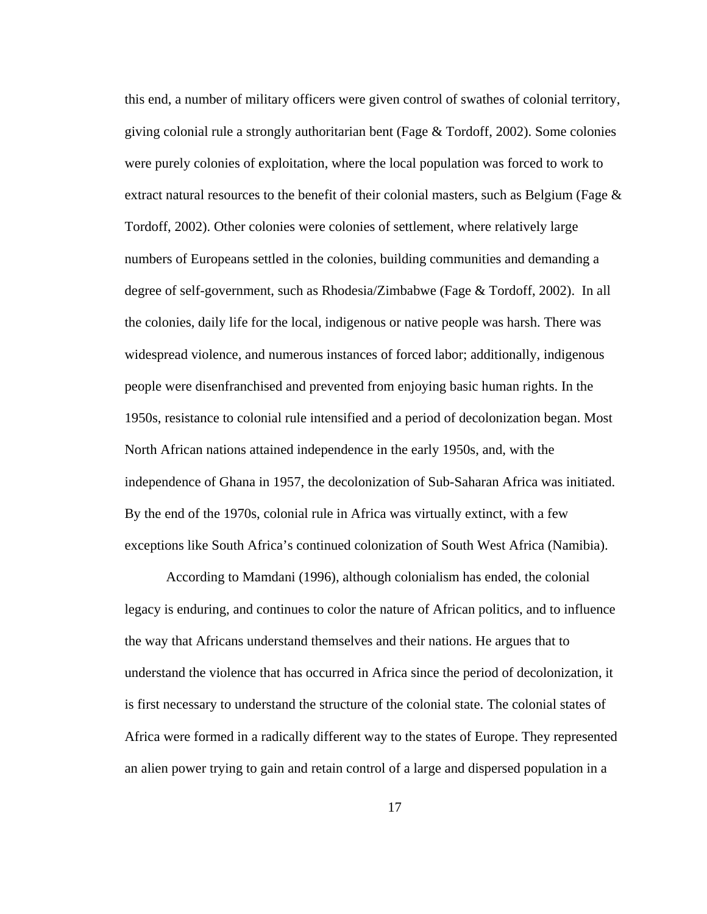this end, a number of military officers were given control of swathes of colonial territory, giving colonial rule a strongly authoritarian bent (Fage  $&$  Tordoff, 2002). Some colonies were purely colonies of exploitation, where the local population was forced to work to extract natural resources to the benefit of their colonial masters, such as Belgium (Fage  $\&$ Tordoff, 2002). Other colonies were colonies of settlement, where relatively large numbers of Europeans settled in the colonies, building communities and demanding a degree of self-government, such as Rhodesia/Zimbabwe (Fage & Tordoff, 2002). In all the colonies, daily life for the local, indigenous or native people was harsh. There was widespread violence, and numerous instances of forced labor; additionally, indigenous people were disenfranchised and prevented from enjoying basic human rights. In the 1950s, resistance to colonial rule intensified and a period of decolonization began. Most North African nations attained independence in the early 1950s, and, with the independence of Ghana in 1957, the decolonization of Sub-Saharan Africa was initiated. By the end of the 1970s, colonial rule in Africa was virtually extinct, with a few exceptions like South Africa's continued colonization of South West Africa (Namibia).

According to Mamdani (1996), although colonialism has ended, the colonial legacy is enduring, and continues to color the nature of African politics, and to influence the way that Africans understand themselves and their nations. He argues that to understand the violence that has occurred in Africa since the period of decolonization, it is first necessary to understand the structure of the colonial state. The colonial states of Africa were formed in a radically different way to the states of Europe. They represented an alien power trying to gain and retain control of a large and dispersed population in a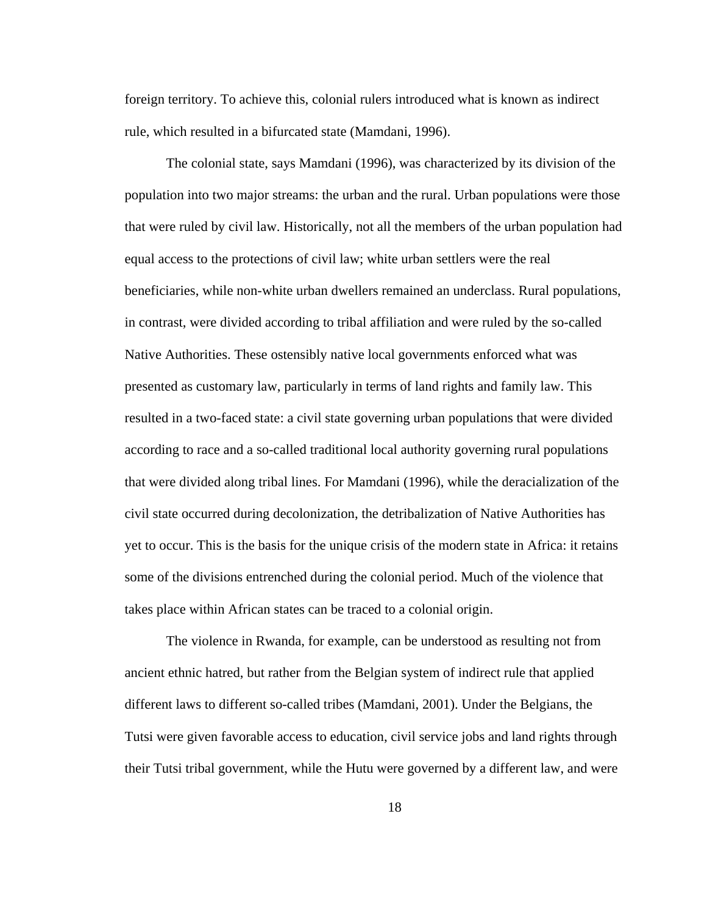foreign territory. To achieve this, colonial rulers introduced what is known as indirect rule, which resulted in a bifurcated state (Mamdani, 1996).

The colonial state, says Mamdani (1996), was characterized by its division of the population into two major streams: the urban and the rural. Urban populations were those that were ruled by civil law. Historically, not all the members of the urban population had equal access to the protections of civil law; white urban settlers were the real beneficiaries, while non-white urban dwellers remained an underclass. Rural populations, in contrast, were divided according to tribal affiliation and were ruled by the so-called Native Authorities. These ostensibly native local governments enforced what was presented as customary law, particularly in terms of land rights and family law. This resulted in a two-faced state: a civil state governing urban populations that were divided according to race and a so-called traditional local authority governing rural populations that were divided along tribal lines. For Mamdani (1996), while the deracialization of the civil state occurred during decolonization, the detribalization of Native Authorities has yet to occur. This is the basis for the unique crisis of the modern state in Africa: it retains some of the divisions entrenched during the colonial period. Much of the violence that takes place within African states can be traced to a colonial origin.

The violence in Rwanda, for example, can be understood as resulting not from ancient ethnic hatred, but rather from the Belgian system of indirect rule that applied different laws to different so-called tribes (Mamdani, 2001). Under the Belgians, the Tutsi were given favorable access to education, civil service jobs and land rights through their Tutsi tribal government, while the Hutu were governed by a different law, and were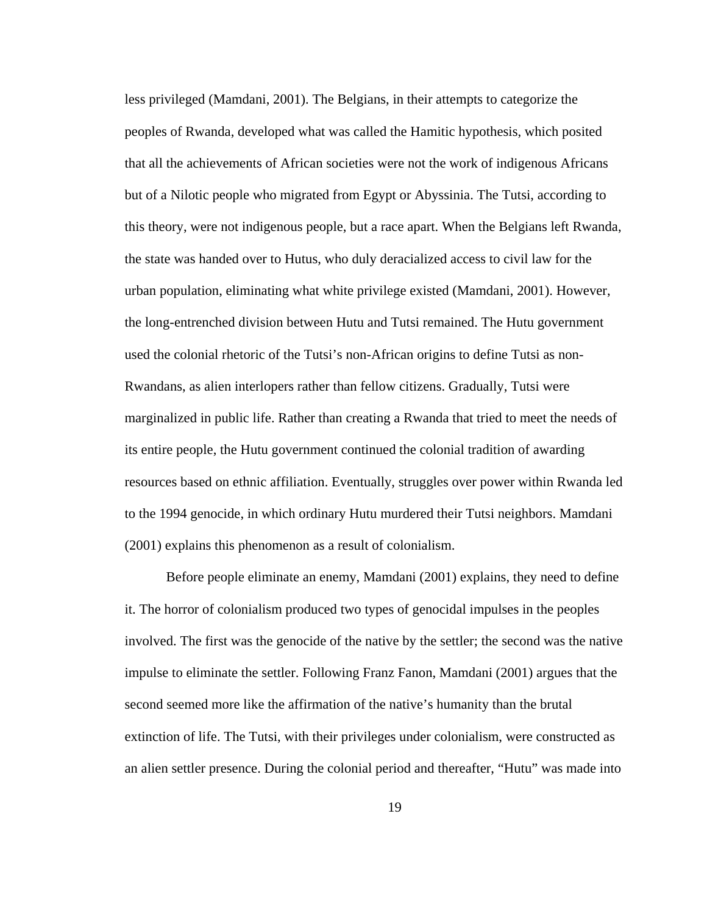less privileged (Mamdani, 2001). The Belgians, in their attempts to categorize the peoples of Rwanda, developed what was called the Hamitic hypothesis, which posited that all the achievements of African societies were not the work of indigenous Africans but of a Nilotic people who migrated from Egypt or Abyssinia. The Tutsi, according to this theory, were not indigenous people, but a race apart. When the Belgians left Rwanda, the state was handed over to Hutus, who duly deracialized access to civil law for the urban population, eliminating what white privilege existed (Mamdani, 2001). However, the long-entrenched division between Hutu and Tutsi remained. The Hutu government used the colonial rhetoric of the Tutsi's non-African origins to define Tutsi as non-Rwandans, as alien interlopers rather than fellow citizens. Gradually, Tutsi were marginalized in public life. Rather than creating a Rwanda that tried to meet the needs of its entire people, the Hutu government continued the colonial tradition of awarding resources based on ethnic affiliation. Eventually, struggles over power within Rwanda led to the 1994 genocide, in which ordinary Hutu murdered their Tutsi neighbors. Mamdani (2001) explains this phenomenon as a result of colonialism.

Before people eliminate an enemy, Mamdani (2001) explains, they need to define it. The horror of colonialism produced two types of genocidal impulses in the peoples involved. The first was the genocide of the native by the settler; the second was the native impulse to eliminate the settler. Following Franz Fanon, Mamdani (2001) argues that the second seemed more like the affirmation of the native's humanity than the brutal extinction of life. The Tutsi, with their privileges under colonialism, were constructed as an alien settler presence. During the colonial period and thereafter, "Hutu" was made into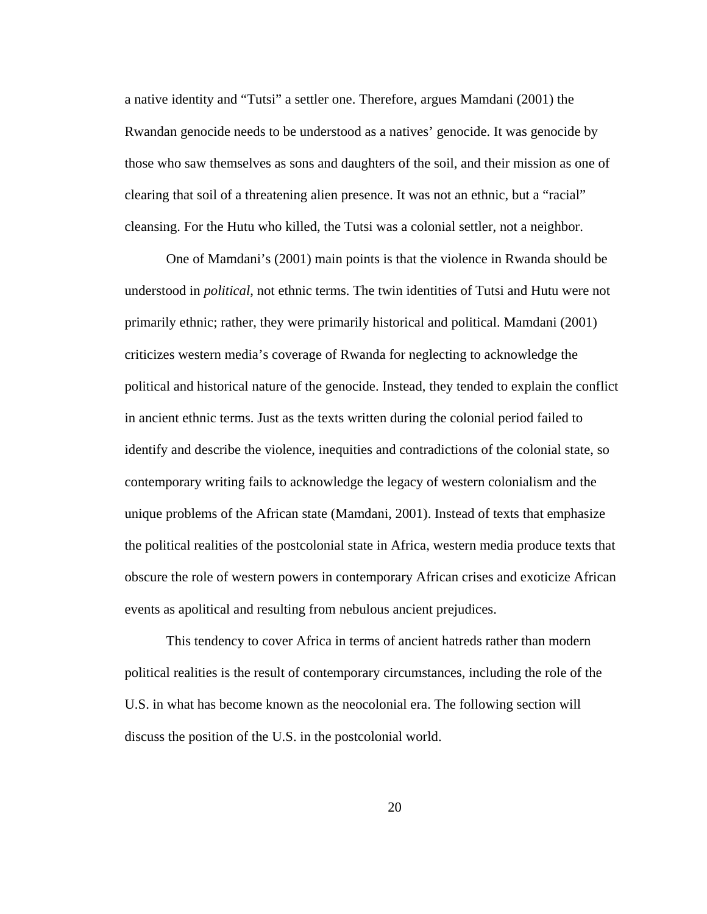a native identity and "Tutsi" a settler one. Therefore, argues Mamdani (2001) the Rwandan genocide needs to be understood as a natives' genocide. It was genocide by those who saw themselves as sons and daughters of the soil, and their mission as one of clearing that soil of a threatening alien presence. It was not an ethnic, but a "racial" cleansing. For the Hutu who killed, the Tutsi was a colonial settler, not a neighbor.

One of Mamdani's (2001) main points is that the violence in Rwanda should be understood in *political*, not ethnic terms. The twin identities of Tutsi and Hutu were not primarily ethnic; rather, they were primarily historical and political. Mamdani (2001) criticizes western media's coverage of Rwanda for neglecting to acknowledge the political and historical nature of the genocide. Instead, they tended to explain the conflict in ancient ethnic terms. Just as the texts written during the colonial period failed to identify and describe the violence, inequities and contradictions of the colonial state, so contemporary writing fails to acknowledge the legacy of western colonialism and the unique problems of the African state (Mamdani, 2001). Instead of texts that emphasize the political realities of the postcolonial state in Africa, western media produce texts that obscure the role of western powers in contemporary African crises and exoticize African events as apolitical and resulting from nebulous ancient prejudices.

This tendency to cover Africa in terms of ancient hatreds rather than modern political realities is the result of contemporary circumstances, including the role of the U.S. in what has become known as the neocolonial era. The following section will discuss the position of the U.S. in the postcolonial world.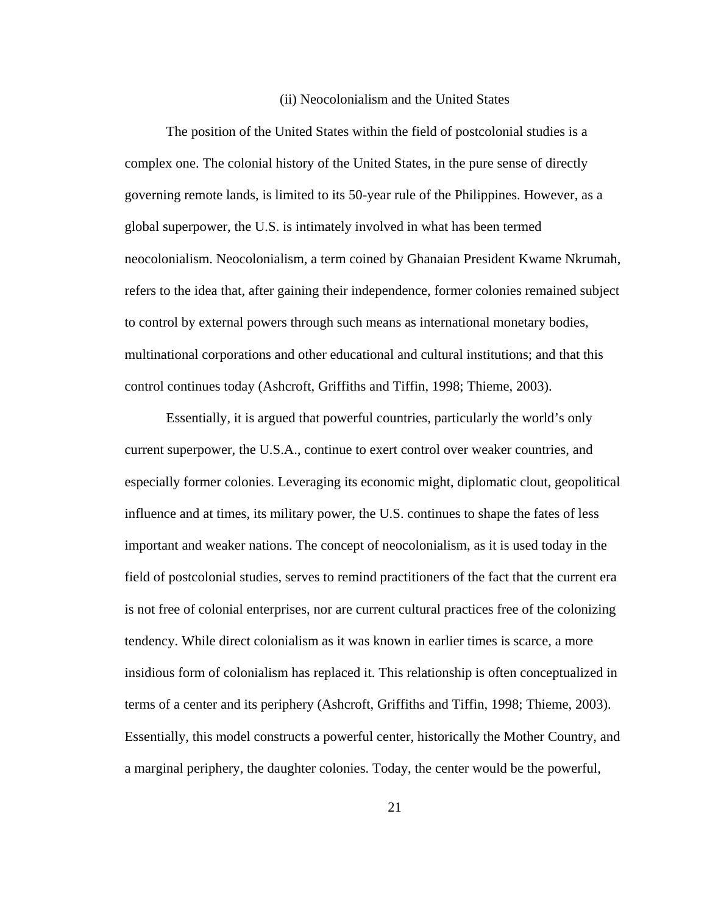#### (ii) Neocolonialism and the United States

The position of the United States within the field of postcolonial studies is a complex one. The colonial history of the United States, in the pure sense of directly governing remote lands, is limited to its 50-year rule of the Philippines. However, as a global superpower, the U.S. is intimately involved in what has been termed neocolonialism. Neocolonialism, a term coined by Ghanaian President Kwame Nkrumah, refers to the idea that, after gaining their independence, former colonies remained subject to control by external powers through such means as international monetary bodies, multinational corporations and other educational and cultural institutions; and that this control continues today (Ashcroft, Griffiths and Tiffin, 1998; Thieme, 2003).

Essentially, it is argued that powerful countries, particularly the world's only current superpower, the U.S.A., continue to exert control over weaker countries, and especially former colonies. Leveraging its economic might, diplomatic clout, geopolitical influence and at times, its military power, the U.S. continues to shape the fates of less important and weaker nations. The concept of neocolonialism, as it is used today in the field of postcolonial studies, serves to remind practitioners of the fact that the current era is not free of colonial enterprises, nor are current cultural practices free of the colonizing tendency. While direct colonialism as it was known in earlier times is scarce, a more insidious form of colonialism has replaced it. This relationship is often conceptualized in terms of a center and its periphery (Ashcroft, Griffiths and Tiffin, 1998; Thieme, 2003). Essentially, this model constructs a powerful center, historically the Mother Country, and a marginal periphery, the daughter colonies. Today, the center would be the powerful,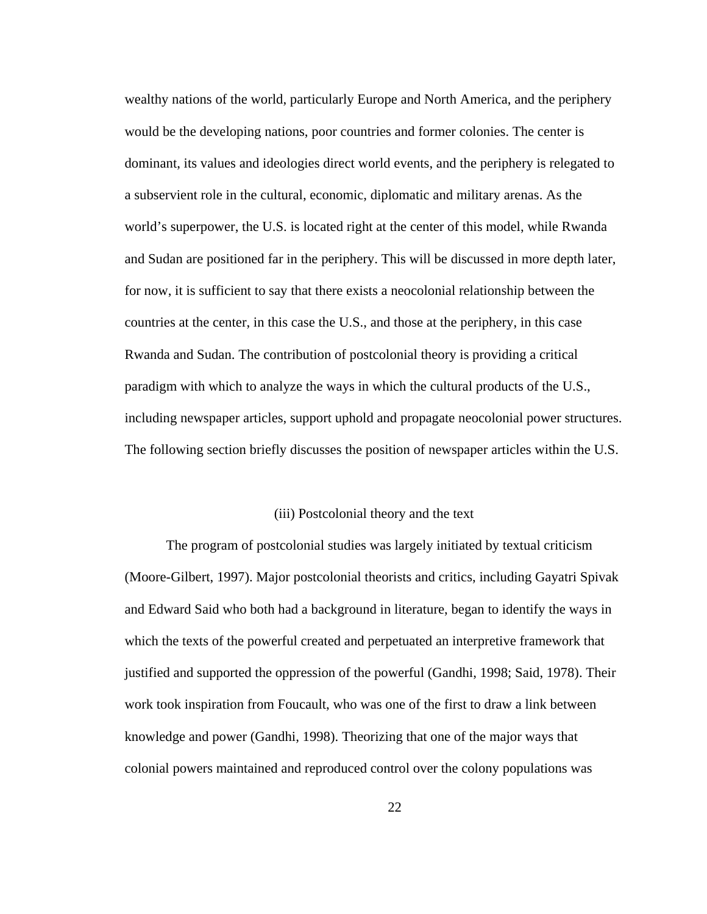wealthy nations of the world, particularly Europe and North America, and the periphery would be the developing nations, poor countries and former colonies. The center is dominant, its values and ideologies direct world events, and the periphery is relegated to a subservient role in the cultural, economic, diplomatic and military arenas. As the world's superpower, the U.S. is located right at the center of this model, while Rwanda and Sudan are positioned far in the periphery. This will be discussed in more depth later, for now, it is sufficient to say that there exists a neocolonial relationship between the countries at the center, in this case the U.S., and those at the periphery, in this case Rwanda and Sudan. The contribution of postcolonial theory is providing a critical paradigm with which to analyze the ways in which the cultural products of the U.S., including newspaper articles, support uphold and propagate neocolonial power structures. The following section briefly discusses the position of newspaper articles within the U.S.

#### (iii) Postcolonial theory and the text

The program of postcolonial studies was largely initiated by textual criticism (Moore-Gilbert, 1997). Major postcolonial theorists and critics, including Gayatri Spivak and Edward Said who both had a background in literature, began to identify the ways in which the texts of the powerful created and perpetuated an interpretive framework that justified and supported the oppression of the powerful (Gandhi, 1998; Said, 1978). Their work took inspiration from Foucault, who was one of the first to draw a link between knowledge and power (Gandhi, 1998). Theorizing that one of the major ways that colonial powers maintained and reproduced control over the colony populations was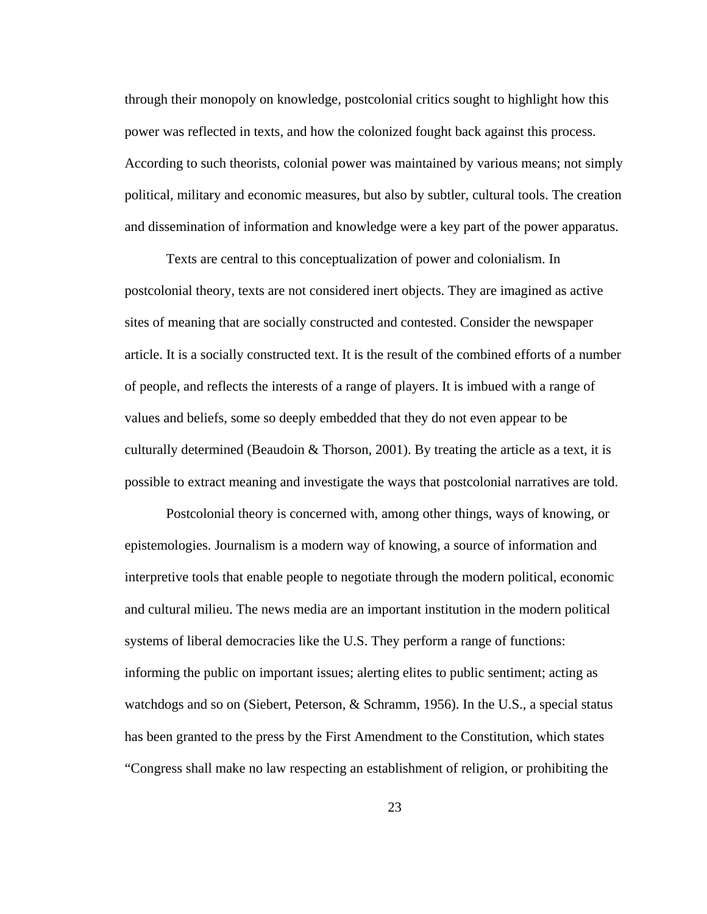through their monopoly on knowledge, postcolonial critics sought to highlight how this power was reflected in texts, and how the colonized fought back against this process. According to such theorists, colonial power was maintained by various means; not simply political, military and economic measures, but also by subtler, cultural tools. The creation and dissemination of information and knowledge were a key part of the power apparatus.

Texts are central to this conceptualization of power and colonialism. In postcolonial theory, texts are not considered inert objects. They are imagined as active sites of meaning that are socially constructed and contested. Consider the newspaper article. It is a socially constructed text. It is the result of the combined efforts of a number of people, and reflects the interests of a range of players. It is imbued with a range of values and beliefs, some so deeply embedded that they do not even appear to be culturally determined (Beaudoin & Thorson, 2001). By treating the article as a text, it is possible to extract meaning and investigate the ways that postcolonial narratives are told.

Postcolonial theory is concerned with, among other things, ways of knowing, or epistemologies. Journalism is a modern way of knowing, a source of information and interpretive tools that enable people to negotiate through the modern political, economic and cultural milieu. The news media are an important institution in the modern political systems of liberal democracies like the U.S. They perform a range of functions: informing the public on important issues; alerting elites to public sentiment; acting as watchdogs and so on (Siebert, Peterson, & Schramm, 1956). In the U.S., a special status has been granted to the press by the First Amendment to the Constitution, which states "Congress shall make no law respecting an establishment of religion, or prohibiting the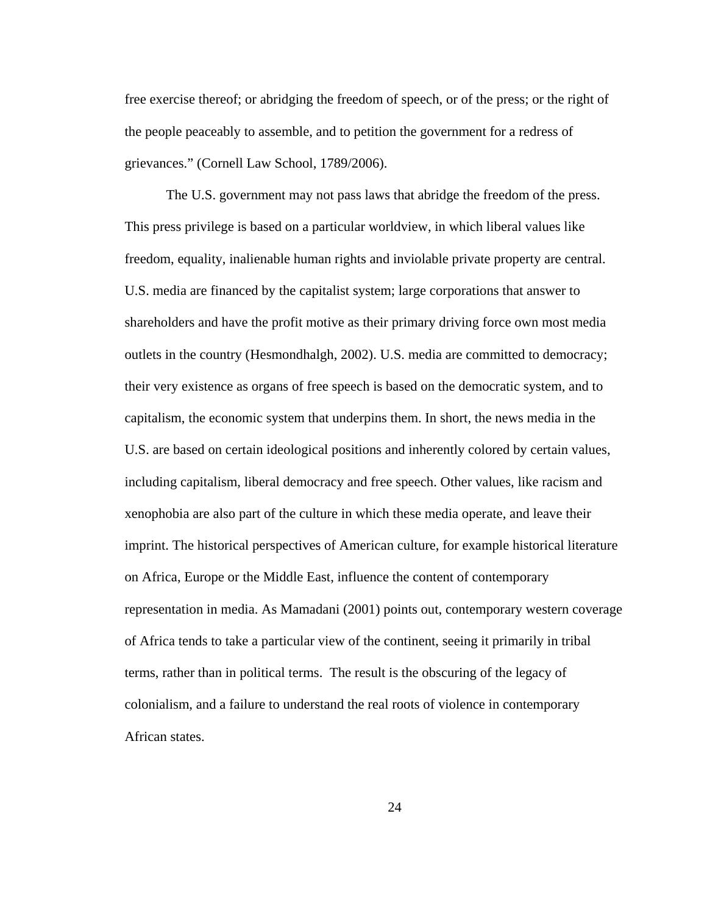free exercise thereof; or abridging the freedom of speech, or of the press; or the right of the people peaceably to assemble, and to petition the government for a redress of grievances." (Cornell Law School, 1789/2006).

The U.S. government may not pass laws that abridge the freedom of the press. This press privilege is based on a particular worldview, in which liberal values like freedom, equality, inalienable human rights and inviolable private property are central. U.S. media are financed by the capitalist system; large corporations that answer to shareholders and have the profit motive as their primary driving force own most media outlets in the country (Hesmondhalgh, 2002). U.S. media are committed to democracy; their very existence as organs of free speech is based on the democratic system, and to capitalism, the economic system that underpins them. In short, the news media in the U.S. are based on certain ideological positions and inherently colored by certain values, including capitalism, liberal democracy and free speech. Other values, like racism and xenophobia are also part of the culture in which these media operate, and leave their imprint. The historical perspectives of American culture, for example historical literature on Africa, Europe or the Middle East, influence the content of contemporary representation in media. As Mamadani (2001) points out, contemporary western coverage of Africa tends to take a particular view of the continent, seeing it primarily in tribal terms, rather than in political terms. The result is the obscuring of the legacy of colonialism, and a failure to understand the real roots of violence in contemporary African states.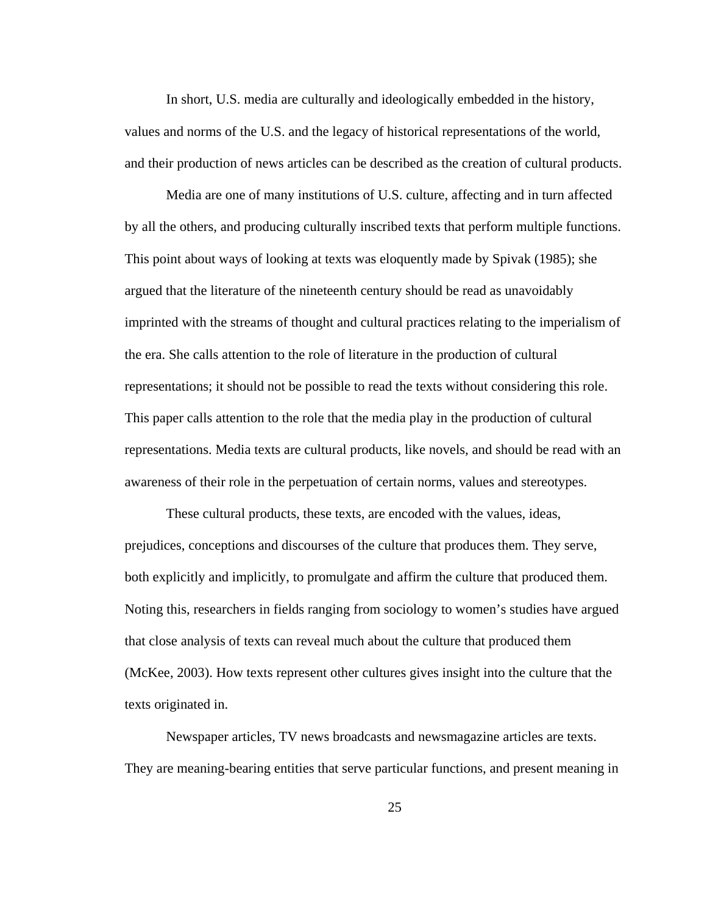In short, U.S. media are culturally and ideologically embedded in the history, values and norms of the U.S. and the legacy of historical representations of the world, and their production of news articles can be described as the creation of cultural products.

Media are one of many institutions of U.S. culture, affecting and in turn affected by all the others, and producing culturally inscribed texts that perform multiple functions. This point about ways of looking at texts was eloquently made by Spivak (1985); she argued that the literature of the nineteenth century should be read as unavoidably imprinted with the streams of thought and cultural practices relating to the imperialism of the era. She calls attention to the role of literature in the production of cultural representations; it should not be possible to read the texts without considering this role. This paper calls attention to the role that the media play in the production of cultural representations. Media texts are cultural products, like novels, and should be read with an awareness of their role in the perpetuation of certain norms, values and stereotypes.

These cultural products, these texts, are encoded with the values, ideas, prejudices, conceptions and discourses of the culture that produces them. They serve, both explicitly and implicitly, to promulgate and affirm the culture that produced them. Noting this, researchers in fields ranging from sociology to women's studies have argued that close analysis of texts can reveal much about the culture that produced them (McKee, 2003). How texts represent other cultures gives insight into the culture that the texts originated in.

Newspaper articles, TV news broadcasts and newsmagazine articles are texts. They are meaning-bearing entities that serve particular functions, and present meaning in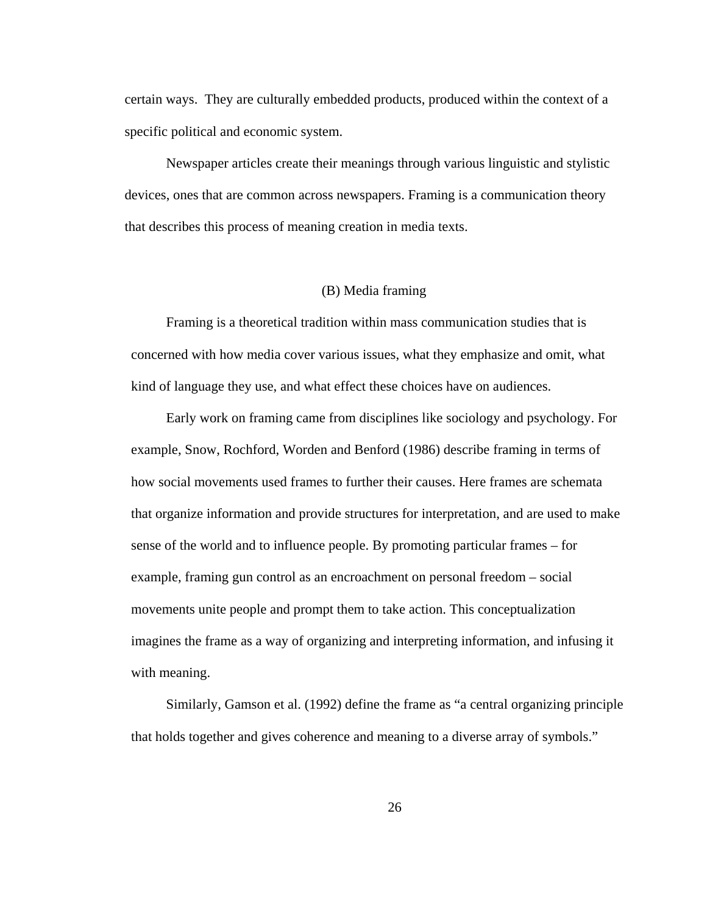certain ways. They are culturally embedded products, produced within the context of a specific political and economic system.

Newspaper articles create their meanings through various linguistic and stylistic devices, ones that are common across newspapers. Framing is a communication theory that describes this process of meaning creation in media texts.

#### (B) Media framing

Framing is a theoretical tradition within mass communication studies that is concerned with how media cover various issues, what they emphasize and omit, what kind of language they use, and what effect these choices have on audiences.

Early work on framing came from disciplines like sociology and psychology. For example, Snow, Rochford, Worden and Benford (1986) describe framing in terms of how social movements used frames to further their causes. Here frames are schemata that organize information and provide structures for interpretation, and are used to make sense of the world and to influence people. By promoting particular frames – for example, framing gun control as an encroachment on personal freedom – social movements unite people and prompt them to take action. This conceptualization imagines the frame as a way of organizing and interpreting information, and infusing it with meaning.

Similarly, Gamson et al. (1992) define the frame as "a central organizing principle that holds together and gives coherence and meaning to a diverse array of symbols."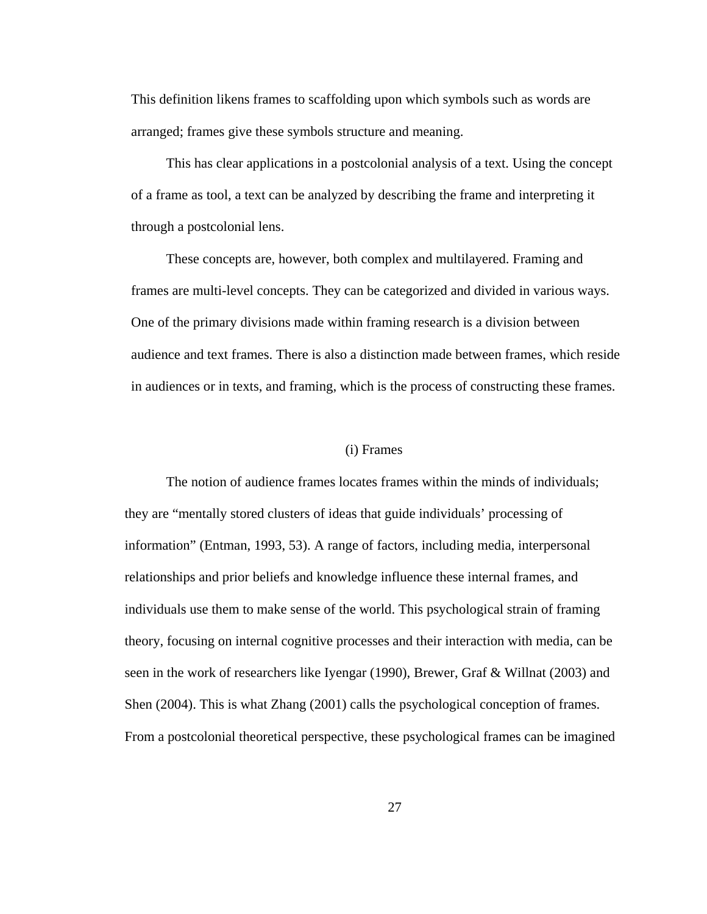This definition likens frames to scaffolding upon which symbols such as words are arranged; frames give these symbols structure and meaning.

This has clear applications in a postcolonial analysis of a text. Using the concept of a frame as tool, a text can be analyzed by describing the frame and interpreting it through a postcolonial lens.

These concepts are, however, both complex and multilayered. Framing and frames are multi-level concepts. They can be categorized and divided in various ways. One of the primary divisions made within framing research is a division between audience and text frames. There is also a distinction made between frames, which reside in audiences or in texts, and framing, which is the process of constructing these frames.

#### (i) Frames

The notion of audience frames locates frames within the minds of individuals; they are "mentally stored clusters of ideas that guide individuals' processing of information" (Entman, 1993, 53). A range of factors, including media, interpersonal relationships and prior beliefs and knowledge influence these internal frames, and individuals use them to make sense of the world. This psychological strain of framing theory, focusing on internal cognitive processes and their interaction with media, can be seen in the work of researchers like Iyengar (1990), Brewer, Graf & Willnat (2003) and Shen (2004). This is what Zhang (2001) calls the psychological conception of frames. From a postcolonial theoretical perspective, these psychological frames can be imagined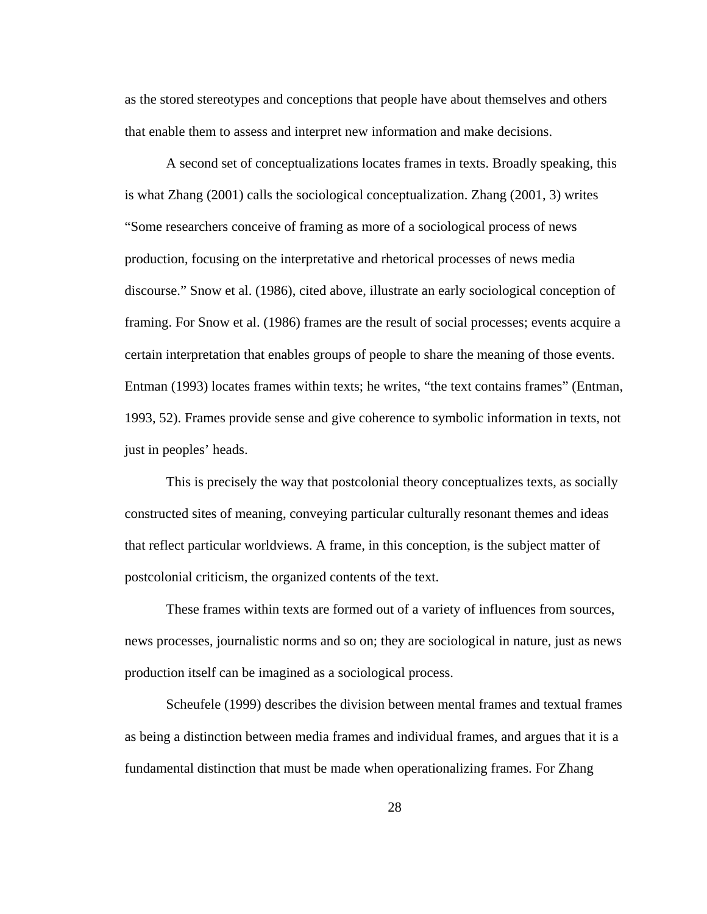as the stored stereotypes and conceptions that people have about themselves and others that enable them to assess and interpret new information and make decisions.

A second set of conceptualizations locates frames in texts. Broadly speaking, this is what Zhang (2001) calls the sociological conceptualization. Zhang (2001, 3) writes "Some researchers conceive of framing as more of a sociological process of news production, focusing on the interpretative and rhetorical processes of news media discourse." Snow et al. (1986), cited above, illustrate an early sociological conception of framing. For Snow et al. (1986) frames are the result of social processes; events acquire a certain interpretation that enables groups of people to share the meaning of those events. Entman (1993) locates frames within texts; he writes, "the text contains frames" (Entman, 1993, 52). Frames provide sense and give coherence to symbolic information in texts, not just in peoples' heads.

This is precisely the way that postcolonial theory conceptualizes texts, as socially constructed sites of meaning, conveying particular culturally resonant themes and ideas that reflect particular worldviews. A frame, in this conception, is the subject matter of postcolonial criticism, the organized contents of the text.

These frames within texts are formed out of a variety of influences from sources, news processes, journalistic norms and so on; they are sociological in nature, just as news production itself can be imagined as a sociological process.

Scheufele (1999) describes the division between mental frames and textual frames as being a distinction between media frames and individual frames, and argues that it is a fundamental distinction that must be made when operationalizing frames. For Zhang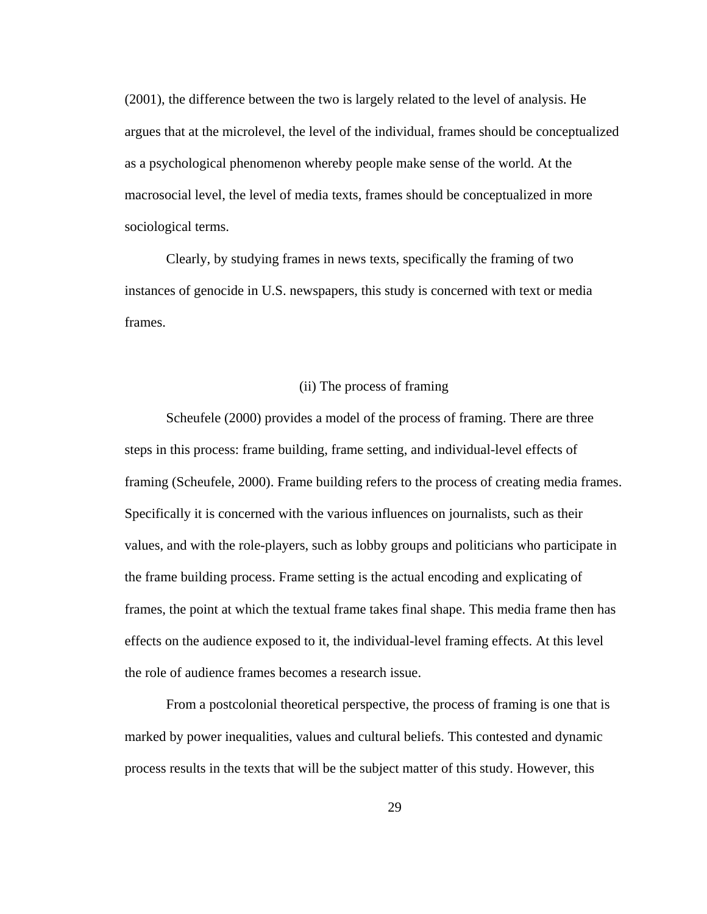(2001), the difference between the two is largely related to the level of analysis. He argues that at the microlevel, the level of the individual, frames should be conceptualized as a psychological phenomenon whereby people make sense of the world. At the macrosocial level, the level of media texts, frames should be conceptualized in more sociological terms.

Clearly, by studying frames in news texts, specifically the framing of two instances of genocide in U.S. newspapers, this study is concerned with text or media frames.

#### (ii) The process of framing

Scheufele (2000) provides a model of the process of framing. There are three steps in this process: frame building, frame setting, and individual-level effects of framing (Scheufele, 2000). Frame building refers to the process of creating media frames. Specifically it is concerned with the various influences on journalists, such as their values, and with the role-players, such as lobby groups and politicians who participate in the frame building process. Frame setting is the actual encoding and explicating of frames, the point at which the textual frame takes final shape. This media frame then has effects on the audience exposed to it, the individual-level framing effects. At this level the role of audience frames becomes a research issue.

From a postcolonial theoretical perspective, the process of framing is one that is marked by power inequalities, values and cultural beliefs. This contested and dynamic process results in the texts that will be the subject matter of this study. However, this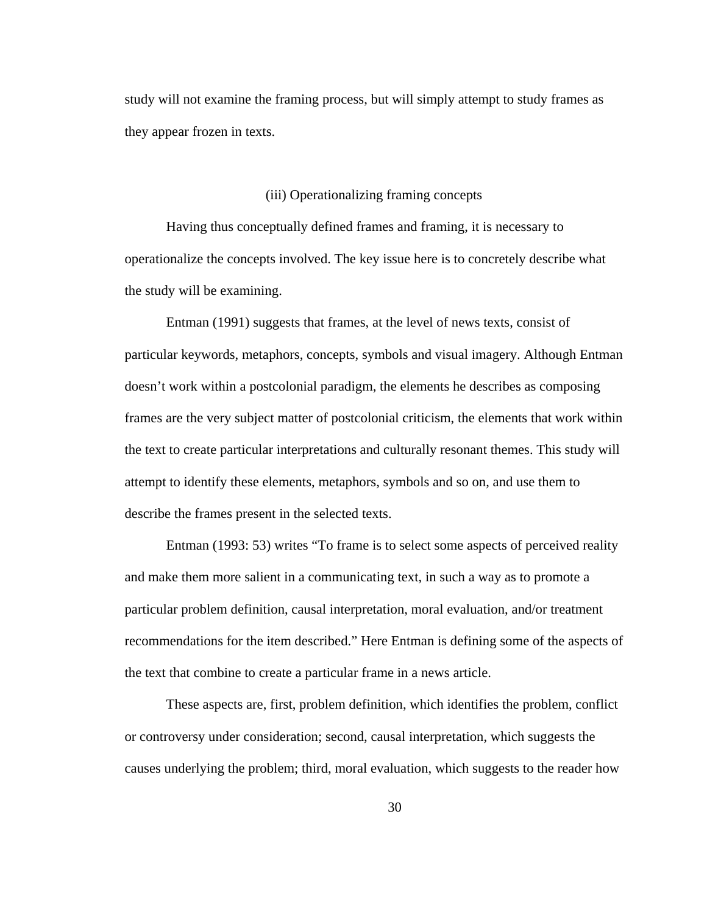study will not examine the framing process, but will simply attempt to study frames as they appear frozen in texts.

### (iii) Operationalizing framing concepts

Having thus conceptually defined frames and framing, it is necessary to operationalize the concepts involved. The key issue here is to concretely describe what the study will be examining.

Entman (1991) suggests that frames, at the level of news texts, consist of particular keywords, metaphors, concepts, symbols and visual imagery. Although Entman doesn't work within a postcolonial paradigm, the elements he describes as composing frames are the very subject matter of postcolonial criticism, the elements that work within the text to create particular interpretations and culturally resonant themes. This study will attempt to identify these elements, metaphors, symbols and so on, and use them to describe the frames present in the selected texts.

Entman (1993: 53) writes "To frame is to select some aspects of perceived reality and make them more salient in a communicating text, in such a way as to promote a particular problem definition, causal interpretation, moral evaluation, and/or treatment recommendations for the item described." Here Entman is defining some of the aspects of the text that combine to create a particular frame in a news article.

These aspects are, first, problem definition, which identifies the problem, conflict or controversy under consideration; second, causal interpretation, which suggests the causes underlying the problem; third, moral evaluation, which suggests to the reader how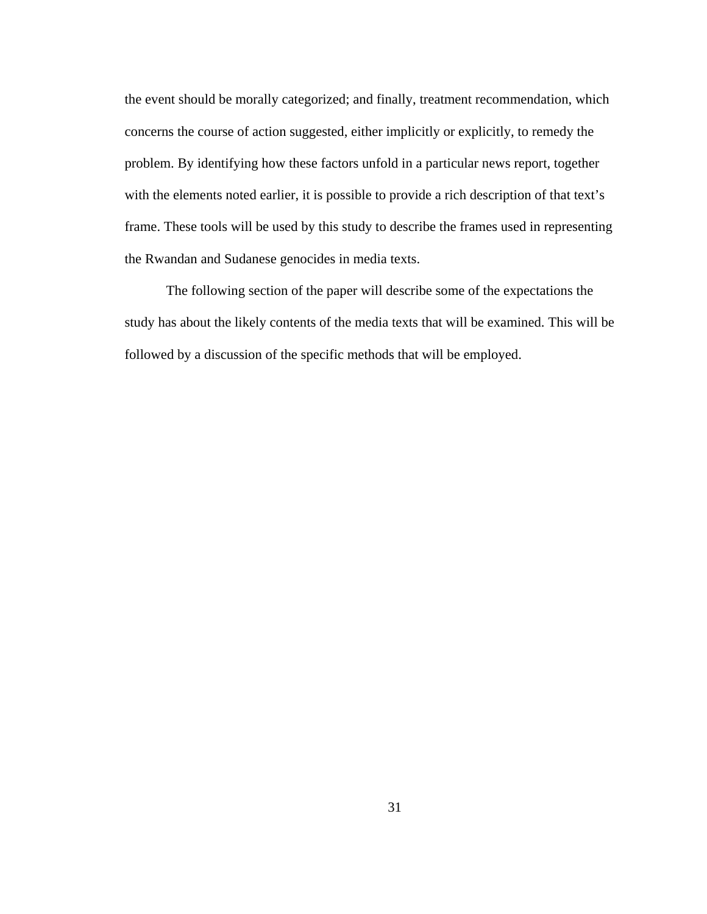the event should be morally categorized; and finally, treatment recommendation, which concerns the course of action suggested, either implicitly or explicitly, to remedy the problem. By identifying how these factors unfold in a particular news report, together with the elements noted earlier, it is possible to provide a rich description of that text's frame. These tools will be used by this study to describe the frames used in representing the Rwandan and Sudanese genocides in media texts.

The following section of the paper will describe some of the expectations the study has about the likely contents of the media texts that will be examined. This will be followed by a discussion of the specific methods that will be employed.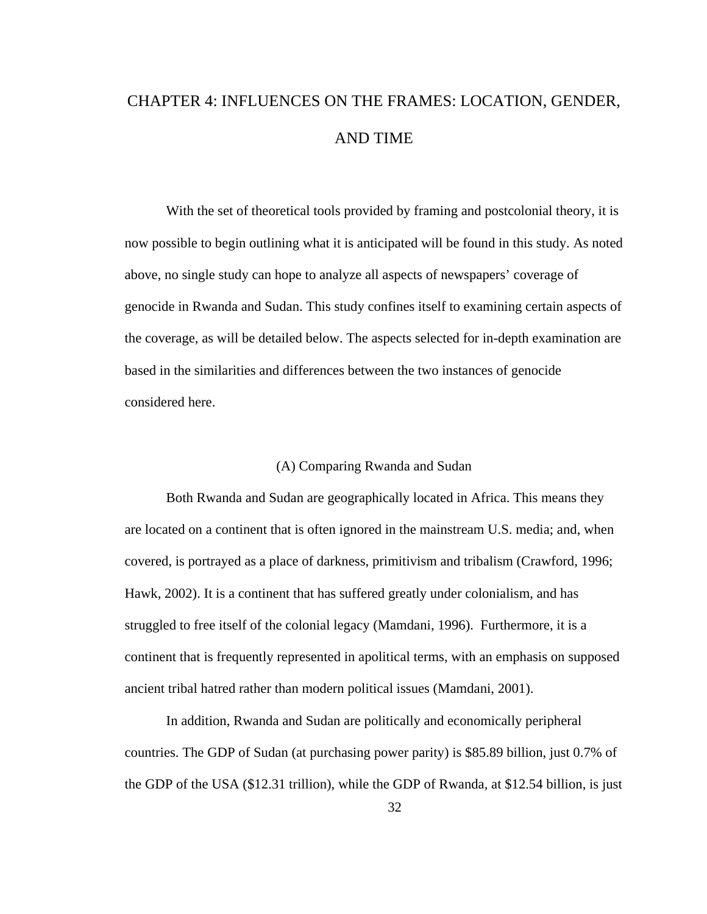# CHAPTER 4: INFLUENCES ON THE FRAMES: LOCATION, GENDER, AND TIME

With the set of theoretical tools provided by framing and postcolonial theory, it is now possible to begin outlining what it is anticipated will be found in this study. As noted above, no single study can hope to analyze all aspects of newspapers' coverage of genocide in Rwanda and Sudan. This study confines itself to examining certain aspects of the coverage, as will be detailed below. The aspects selected for in-depth examination are based in the similarities and differences between the two instances of genocide considered here.

# (A) Comparing Rwanda and Sudan

Both Rwanda and Sudan are geographically located in Africa. This means they are located on a continent that is often ignored in the mainstream U.S. media; and, when covered, is portrayed as a place of darkness, primitivism and tribalism (Crawford, 1996; Hawk, 2002). It is a continent that has suffered greatly under colonialism, and has struggled to free itself of the colonial legacy (Mamdani, 1996). Furthermore, it is a continent that is frequently represented in apolitical terms, with an emphasis on supposed ancient tribal hatred rather than modern political issues (Mamdani, 2001).

In addition, Rwanda and Sudan are politically and economically peripheral countries. The GDP of Sudan (at purchasing power parity) is \$85.89 billion, just 0.7% of the GDP of the USA (\$12.31 trillion), while the GDP of Rwanda, at \$12.54 billion, is just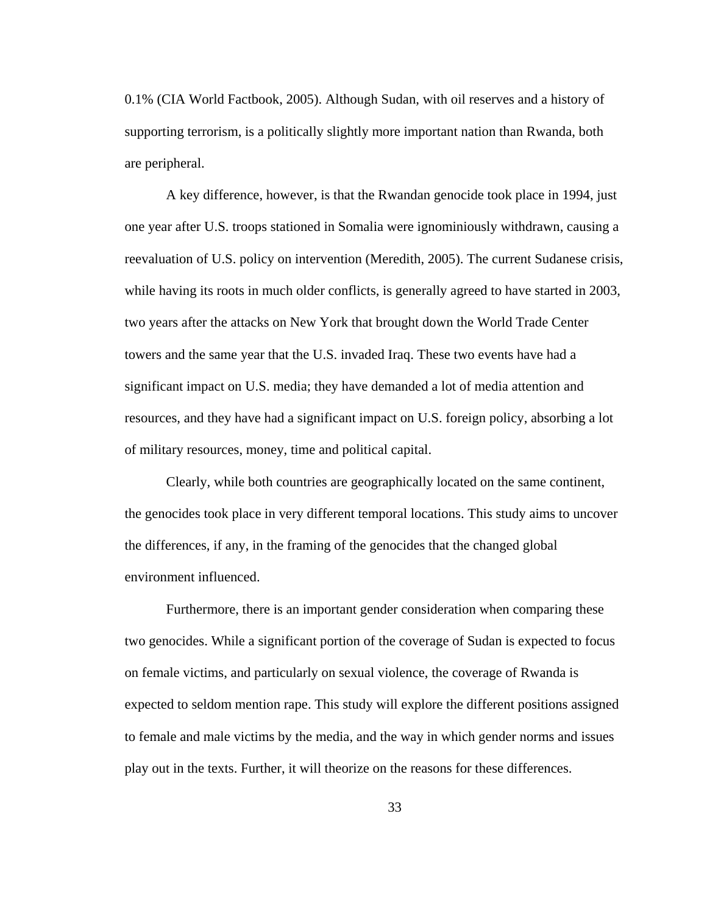0.1% (CIA World Factbook, 2005). Although Sudan, with oil reserves and a history of supporting terrorism, is a politically slightly more important nation than Rwanda, both are peripheral.

A key difference, however, is that the Rwandan genocide took place in 1994, just one year after U.S. troops stationed in Somalia were ignominiously withdrawn, causing a reevaluation of U.S. policy on intervention (Meredith, 2005). The current Sudanese crisis, while having its roots in much older conflicts, is generally agreed to have started in 2003, two years after the attacks on New York that brought down the World Trade Center towers and the same year that the U.S. invaded Iraq. These two events have had a significant impact on U.S. media; they have demanded a lot of media attention and resources, and they have had a significant impact on U.S. foreign policy, absorbing a lot of military resources, money, time and political capital.

Clearly, while both countries are geographically located on the same continent, the genocides took place in very different temporal locations. This study aims to uncover the differences, if any, in the framing of the genocides that the changed global environment influenced.

Furthermore, there is an important gender consideration when comparing these two genocides. While a significant portion of the coverage of Sudan is expected to focus on female victims, and particularly on sexual violence, the coverage of Rwanda is expected to seldom mention rape. This study will explore the different positions assigned to female and male victims by the media, and the way in which gender norms and issues play out in the texts. Further, it will theorize on the reasons for these differences.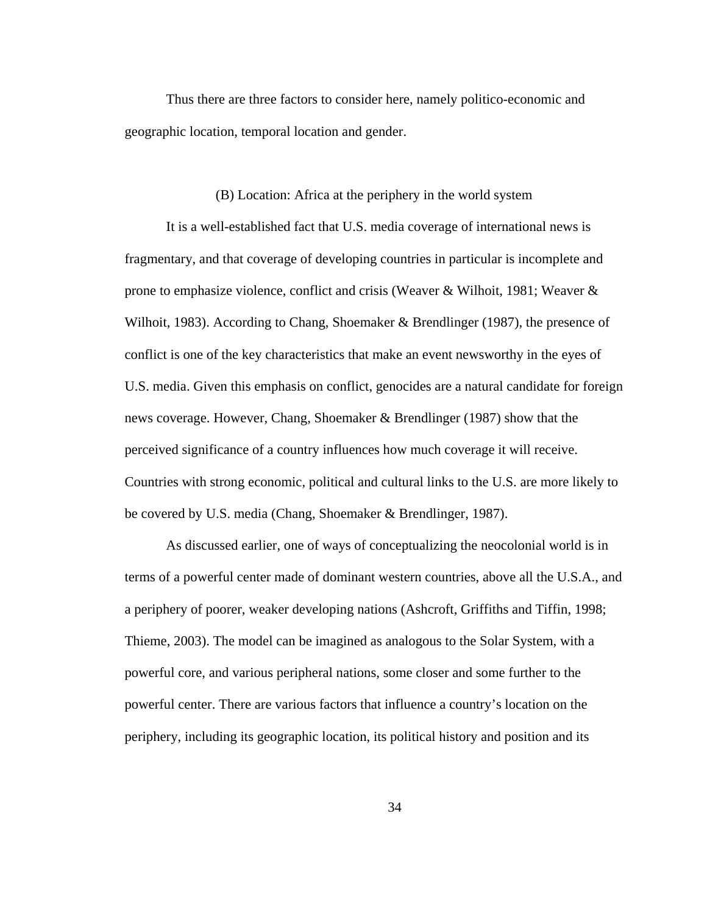Thus there are three factors to consider here, namely politico-economic and geographic location, temporal location and gender.

### (B) Location: Africa at the periphery in the world system

It is a well-established fact that U.S. media coverage of international news is fragmentary, and that coverage of developing countries in particular is incomplete and prone to emphasize violence, conflict and crisis (Weaver & Wilhoit, 1981; Weaver & Wilhoit, 1983). According to Chang, Shoemaker & Brendlinger (1987), the presence of conflict is one of the key characteristics that make an event newsworthy in the eyes of U.S. media. Given this emphasis on conflict, genocides are a natural candidate for foreign news coverage. However, Chang, Shoemaker & Brendlinger (1987) show that the perceived significance of a country influences how much coverage it will receive. Countries with strong economic, political and cultural links to the U.S. are more likely to be covered by U.S. media (Chang, Shoemaker & Brendlinger, 1987).

As discussed earlier, one of ways of conceptualizing the neocolonial world is in terms of a powerful center made of dominant western countries, above all the U.S.A., and a periphery of poorer, weaker developing nations (Ashcroft, Griffiths and Tiffin, 1998; Thieme, 2003). The model can be imagined as analogous to the Solar System, with a powerful core, and various peripheral nations, some closer and some further to the powerful center. There are various factors that influence a country's location on the periphery, including its geographic location, its political history and position and its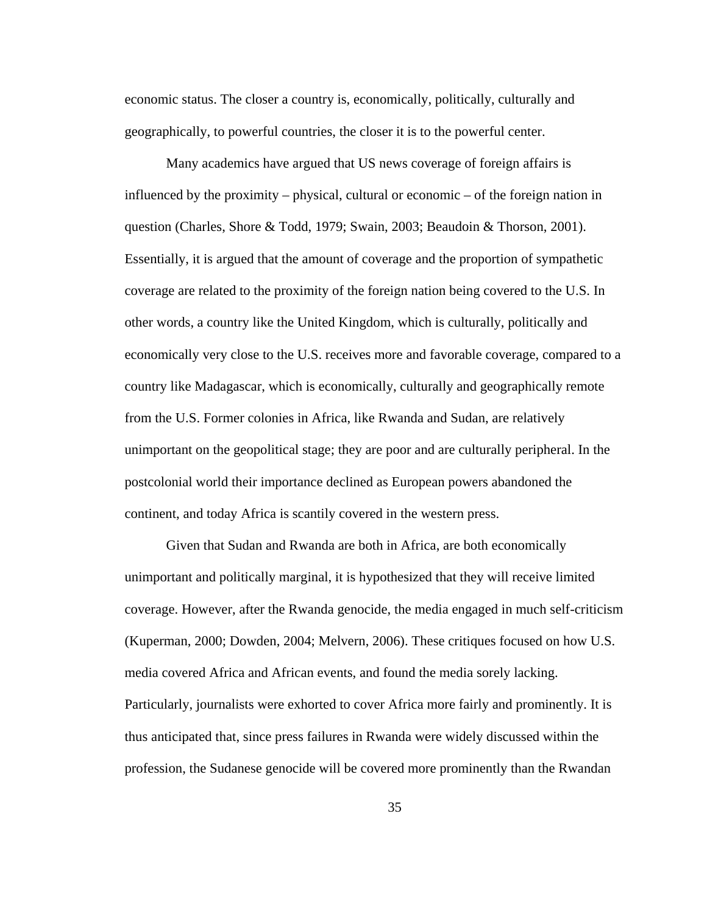economic status. The closer a country is, economically, politically, culturally and geographically, to powerful countries, the closer it is to the powerful center.

Many academics have argued that US news coverage of foreign affairs is influenced by the proximity – physical, cultural or economic – of the foreign nation in question (Charles, Shore & Todd, 1979; Swain, 2003; Beaudoin & Thorson, 2001). Essentially, it is argued that the amount of coverage and the proportion of sympathetic coverage are related to the proximity of the foreign nation being covered to the U.S. In other words, a country like the United Kingdom, which is culturally, politically and economically very close to the U.S. receives more and favorable coverage, compared to a country like Madagascar, which is economically, culturally and geographically remote from the U.S. Former colonies in Africa, like Rwanda and Sudan, are relatively unimportant on the geopolitical stage; they are poor and are culturally peripheral. In the postcolonial world their importance declined as European powers abandoned the continent, and today Africa is scantily covered in the western press.

Given that Sudan and Rwanda are both in Africa, are both economically unimportant and politically marginal, it is hypothesized that they will receive limited coverage. However, after the Rwanda genocide, the media engaged in much self-criticism (Kuperman, 2000; Dowden, 2004; Melvern, 2006). These critiques focused on how U.S. media covered Africa and African events, and found the media sorely lacking. Particularly, journalists were exhorted to cover Africa more fairly and prominently. It is thus anticipated that, since press failures in Rwanda were widely discussed within the profession, the Sudanese genocide will be covered more prominently than the Rwandan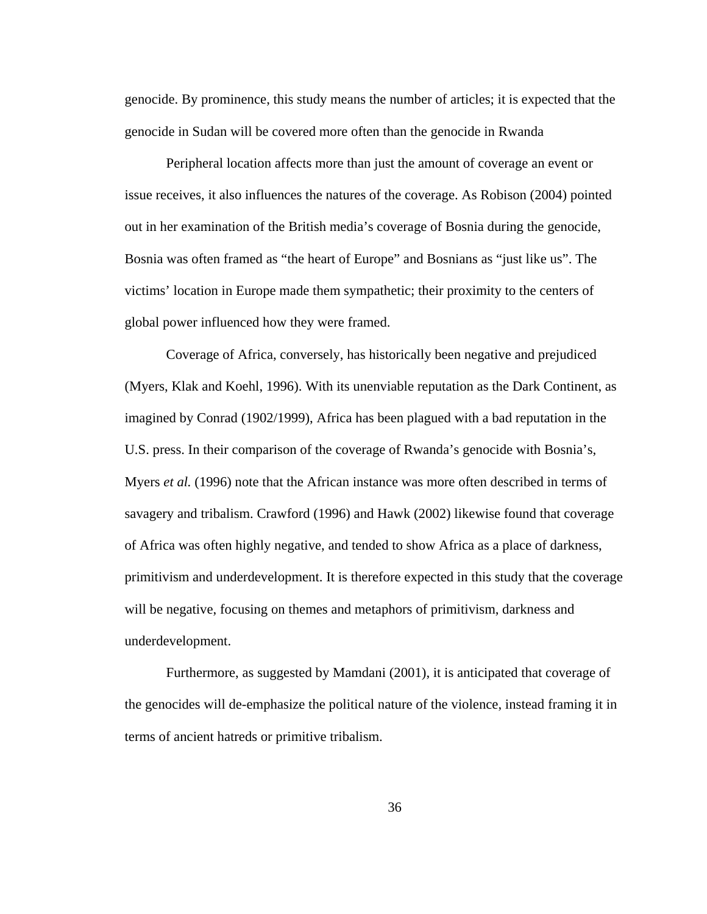genocide. By prominence, this study means the number of articles; it is expected that the genocide in Sudan will be covered more often than the genocide in Rwanda

Peripheral location affects more than just the amount of coverage an event or issue receives, it also influences the natures of the coverage. As Robison (2004) pointed out in her examination of the British media's coverage of Bosnia during the genocide, Bosnia was often framed as "the heart of Europe" and Bosnians as "just like us". The victims' location in Europe made them sympathetic; their proximity to the centers of global power influenced how they were framed.

Coverage of Africa, conversely, has historically been negative and prejudiced (Myers, Klak and Koehl, 1996). With its unenviable reputation as the Dark Continent, as imagined by Conrad (1902/1999), Africa has been plagued with a bad reputation in the U.S. press. In their comparison of the coverage of Rwanda's genocide with Bosnia's, Myers *et al.* (1996) note that the African instance was more often described in terms of savagery and tribalism. Crawford (1996) and Hawk (2002) likewise found that coverage of Africa was often highly negative, and tended to show Africa as a place of darkness, primitivism and underdevelopment. It is therefore expected in this study that the coverage will be negative, focusing on themes and metaphors of primitivism, darkness and underdevelopment.

Furthermore, as suggested by Mamdani (2001), it is anticipated that coverage of the genocides will de-emphasize the political nature of the violence, instead framing it in terms of ancient hatreds or primitive tribalism.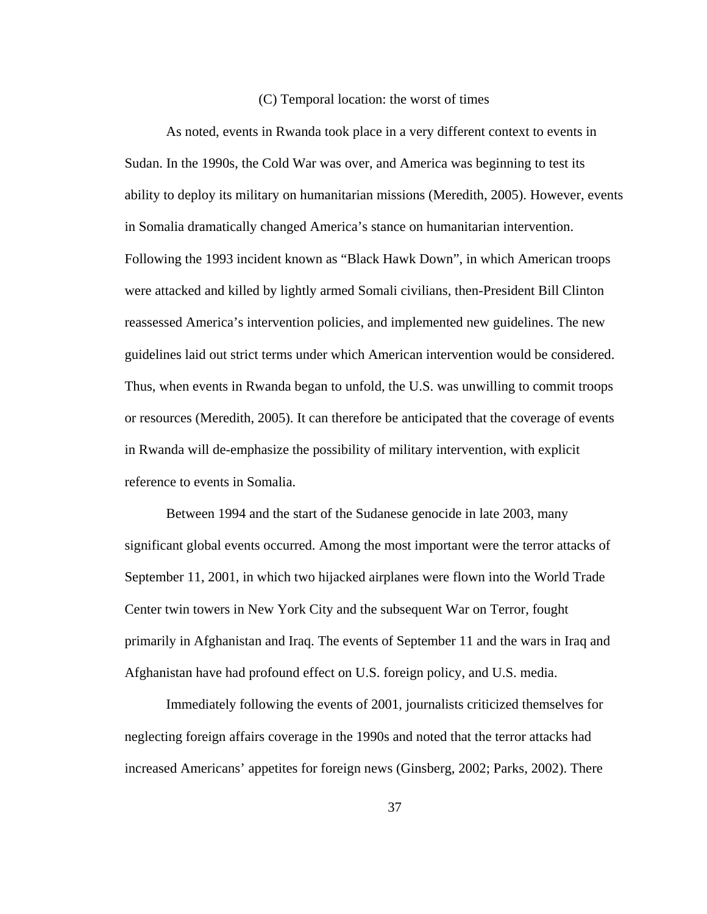#### (C) Temporal location: the worst of times

As noted, events in Rwanda took place in a very different context to events in Sudan. In the 1990s, the Cold War was over, and America was beginning to test its ability to deploy its military on humanitarian missions (Meredith, 2005). However, events in Somalia dramatically changed America's stance on humanitarian intervention. Following the 1993 incident known as "Black Hawk Down", in which American troops were attacked and killed by lightly armed Somali civilians, then-President Bill Clinton reassessed America's intervention policies, and implemented new guidelines. The new guidelines laid out strict terms under which American intervention would be considered. Thus, when events in Rwanda began to unfold, the U.S. was unwilling to commit troops or resources (Meredith, 2005). It can therefore be anticipated that the coverage of events in Rwanda will de-emphasize the possibility of military intervention, with explicit reference to events in Somalia.

Between 1994 and the start of the Sudanese genocide in late 2003, many significant global events occurred. Among the most important were the terror attacks of September 11, 2001, in which two hijacked airplanes were flown into the World Trade Center twin towers in New York City and the subsequent War on Terror, fought primarily in Afghanistan and Iraq. The events of September 11 and the wars in Iraq and Afghanistan have had profound effect on U.S. foreign policy, and U.S. media.

Immediately following the events of 2001, journalists criticized themselves for neglecting foreign affairs coverage in the 1990s and noted that the terror attacks had increased Americans' appetites for foreign news (Ginsberg, 2002; Parks, 2002). There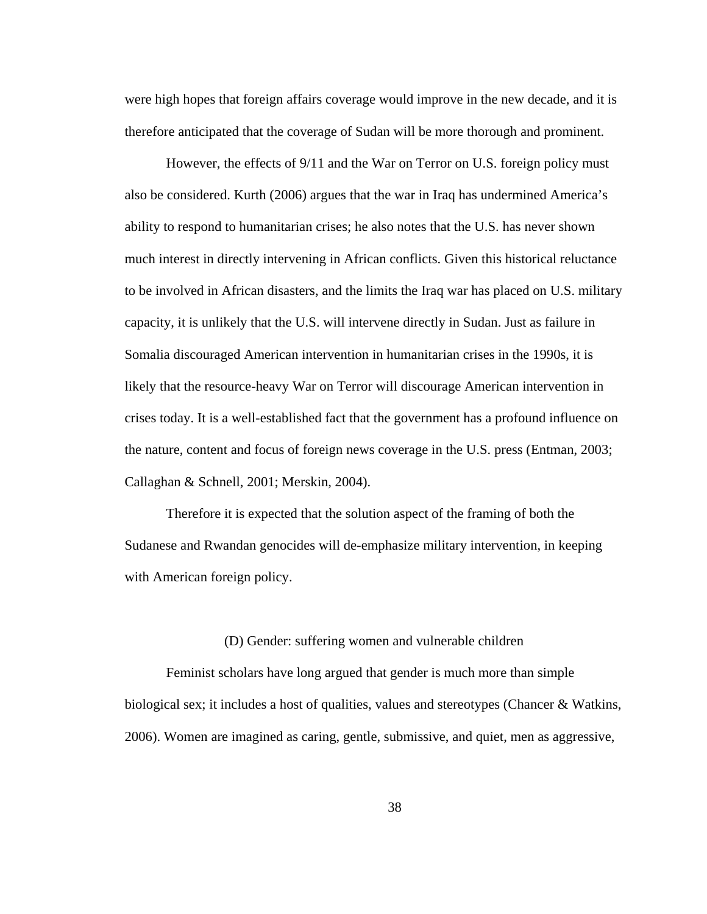were high hopes that foreign affairs coverage would improve in the new decade, and it is therefore anticipated that the coverage of Sudan will be more thorough and prominent.

However, the effects of 9/11 and the War on Terror on U.S. foreign policy must also be considered. Kurth (2006) argues that the war in Iraq has undermined America's ability to respond to humanitarian crises; he also notes that the U.S. has never shown much interest in directly intervening in African conflicts. Given this historical reluctance to be involved in African disasters, and the limits the Iraq war has placed on U.S. military capacity, it is unlikely that the U.S. will intervene directly in Sudan. Just as failure in Somalia discouraged American intervention in humanitarian crises in the 1990s, it is likely that the resource-heavy War on Terror will discourage American intervention in crises today. It is a well-established fact that the government has a profound influence on the nature, content and focus of foreign news coverage in the U.S. press (Entman, 2003; Callaghan & Schnell, 2001; Merskin, 2004).

Therefore it is expected that the solution aspect of the framing of both the Sudanese and Rwandan genocides will de-emphasize military intervention, in keeping with American foreign policy.

## (D) Gender: suffering women and vulnerable children

Feminist scholars have long argued that gender is much more than simple biological sex; it includes a host of qualities, values and stereotypes (Chancer & Watkins, 2006). Women are imagined as caring, gentle, submissive, and quiet, men as aggressive,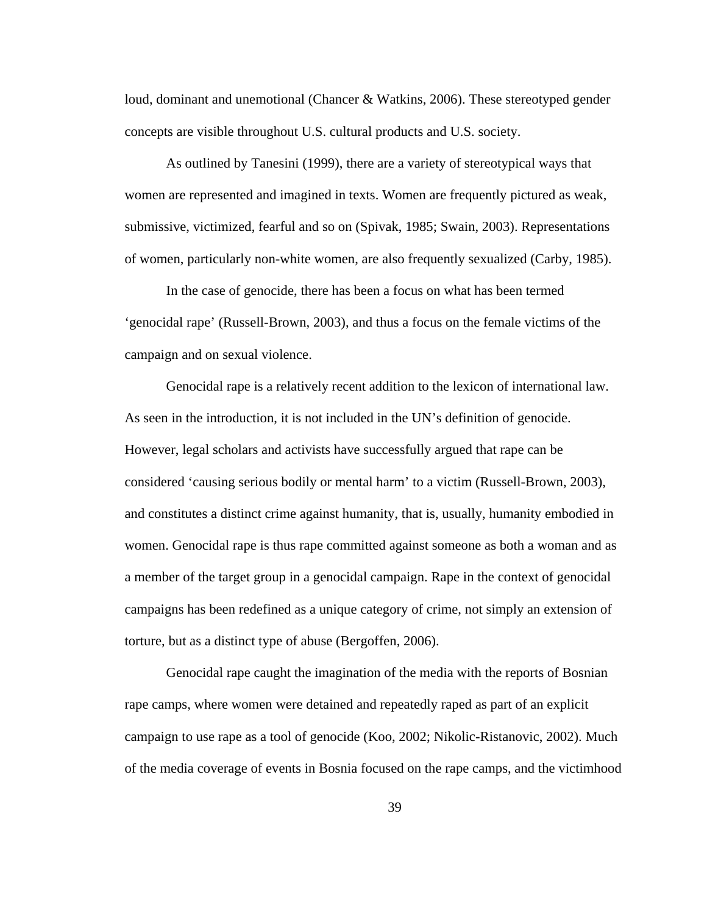loud, dominant and unemotional (Chancer & Watkins, 2006). These stereotyped gender concepts are visible throughout U.S. cultural products and U.S. society.

As outlined by Tanesini (1999), there are a variety of stereotypical ways that women are represented and imagined in texts. Women are frequently pictured as weak, submissive, victimized, fearful and so on (Spivak, 1985; Swain, 2003). Representations of women, particularly non-white women, are also frequently sexualized (Carby, 1985).

In the case of genocide, there has been a focus on what has been termed 'genocidal rape' (Russell-Brown, 2003), and thus a focus on the female victims of the campaign and on sexual violence.

Genocidal rape is a relatively recent addition to the lexicon of international law. As seen in the introduction, it is not included in the UN's definition of genocide. However, legal scholars and activists have successfully argued that rape can be considered 'causing serious bodily or mental harm' to a victim (Russell-Brown, 2003), and constitutes a distinct crime against humanity, that is, usually, humanity embodied in women. Genocidal rape is thus rape committed against someone as both a woman and as a member of the target group in a genocidal campaign. Rape in the context of genocidal campaigns has been redefined as a unique category of crime, not simply an extension of torture, but as a distinct type of abuse (Bergoffen, 2006).

Genocidal rape caught the imagination of the media with the reports of Bosnian rape camps, where women were detained and repeatedly raped as part of an explicit campaign to use rape as a tool of genocide (Koo, 2002; Nikolic-Ristanovic, 2002). Much of the media coverage of events in Bosnia focused on the rape camps, and the victimhood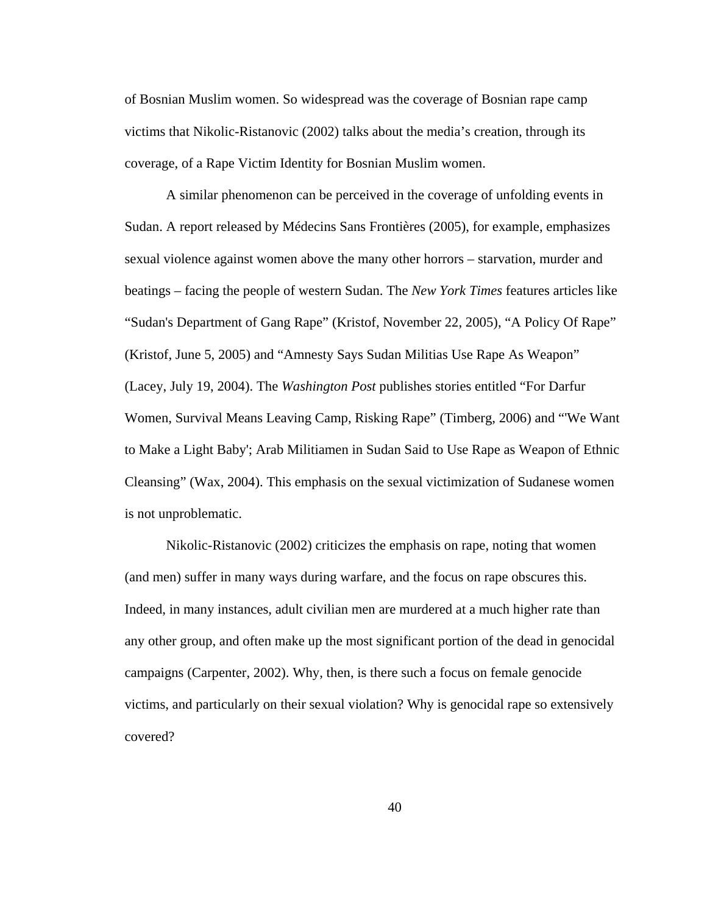of Bosnian Muslim women. So widespread was the coverage of Bosnian rape camp victims that Nikolic-Ristanovic (2002) talks about the media's creation, through its coverage, of a Rape Victim Identity for Bosnian Muslim women.

A similar phenomenon can be perceived in the coverage of unfolding events in Sudan. A report released by Médecins Sans Frontières (2005), for example, emphasizes sexual violence against women above the many other horrors – starvation, murder and beatings – facing the people of western Sudan. The *New York Times* features articles like "Sudan's Department of Gang Rape" (Kristof, November 22, 2005), "A Policy Of Rape" (Kristof, June 5, 2005) and "Amnesty Says Sudan Militias Use Rape As Weapon" (Lacey, July 19, 2004). The *Washington Post* publishes stories entitled "For Darfur Women, Survival Means Leaving Camp, Risking Rape" (Timberg, 2006) and "'We Want to Make a Light Baby'; Arab Militiamen in Sudan Said to Use Rape as Weapon of Ethnic Cleansing" (Wax, 2004). This emphasis on the sexual victimization of Sudanese women is not unproblematic.

Nikolic-Ristanovic (2002) criticizes the emphasis on rape, noting that women (and men) suffer in many ways during warfare, and the focus on rape obscures this. Indeed, in many instances, adult civilian men are murdered at a much higher rate than any other group, and often make up the most significant portion of the dead in genocidal campaigns (Carpenter, 2002). Why, then, is there such a focus on female genocide victims, and particularly on their sexual violation? Why is genocidal rape so extensively covered?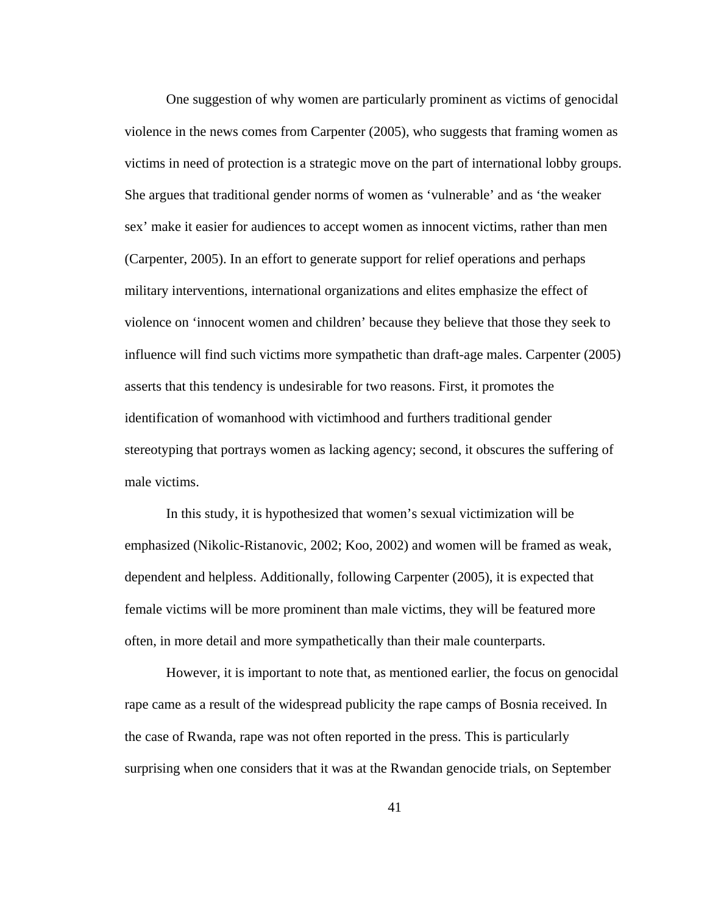One suggestion of why women are particularly prominent as victims of genocidal violence in the news comes from Carpenter (2005), who suggests that framing women as victims in need of protection is a strategic move on the part of international lobby groups. She argues that traditional gender norms of women as 'vulnerable' and as 'the weaker sex' make it easier for audiences to accept women as innocent victims, rather than men (Carpenter, 2005). In an effort to generate support for relief operations and perhaps military interventions, international organizations and elites emphasize the effect of violence on 'innocent women and children' because they believe that those they seek to influence will find such victims more sympathetic than draft-age males. Carpenter (2005) asserts that this tendency is undesirable for two reasons. First, it promotes the identification of womanhood with victimhood and furthers traditional gender stereotyping that portrays women as lacking agency; second, it obscures the suffering of male victims.

In this study, it is hypothesized that women's sexual victimization will be emphasized (Nikolic-Ristanovic, 2002; Koo, 2002) and women will be framed as weak, dependent and helpless. Additionally, following Carpenter (2005), it is expected that female victims will be more prominent than male victims, they will be featured more often, in more detail and more sympathetically than their male counterparts.

However, it is important to note that, as mentioned earlier, the focus on genocidal rape came as a result of the widespread publicity the rape camps of Bosnia received. In the case of Rwanda, rape was not often reported in the press. This is particularly surprising when one considers that it was at the Rwandan genocide trials, on September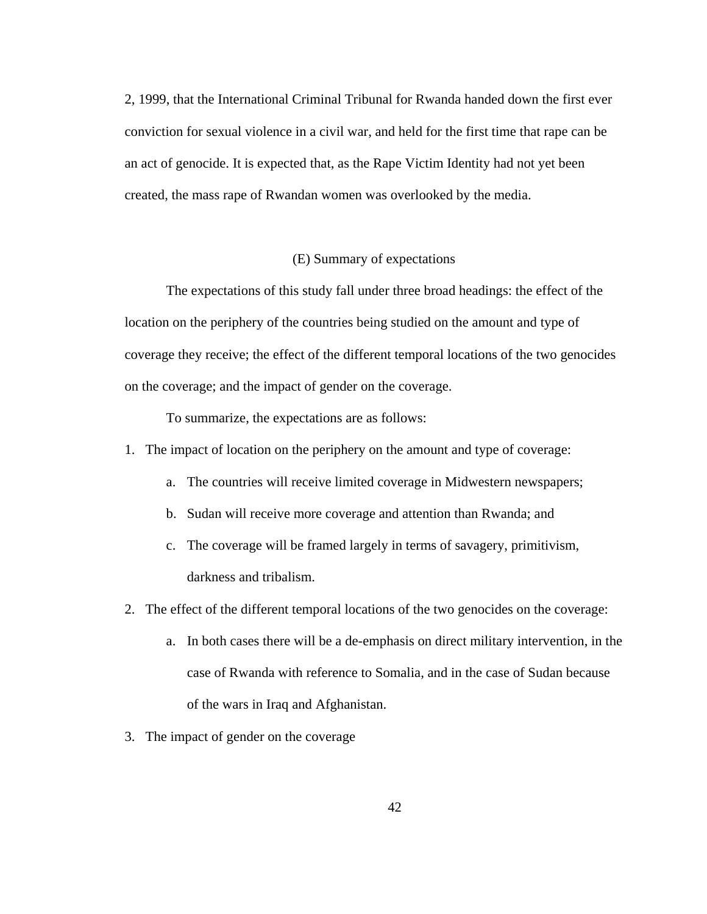2, 1999, that the International Criminal Tribunal for Rwanda handed down the first ever conviction for sexual violence in a civil war, and held for the first time that rape can be an act of genocide. It is expected that, as the Rape Victim Identity had not yet been created, the mass rape of Rwandan women was overlooked by the media.

#### (E) Summary of expectations

The expectations of this study fall under three broad headings: the effect of the location on the periphery of the countries being studied on the amount and type of coverage they receive; the effect of the different temporal locations of the two genocides on the coverage; and the impact of gender on the coverage.

To summarize, the expectations are as follows:

- 1. The impact of location on the periphery on the amount and type of coverage:
	- a. The countries will receive limited coverage in Midwestern newspapers;
	- b. Sudan will receive more coverage and attention than Rwanda; and
	- c. The coverage will be framed largely in terms of savagery, primitivism, darkness and tribalism.
- 2. The effect of the different temporal locations of the two genocides on the coverage:
	- a. In both cases there will be a de-emphasis on direct military intervention, in the case of Rwanda with reference to Somalia, and in the case of Sudan because of the wars in Iraq and Afghanistan.
- 3. The impact of gender on the coverage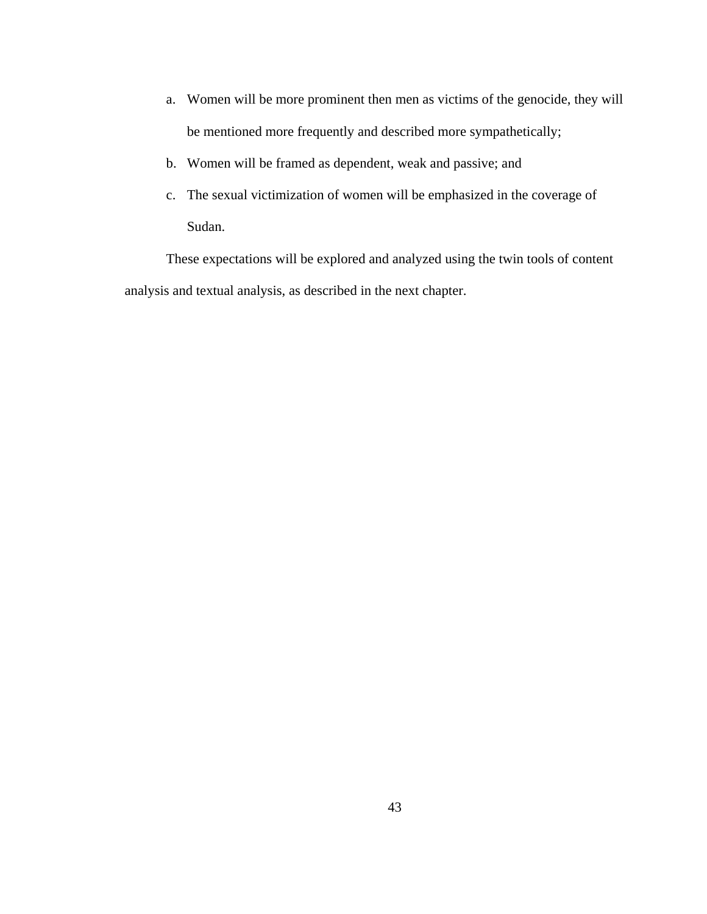- a. Women will be more prominent then men as victims of the genocide, they will be mentioned more frequently and described more sympathetically;
- b. Women will be framed as dependent, weak and passive; and
- c. The sexual victimization of women will be emphasized in the coverage of Sudan.

These expectations will be explored and analyzed using the twin tools of content analysis and textual analysis, as described in the next chapter.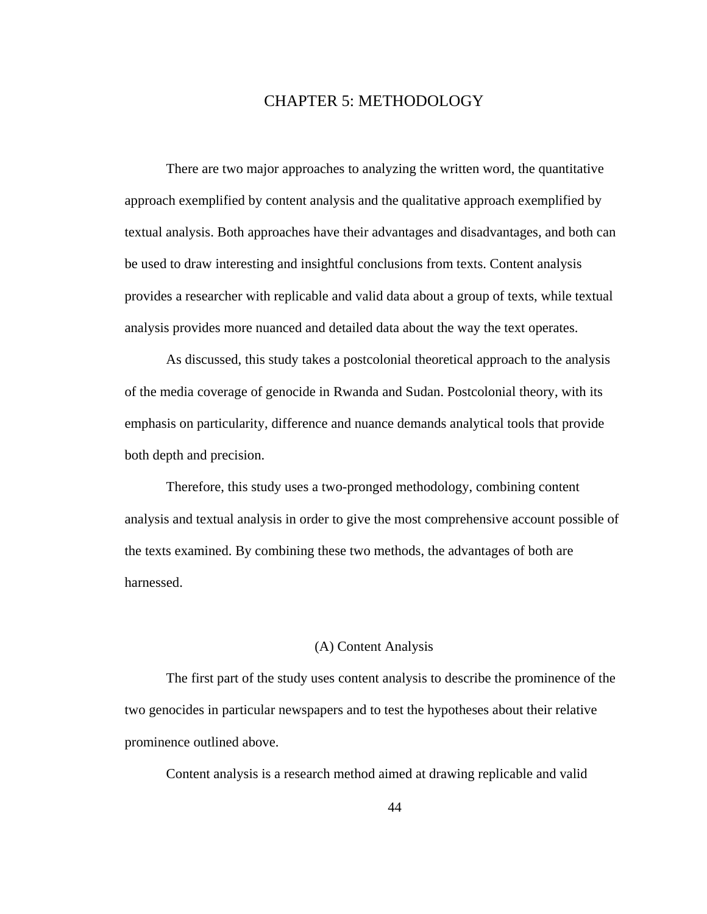# CHAPTER 5: METHODOLOGY

There are two major approaches to analyzing the written word, the quantitative approach exemplified by content analysis and the qualitative approach exemplified by textual analysis. Both approaches have their advantages and disadvantages, and both can be used to draw interesting and insightful conclusions from texts. Content analysis provides a researcher with replicable and valid data about a group of texts, while textual analysis provides more nuanced and detailed data about the way the text operates.

As discussed, this study takes a postcolonial theoretical approach to the analysis of the media coverage of genocide in Rwanda and Sudan. Postcolonial theory, with its emphasis on particularity, difference and nuance demands analytical tools that provide both depth and precision.

Therefore, this study uses a two-pronged methodology, combining content analysis and textual analysis in order to give the most comprehensive account possible of the texts examined. By combining these two methods, the advantages of both are harnessed.

# (A) Content Analysis

The first part of the study uses content analysis to describe the prominence of the two genocides in particular newspapers and to test the hypotheses about their relative prominence outlined above.

Content analysis is a research method aimed at drawing replicable and valid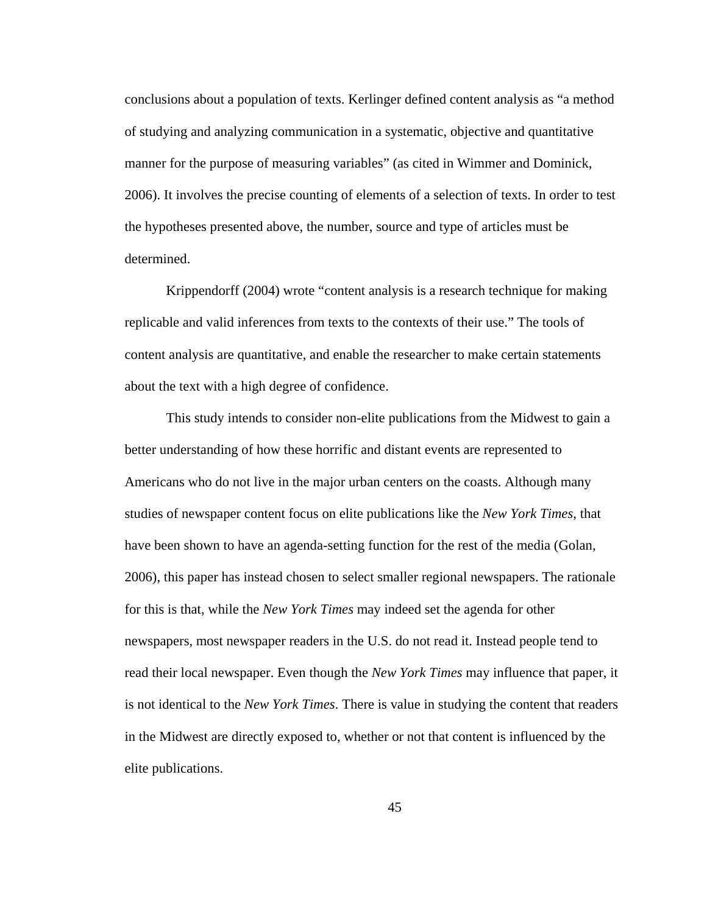conclusions about a population of texts. Kerlinger defined content analysis as "a method of studying and analyzing communication in a systematic, objective and quantitative manner for the purpose of measuring variables" (as cited in Wimmer and Dominick, 2006). It involves the precise counting of elements of a selection of texts. In order to test the hypotheses presented above, the number, source and type of articles must be determined.

Krippendorff (2004) wrote "content analysis is a research technique for making replicable and valid inferences from texts to the contexts of their use." The tools of content analysis are quantitative, and enable the researcher to make certain statements about the text with a high degree of confidence.

This study intends to consider non-elite publications from the Midwest to gain a better understanding of how these horrific and distant events are represented to Americans who do not live in the major urban centers on the coasts. Although many studies of newspaper content focus on elite publications like the *New York Times*, that have been shown to have an agenda-setting function for the rest of the media (Golan, 2006), this paper has instead chosen to select smaller regional newspapers. The rationale for this is that, while the *New York Times* may indeed set the agenda for other newspapers, most newspaper readers in the U.S. do not read it. Instead people tend to read their local newspaper. Even though the *New York Times* may influence that paper, it is not identical to the *New York Times*. There is value in studying the content that readers in the Midwest are directly exposed to, whether or not that content is influenced by the elite publications.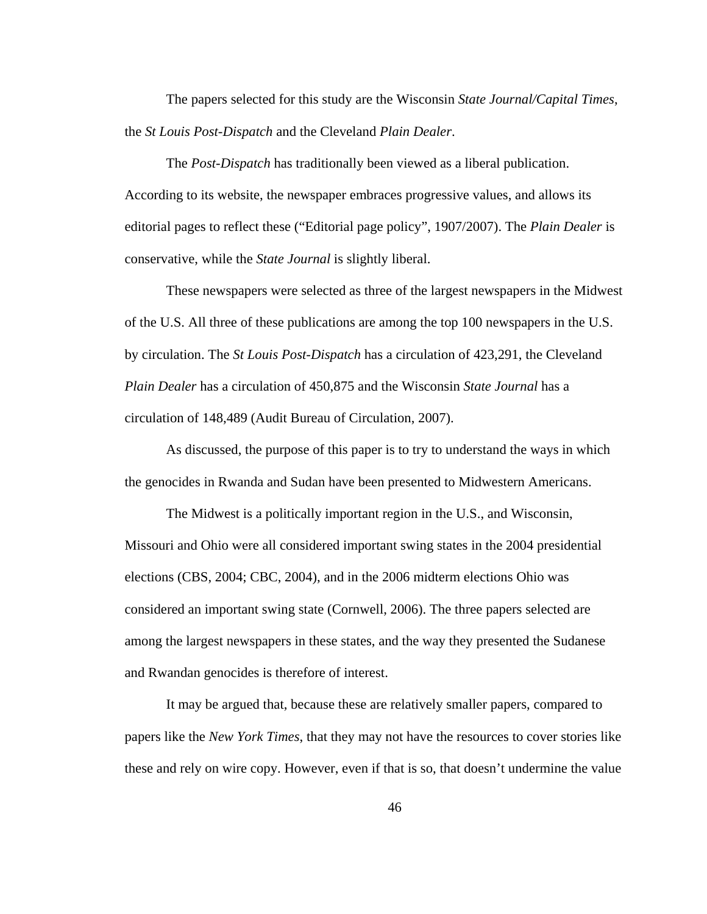The papers selected for this study are the Wisconsin *State Journal/Capital Times*, the *St Louis Post-Dispatch* and the Cleveland *Plain Dealer*.

The *Post-Dispatch* has traditionally been viewed as a liberal publication. According to its website, the newspaper embraces progressive values, and allows its editorial pages to reflect these ("Editorial page policy", 1907/2007). The *Plain Dealer* is conservative, while the *State Journal* is slightly liberal.

These newspapers were selected as three of the largest newspapers in the Midwest of the U.S. All three of these publications are among the top 100 newspapers in the U.S. by circulation. The *St Louis Post-Dispatch* has a circulation of 423,291, the Cleveland *Plain Dealer* has a circulation of 450,875 and the Wisconsin *State Journal* has a circulation of 148,489 (Audit Bureau of Circulation, 2007).

As discussed, the purpose of this paper is to try to understand the ways in which the genocides in Rwanda and Sudan have been presented to Midwestern Americans.

The Midwest is a politically important region in the U.S., and Wisconsin, Missouri and Ohio were all considered important swing states in the 2004 presidential elections (CBS, 2004; CBC, 2004), and in the 2006 midterm elections Ohio was considered an important swing state (Cornwell, 2006). The three papers selected are among the largest newspapers in these states, and the way they presented the Sudanese and Rwandan genocides is therefore of interest.

It may be argued that, because these are relatively smaller papers, compared to papers like the *New York Times*, that they may not have the resources to cover stories like these and rely on wire copy. However, even if that is so, that doesn't undermine the value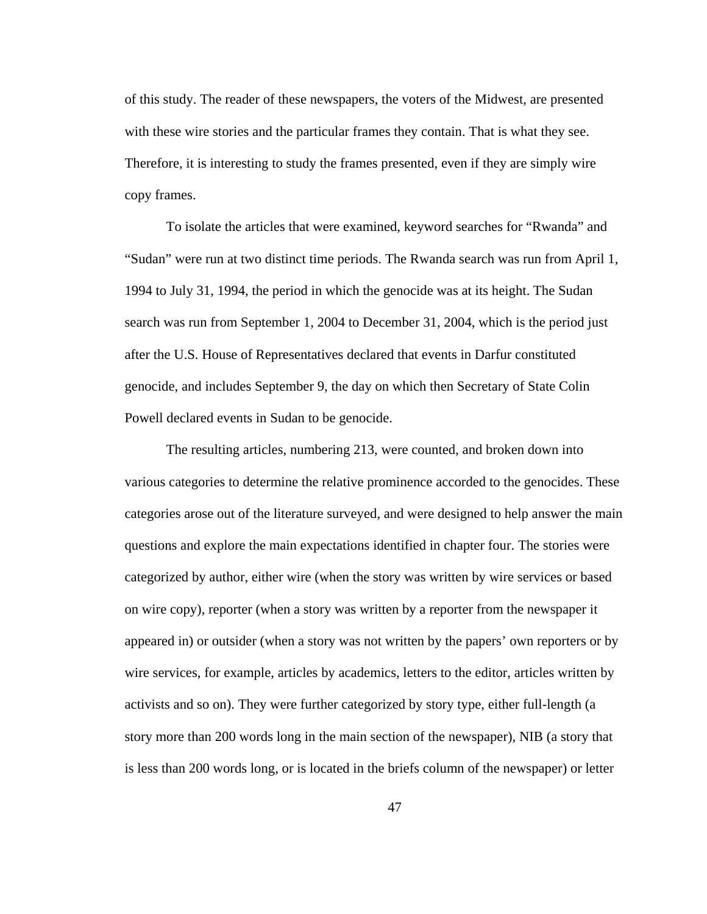of this study. The reader of these newspapers, the voters of the Midwest, are presented with these wire stories and the particular frames they contain. That is what they see. Therefore, it is interesting to study the frames presented, even if they are simply wire copy frames.

To isolate the articles that were examined, keyword searches for "Rwanda" and "Sudan" were run at two distinct time periods. The Rwanda search was run from April 1, 1994 to July 31, 1994, the period in which the genocide was at its height. The Sudan search was run from September 1, 2004 to December 31, 2004, which is the period just after the U.S. House of Representatives declared that events in Darfur constituted genocide, and includes September 9, the day on which then Secretary of State Colin Powell declared events in Sudan to be genocide.

The resulting articles, numbering 213, were counted, and broken down into various categories to determine the relative prominence accorded to the genocides. These categories arose out of the literature surveyed, and were designed to help answer the main questions and explore the main expectations identified in chapter four. The stories were categorized by author, either wire (when the story was written by wire services or based on wire copy), reporter (when a story was written by a reporter from the newspaper it appeared in) or outsider (when a story was not written by the papers' own reporters or by wire services, for example, articles by academics, letters to the editor, articles written by activists and so on). They were further categorized by story type, either full-length (a story more than 200 words long in the main section of the newspaper), NIB (a story that is less than 200 words long, or is located in the briefs column of the newspaper) or letter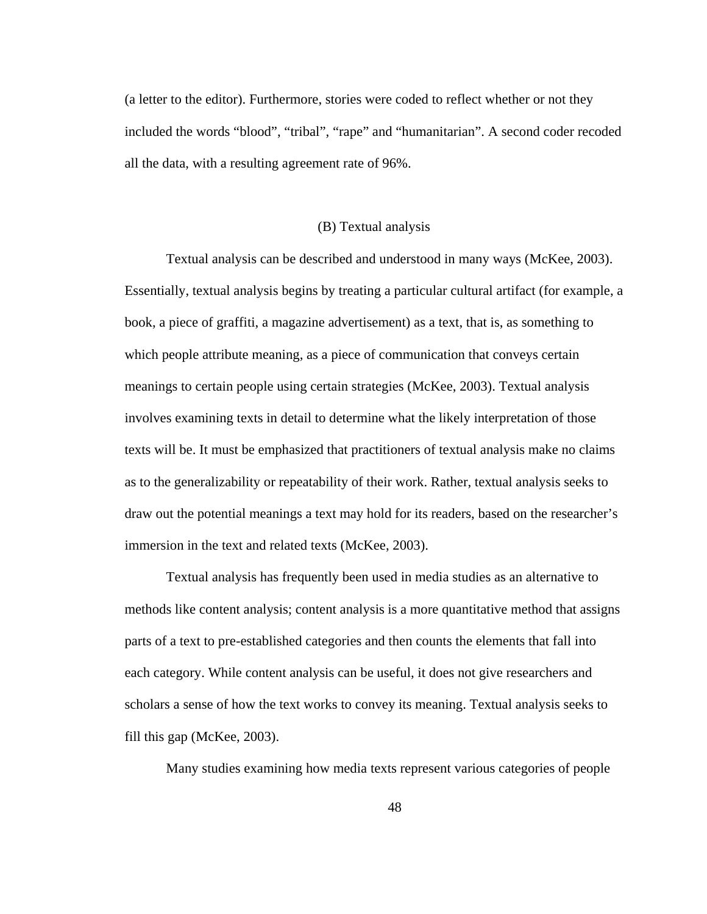(a letter to the editor). Furthermore, stories were coded to reflect whether or not they included the words "blood", "tribal", "rape" and "humanitarian". A second coder recoded all the data, with a resulting agreement rate of 96%.

## (B) Textual analysis

Textual analysis can be described and understood in many ways (McKee, 2003). Essentially, textual analysis begins by treating a particular cultural artifact (for example, a book, a piece of graffiti, a magazine advertisement) as a text, that is, as something to which people attribute meaning, as a piece of communication that conveys certain meanings to certain people using certain strategies (McKee, 2003). Textual analysis involves examining texts in detail to determine what the likely interpretation of those texts will be. It must be emphasized that practitioners of textual analysis make no claims as to the generalizability or repeatability of their work. Rather, textual analysis seeks to draw out the potential meanings a text may hold for its readers, based on the researcher's immersion in the text and related texts (McKee, 2003).

Textual analysis has frequently been used in media studies as an alternative to methods like content analysis; content analysis is a more quantitative method that assigns parts of a text to pre-established categories and then counts the elements that fall into each category. While content analysis can be useful, it does not give researchers and scholars a sense of how the text works to convey its meaning. Textual analysis seeks to fill this gap (McKee, 2003).

Many studies examining how media texts represent various categories of people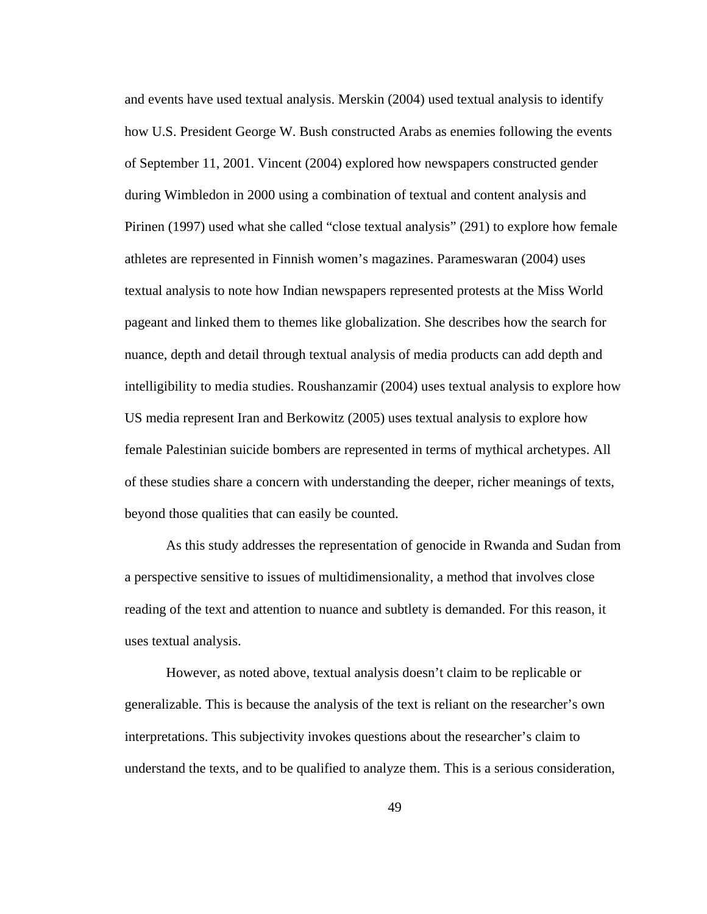and events have used textual analysis. Merskin (2004) used textual analysis to identify how U.S. President George W. Bush constructed Arabs as enemies following the events of September 11, 2001. Vincent (2004) explored how newspapers constructed gender during Wimbledon in 2000 using a combination of textual and content analysis and Pirinen (1997) used what she called "close textual analysis" (291) to explore how female athletes are represented in Finnish women's magazines. Parameswaran (2004) uses textual analysis to note how Indian newspapers represented protests at the Miss World pageant and linked them to themes like globalization. She describes how the search for nuance, depth and detail through textual analysis of media products can add depth and intelligibility to media studies. Roushanzamir (2004) uses textual analysis to explore how US media represent Iran and Berkowitz (2005) uses textual analysis to explore how female Palestinian suicide bombers are represented in terms of mythical archetypes. All of these studies share a concern with understanding the deeper, richer meanings of texts, beyond those qualities that can easily be counted.

As this study addresses the representation of genocide in Rwanda and Sudan from a perspective sensitive to issues of multidimensionality, a method that involves close reading of the text and attention to nuance and subtlety is demanded. For this reason, it uses textual analysis.

However, as noted above, textual analysis doesn't claim to be replicable or generalizable. This is because the analysis of the text is reliant on the researcher's own interpretations. This subjectivity invokes questions about the researcher's claim to understand the texts, and to be qualified to analyze them. This is a serious consideration,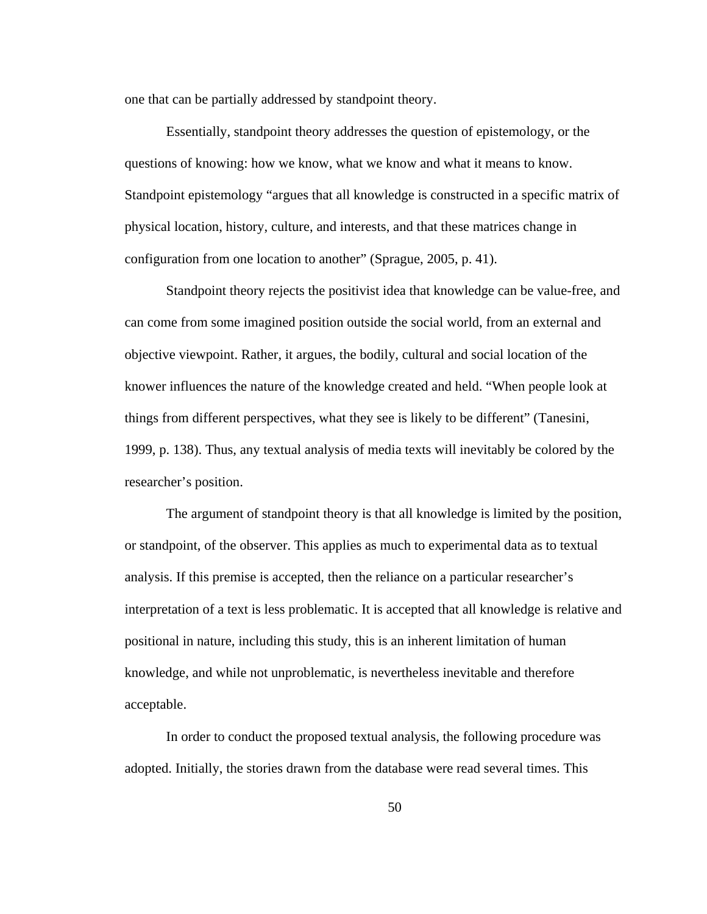one that can be partially addressed by standpoint theory.

Essentially, standpoint theory addresses the question of epistemology, or the questions of knowing: how we know, what we know and what it means to know. Standpoint epistemology "argues that all knowledge is constructed in a specific matrix of physical location, history, culture, and interests, and that these matrices change in configuration from one location to another" (Sprague, 2005, p. 41).

Standpoint theory rejects the positivist idea that knowledge can be value-free, and can come from some imagined position outside the social world, from an external and objective viewpoint. Rather, it argues, the bodily, cultural and social location of the knower influences the nature of the knowledge created and held. "When people look at things from different perspectives, what they see is likely to be different" (Tanesini, 1999, p. 138). Thus, any textual analysis of media texts will inevitably be colored by the researcher's position.

The argument of standpoint theory is that all knowledge is limited by the position, or standpoint, of the observer. This applies as much to experimental data as to textual analysis. If this premise is accepted, then the reliance on a particular researcher's interpretation of a text is less problematic. It is accepted that all knowledge is relative and positional in nature, including this study, this is an inherent limitation of human knowledge, and while not unproblematic, is nevertheless inevitable and therefore acceptable.

In order to conduct the proposed textual analysis, the following procedure was adopted. Initially, the stories drawn from the database were read several times. This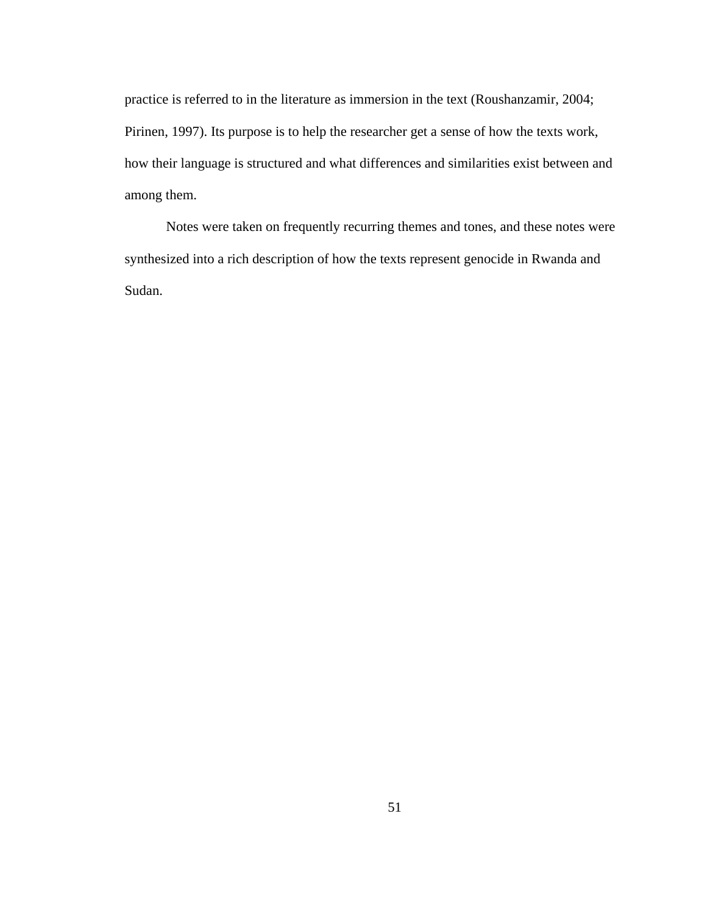practice is referred to in the literature as immersion in the text (Roushanzamir, 2004; Pirinen, 1997). Its purpose is to help the researcher get a sense of how the texts work, how their language is structured and what differences and similarities exist between and among them.

Notes were taken on frequently recurring themes and tones, and these notes were synthesized into a rich description of how the texts represent genocide in Rwanda and Sudan.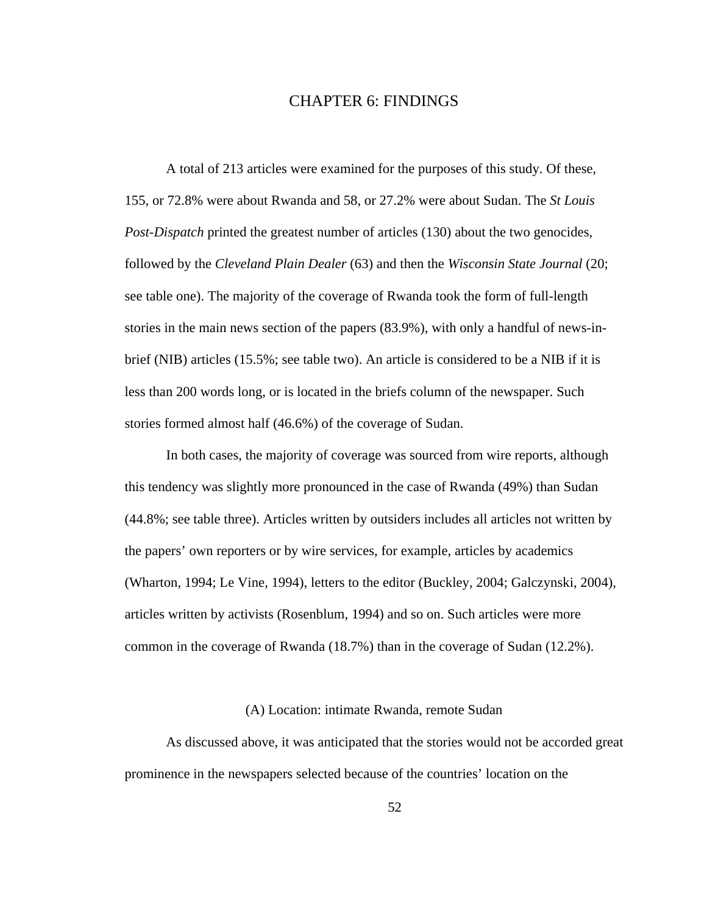# CHAPTER 6: FINDINGS

A total of 213 articles were examined for the purposes of this study. Of these, 155, or 72.8% were about Rwanda and 58, or 27.2% were about Sudan. The *St Louis Post-Dispatch* printed the greatest number of articles (130) about the two genocides, followed by the *Cleveland Plain Dealer* (63) and then the *Wisconsin State Journal* (20; see table one). The majority of the coverage of Rwanda took the form of full-length stories in the main news section of the papers (83.9%), with only a handful of news-inbrief (NIB) articles (15.5%; see table two). An article is considered to be a NIB if it is less than 200 words long, or is located in the briefs column of the newspaper. Such stories formed almost half (46.6%) of the coverage of Sudan.

In both cases, the majority of coverage was sourced from wire reports, although this tendency was slightly more pronounced in the case of Rwanda (49%) than Sudan (44.8%; see table three). Articles written by outsiders includes all articles not written by the papers' own reporters or by wire services, for example, articles by academics (Wharton, 1994; Le Vine, 1994), letters to the editor (Buckley, 2004; Galczynski, 2004), articles written by activists (Rosenblum, 1994) and so on. Such articles were more common in the coverage of Rwanda (18.7%) than in the coverage of Sudan (12.2%).

# (A) Location: intimate Rwanda, remote Sudan

As discussed above, it was anticipated that the stories would not be accorded great prominence in the newspapers selected because of the countries' location on the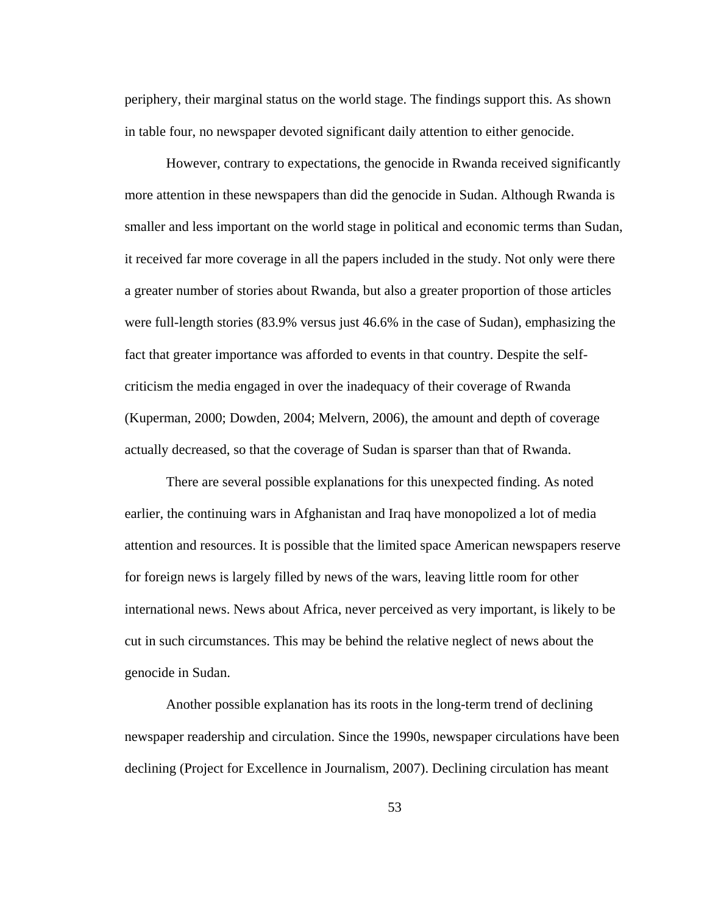periphery, their marginal status on the world stage. The findings support this. As shown in table four, no newspaper devoted significant daily attention to either genocide.

However, contrary to expectations, the genocide in Rwanda received significantly more attention in these newspapers than did the genocide in Sudan. Although Rwanda is smaller and less important on the world stage in political and economic terms than Sudan, it received far more coverage in all the papers included in the study. Not only were there a greater number of stories about Rwanda, but also a greater proportion of those articles were full-length stories (83.9% versus just 46.6% in the case of Sudan), emphasizing the fact that greater importance was afforded to events in that country. Despite the selfcriticism the media engaged in over the inadequacy of their coverage of Rwanda (Kuperman, 2000; Dowden, 2004; Melvern, 2006), the amount and depth of coverage actually decreased, so that the coverage of Sudan is sparser than that of Rwanda.

There are several possible explanations for this unexpected finding. As noted earlier, the continuing wars in Afghanistan and Iraq have monopolized a lot of media attention and resources. It is possible that the limited space American newspapers reserve for foreign news is largely filled by news of the wars, leaving little room for other international news. News about Africa, never perceived as very important, is likely to be cut in such circumstances. This may be behind the relative neglect of news about the genocide in Sudan.

Another possible explanation has its roots in the long-term trend of declining newspaper readership and circulation. Since the 1990s, newspaper circulations have been declining (Project for Excellence in Journalism, 2007). Declining circulation has meant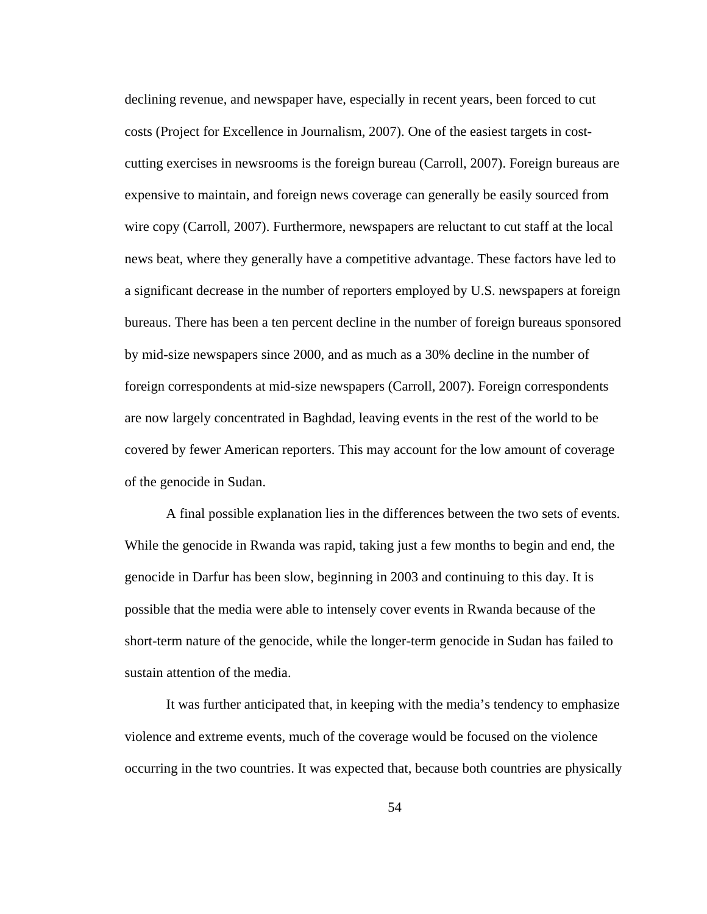declining revenue, and newspaper have, especially in recent years, been forced to cut costs (Project for Excellence in Journalism, 2007). One of the easiest targets in costcutting exercises in newsrooms is the foreign bureau (Carroll, 2007). Foreign bureaus are expensive to maintain, and foreign news coverage can generally be easily sourced from wire copy (Carroll, 2007). Furthermore, newspapers are reluctant to cut staff at the local news beat, where they generally have a competitive advantage. These factors have led to a significant decrease in the number of reporters employed by U.S. newspapers at foreign bureaus. There has been a ten percent decline in the number of foreign bureaus sponsored by mid-size newspapers since 2000, and as much as a 30% decline in the number of foreign correspondents at mid-size newspapers (Carroll, 2007). Foreign correspondents are now largely concentrated in Baghdad, leaving events in the rest of the world to be covered by fewer American reporters. This may account for the low amount of coverage of the genocide in Sudan.

A final possible explanation lies in the differences between the two sets of events. While the genocide in Rwanda was rapid, taking just a few months to begin and end, the genocide in Darfur has been slow, beginning in 2003 and continuing to this day. It is possible that the media were able to intensely cover events in Rwanda because of the short-term nature of the genocide, while the longer-term genocide in Sudan has failed to sustain attention of the media.

It was further anticipated that, in keeping with the media's tendency to emphasize violence and extreme events, much of the coverage would be focused on the violence occurring in the two countries. It was expected that, because both countries are physically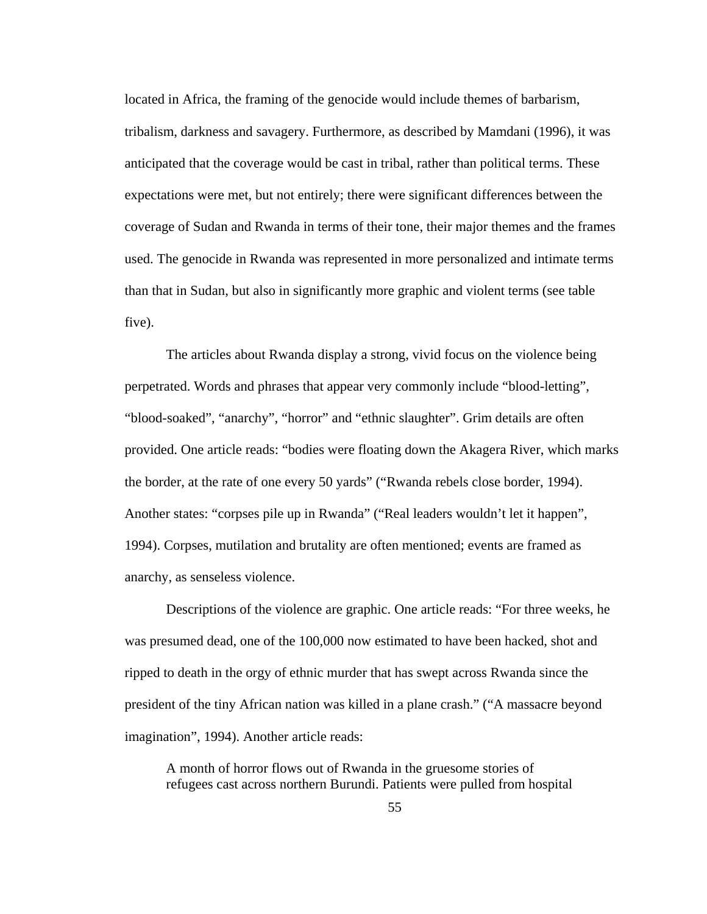located in Africa, the framing of the genocide would include themes of barbarism, tribalism, darkness and savagery. Furthermore, as described by Mamdani (1996), it was anticipated that the coverage would be cast in tribal, rather than political terms. These expectations were met, but not entirely; there were significant differences between the coverage of Sudan and Rwanda in terms of their tone, their major themes and the frames used. The genocide in Rwanda was represented in more personalized and intimate terms than that in Sudan, but also in significantly more graphic and violent terms (see table five).

The articles about Rwanda display a strong, vivid focus on the violence being perpetrated. Words and phrases that appear very commonly include "blood-letting", "blood-soaked", "anarchy", "horror" and "ethnic slaughter". Grim details are often provided. One article reads: "bodies were floating down the Akagera River, which marks the border, at the rate of one every 50 yards" ("Rwanda rebels close border, 1994). Another states: "corpses pile up in Rwanda" ("Real leaders wouldn't let it happen", 1994). Corpses, mutilation and brutality are often mentioned; events are framed as anarchy, as senseless violence.

Descriptions of the violence are graphic. One article reads: "For three weeks, he was presumed dead, one of the 100,000 now estimated to have been hacked, shot and ripped to death in the orgy of ethnic murder that has swept across Rwanda since the president of the tiny African nation was killed in a plane crash." ("A massacre beyond imagination", 1994). Another article reads:

A month of horror flows out of Rwanda in the gruesome stories of refugees cast across northern Burundi. Patients were pulled from hospital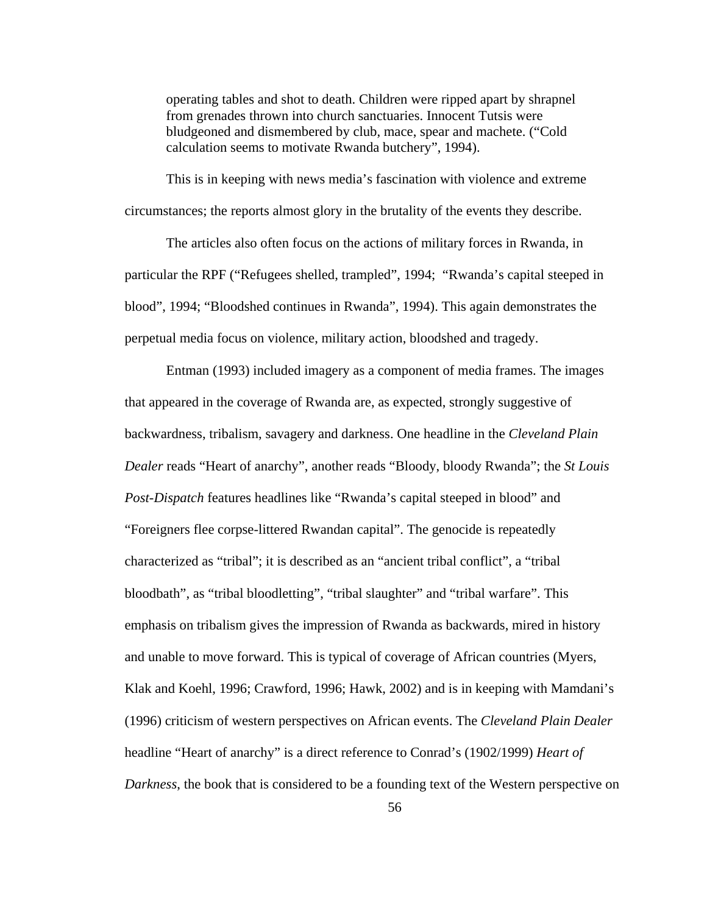operating tables and shot to death. Children were ripped apart by shrapnel from grenades thrown into church sanctuaries. Innocent Tutsis were bludgeoned and dismembered by club, mace, spear and machete. ("Cold calculation seems to motivate Rwanda butchery", 1994).

This is in keeping with news media's fascination with violence and extreme circumstances; the reports almost glory in the brutality of the events they describe.

The articles also often focus on the actions of military forces in Rwanda, in particular the RPF ("Refugees shelled, trampled", 1994; "Rwanda's capital steeped in blood", 1994; "Bloodshed continues in Rwanda", 1994). This again demonstrates the perpetual media focus on violence, military action, bloodshed and tragedy.

Entman (1993) included imagery as a component of media frames. The images that appeared in the coverage of Rwanda are, as expected, strongly suggestive of backwardness, tribalism, savagery and darkness. One headline in the *Cleveland Plain Dealer* reads "Heart of anarchy", another reads "Bloody, bloody Rwanda"; the *St Louis Post-Dispatch* features headlines like "Rwanda's capital steeped in blood" and "Foreigners flee corpse-littered Rwandan capital". The genocide is repeatedly characterized as "tribal"; it is described as an "ancient tribal conflict", a "tribal bloodbath", as "tribal bloodletting", "tribal slaughter" and "tribal warfare". This emphasis on tribalism gives the impression of Rwanda as backwards, mired in history and unable to move forward. This is typical of coverage of African countries (Myers, Klak and Koehl, 1996; Crawford, 1996; Hawk, 2002) and is in keeping with Mamdani's (1996) criticism of western perspectives on African events. The *Cleveland Plain Dealer*  headline "Heart of anarchy" is a direct reference to Conrad's (1902/1999) *Heart of Darkness*, the book that is considered to be a founding text of the Western perspective on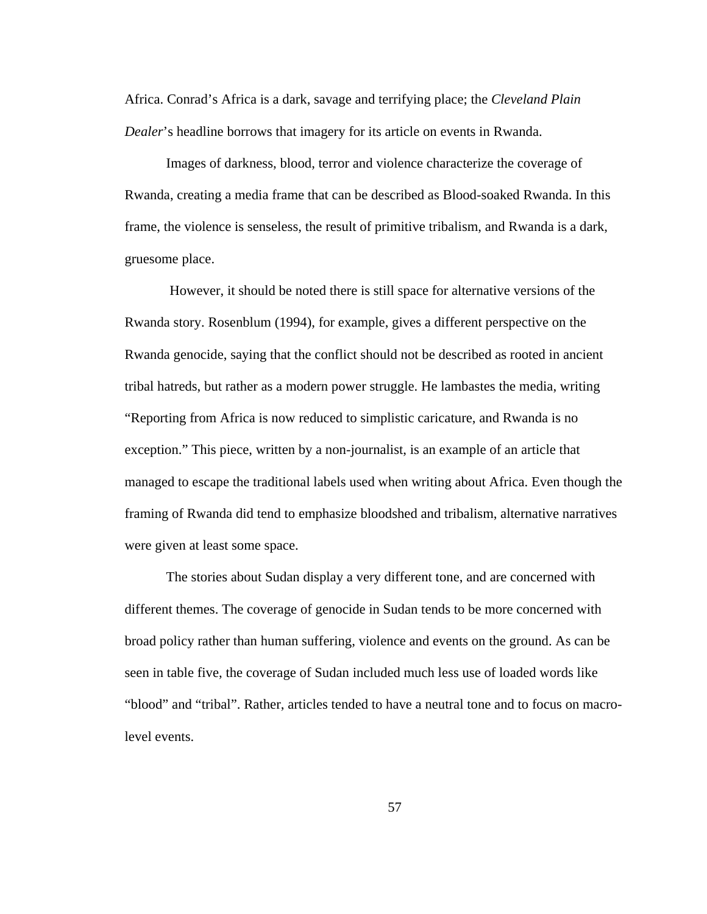Africa. Conrad's Africa is a dark, savage and terrifying place; the *Cleveland Plain Dealer*'s headline borrows that imagery for its article on events in Rwanda.

Images of darkness, blood, terror and violence characterize the coverage of Rwanda, creating a media frame that can be described as Blood-soaked Rwanda. In this frame, the violence is senseless, the result of primitive tribalism, and Rwanda is a dark, gruesome place.

 However, it should be noted there is still space for alternative versions of the Rwanda story. Rosenblum (1994), for example, gives a different perspective on the Rwanda genocide, saying that the conflict should not be described as rooted in ancient tribal hatreds, but rather as a modern power struggle. He lambastes the media, writing "Reporting from Africa is now reduced to simplistic caricature, and Rwanda is no exception." This piece, written by a non-journalist, is an example of an article that managed to escape the traditional labels used when writing about Africa. Even though the framing of Rwanda did tend to emphasize bloodshed and tribalism, alternative narratives were given at least some space.

The stories about Sudan display a very different tone, and are concerned with different themes. The coverage of genocide in Sudan tends to be more concerned with broad policy rather than human suffering, violence and events on the ground. As can be seen in table five, the coverage of Sudan included much less use of loaded words like "blood" and "tribal". Rather, articles tended to have a neutral tone and to focus on macrolevel events.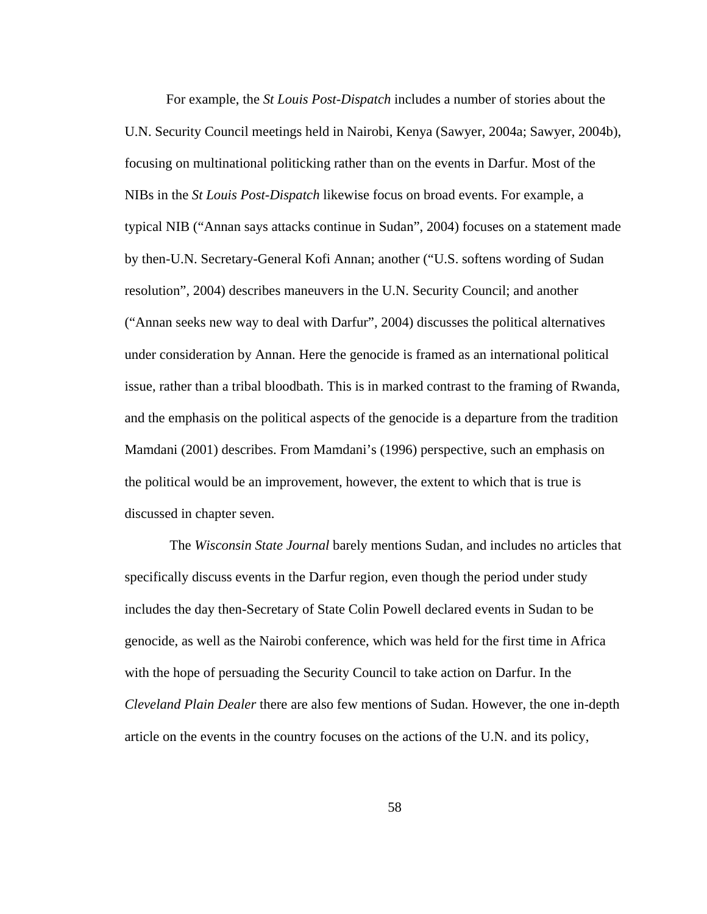For example, the *St Louis Post-Dispatch* includes a number of stories about the U.N. Security Council meetings held in Nairobi, Kenya (Sawyer, 2004a; Sawyer, 2004b), focusing on multinational politicking rather than on the events in Darfur. Most of the NIBs in the *St Louis Post-Dispatch* likewise focus on broad events. For example, a typical NIB ("Annan says attacks continue in Sudan", 2004) focuses on a statement made by then-U.N. Secretary-General Kofi Annan; another ("U.S. softens wording of Sudan resolution", 2004) describes maneuvers in the U.N. Security Council; and another ("Annan seeks new way to deal with Darfur", 2004) discusses the political alternatives under consideration by Annan. Here the genocide is framed as an international political issue, rather than a tribal bloodbath. This is in marked contrast to the framing of Rwanda, and the emphasis on the political aspects of the genocide is a departure from the tradition Mamdani (2001) describes. From Mamdani's (1996) perspective, such an emphasis on the political would be an improvement, however, the extent to which that is true is discussed in chapter seven.

 The *Wisconsin State Journal* barely mentions Sudan, and includes no articles that specifically discuss events in the Darfur region, even though the period under study includes the day then-Secretary of State Colin Powell declared events in Sudan to be genocide, as well as the Nairobi conference, which was held for the first time in Africa with the hope of persuading the Security Council to take action on Darfur. In the *Cleveland Plain Dealer* there are also few mentions of Sudan. However, the one in-depth article on the events in the country focuses on the actions of the U.N. and its policy,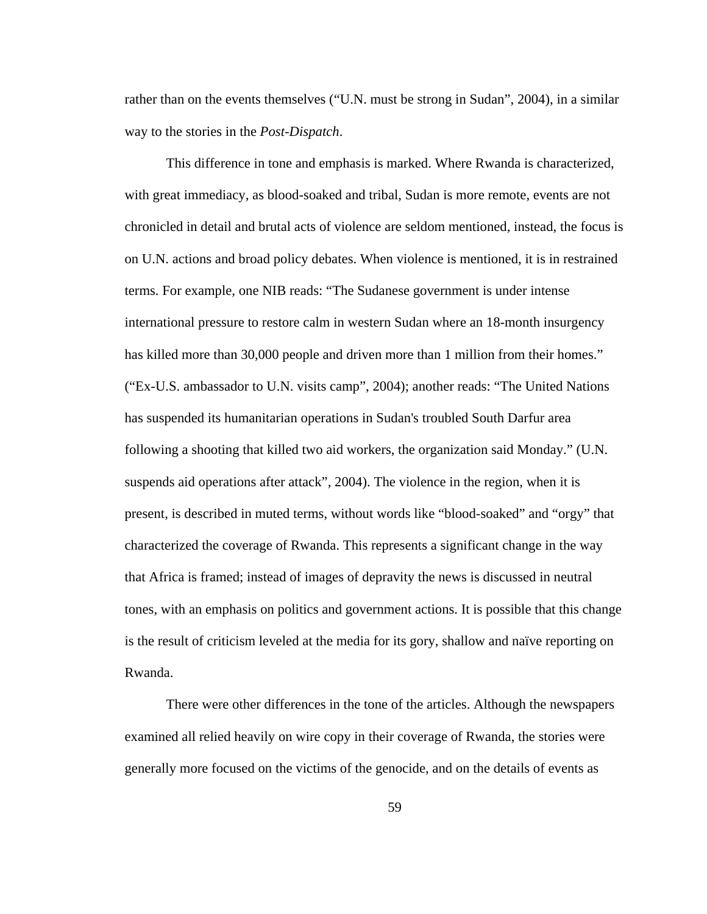rather than on the events themselves ("U.N. must be strong in Sudan", 2004), in a similar way to the stories in the *Post-Dispatch*.

This difference in tone and emphasis is marked. Where Rwanda is characterized, with great immediacy, as blood-soaked and tribal, Sudan is more remote, events are not chronicled in detail and brutal acts of violence are seldom mentioned, instead, the focus is on U.N. actions and broad policy debates. When violence is mentioned, it is in restrained terms. For example, one NIB reads: "The Sudanese government is under intense international pressure to restore calm in western Sudan where an 18-month insurgency has killed more than 30,000 people and driven more than 1 million from their homes." ("Ex-U.S. ambassador to U.N. visits camp", 2004); another reads: "The United Nations has suspended its humanitarian operations in Sudan's troubled South Darfur area following a shooting that killed two aid workers, the organization said Monday." (U.N. suspends aid operations after attack", 2004). The violence in the region, when it is present, is described in muted terms, without words like "blood-soaked" and "orgy" that characterized the coverage of Rwanda. This represents a significant change in the way that Africa is framed; instead of images of depravity the news is discussed in neutral tones, with an emphasis on politics and government actions. It is possible that this change is the result of criticism leveled at the media for its gory, shallow and naïve reporting on Rwanda.

There were other differences in the tone of the articles. Although the newspapers examined all relied heavily on wire copy in their coverage of Rwanda, the stories were generally more focused on the victims of the genocide, and on the details of events as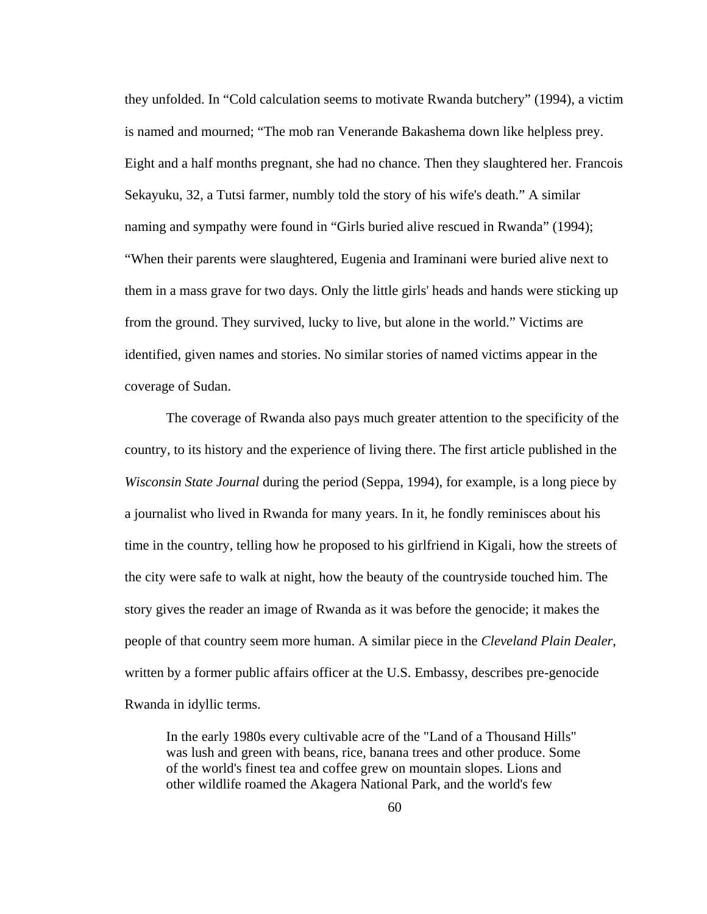they unfolded. In "Cold calculation seems to motivate Rwanda butchery" (1994), a victim is named and mourned; "The mob ran Venerande Bakashema down like helpless prey. Eight and a half months pregnant, she had no chance. Then they slaughtered her. Francois Sekayuku, 32, a Tutsi farmer, numbly told the story of his wife's death." A similar naming and sympathy were found in "Girls buried alive rescued in Rwanda" (1994); "When their parents were slaughtered, Eugenia and Iraminani were buried alive next to them in a mass grave for two days. Only the little girls' heads and hands were sticking up from the ground. They survived, lucky to live, but alone in the world." Victims are identified, given names and stories. No similar stories of named victims appear in the coverage of Sudan.

The coverage of Rwanda also pays much greater attention to the specificity of the country, to its history and the experience of living there. The first article published in the *Wisconsin State Journal* during the period (Seppa, 1994), for example, is a long piece by a journalist who lived in Rwanda for many years. In it, he fondly reminisces about his time in the country, telling how he proposed to his girlfriend in Kigali, how the streets of the city were safe to walk at night, how the beauty of the countryside touched him. The story gives the reader an image of Rwanda as it was before the genocide; it makes the people of that country seem more human. A similar piece in the *Cleveland Plain Dealer*, written by a former public affairs officer at the U.S. Embassy, describes pre-genocide Rwanda in idyllic terms.

In the early 1980s every cultivable acre of the "Land of a Thousand Hills" was lush and green with beans, rice, banana trees and other produce. Some of the world's finest tea and coffee grew on mountain slopes. Lions and other wildlife roamed the Akagera National Park, and the world's few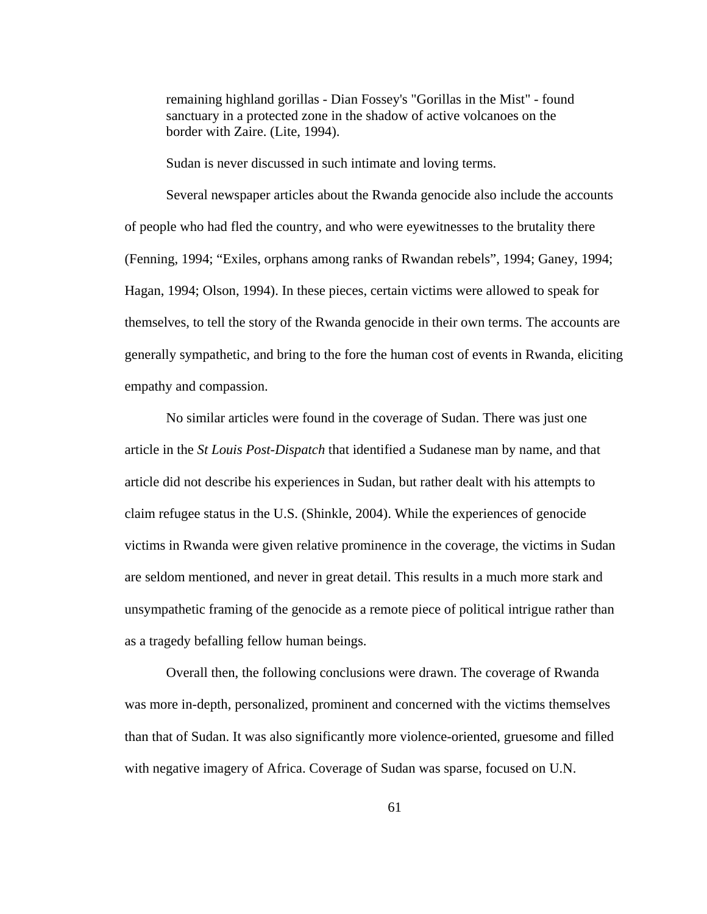remaining highland gorillas - Dian Fossey's "Gorillas in the Mist" - found sanctuary in a protected zone in the shadow of active volcanoes on the border with Zaire. (Lite, 1994).

Sudan is never discussed in such intimate and loving terms.

Several newspaper articles about the Rwanda genocide also include the accounts of people who had fled the country, and who were eyewitnesses to the brutality there (Fenning, 1994; "Exiles, orphans among ranks of Rwandan rebels", 1994; Ganey, 1994; Hagan, 1994; Olson, 1994). In these pieces, certain victims were allowed to speak for themselves, to tell the story of the Rwanda genocide in their own terms. The accounts are generally sympathetic, and bring to the fore the human cost of events in Rwanda, eliciting empathy and compassion.

No similar articles were found in the coverage of Sudan. There was just one article in the *St Louis Post-Dispatch* that identified a Sudanese man by name, and that article did not describe his experiences in Sudan, but rather dealt with his attempts to claim refugee status in the U.S. (Shinkle, 2004). While the experiences of genocide victims in Rwanda were given relative prominence in the coverage, the victims in Sudan are seldom mentioned, and never in great detail. This results in a much more stark and unsympathetic framing of the genocide as a remote piece of political intrigue rather than as a tragedy befalling fellow human beings.

Overall then, the following conclusions were drawn. The coverage of Rwanda was more in-depth, personalized, prominent and concerned with the victims themselves than that of Sudan. It was also significantly more violence-oriented, gruesome and filled with negative imagery of Africa. Coverage of Sudan was sparse, focused on U.N.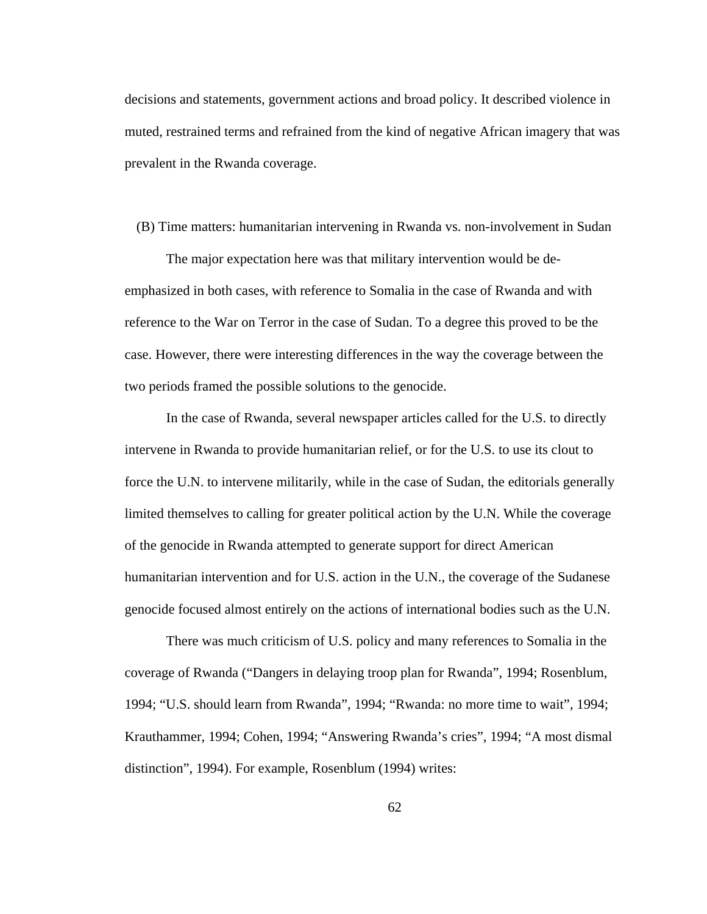decisions and statements, government actions and broad policy. It described violence in muted, restrained terms and refrained from the kind of negative African imagery that was prevalent in the Rwanda coverage.

## (B) Time matters: humanitarian intervening in Rwanda vs. non-involvement in Sudan

The major expectation here was that military intervention would be deemphasized in both cases, with reference to Somalia in the case of Rwanda and with reference to the War on Terror in the case of Sudan. To a degree this proved to be the case. However, there were interesting differences in the way the coverage between the two periods framed the possible solutions to the genocide.

In the case of Rwanda, several newspaper articles called for the U.S. to directly intervene in Rwanda to provide humanitarian relief, or for the U.S. to use its clout to force the U.N. to intervene militarily, while in the case of Sudan, the editorials generally limited themselves to calling for greater political action by the U.N. While the coverage of the genocide in Rwanda attempted to generate support for direct American humanitarian intervention and for U.S. action in the U.N., the coverage of the Sudanese genocide focused almost entirely on the actions of international bodies such as the U.N.

There was much criticism of U.S. policy and many references to Somalia in the coverage of Rwanda ("Dangers in delaying troop plan for Rwanda", 1994; Rosenblum, 1994; "U.S. should learn from Rwanda", 1994; "Rwanda: no more time to wait", 1994; Krauthammer, 1994; Cohen, 1994; "Answering Rwanda's cries", 1994; "A most dismal distinction", 1994). For example, Rosenblum (1994) writes: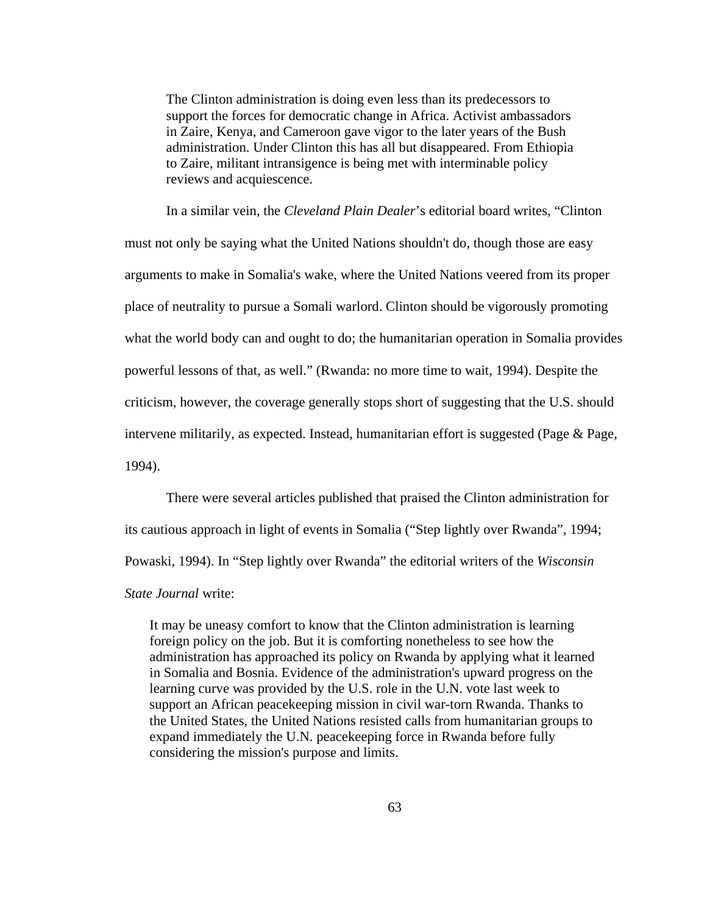The Clinton administration is doing even less than its predecessors to support the forces for democratic change in Africa. Activist ambassadors in Zaire, Kenya, and Cameroon gave vigor to the later years of the Bush administration. Under Clinton this has all but disappeared. From Ethiopia to Zaire, militant intransigence is being met with interminable policy reviews and acquiescence.

In a similar vein, the *Cleveland Plain Dealer*'s editorial board writes, "Clinton must not only be saying what the United Nations shouldn't do, though those are easy arguments to make in Somalia's wake, where the United Nations veered from its proper place of neutrality to pursue a Somali warlord. Clinton should be vigorously promoting what the world body can and ought to do; the humanitarian operation in Somalia provides powerful lessons of that, as well." (Rwanda: no more time to wait, 1994). Despite the criticism, however, the coverage generally stops short of suggesting that the U.S. should intervene militarily, as expected. Instead, humanitarian effort is suggested (Page & Page, 1994).

There were several articles published that praised the Clinton administration for its cautious approach in light of events in Somalia ("Step lightly over Rwanda", 1994; Powaski, 1994). In "Step lightly over Rwanda" the editorial writers of the *Wisconsin State Journal* write:

It may be uneasy comfort to know that the Clinton administration is learning foreign policy on the job. But it is comforting nonetheless to see how the administration has approached its policy on Rwanda by applying what it learned in Somalia and Bosnia. Evidence of the administration's upward progress on the learning curve was provided by the U.S. role in the U.N. vote last week to support an African peacekeeping mission in civil war-torn Rwanda. Thanks to the United States, the United Nations resisted calls from humanitarian groups to expand immediately the U.N. peacekeeping force in Rwanda before fully considering the mission's purpose and limits.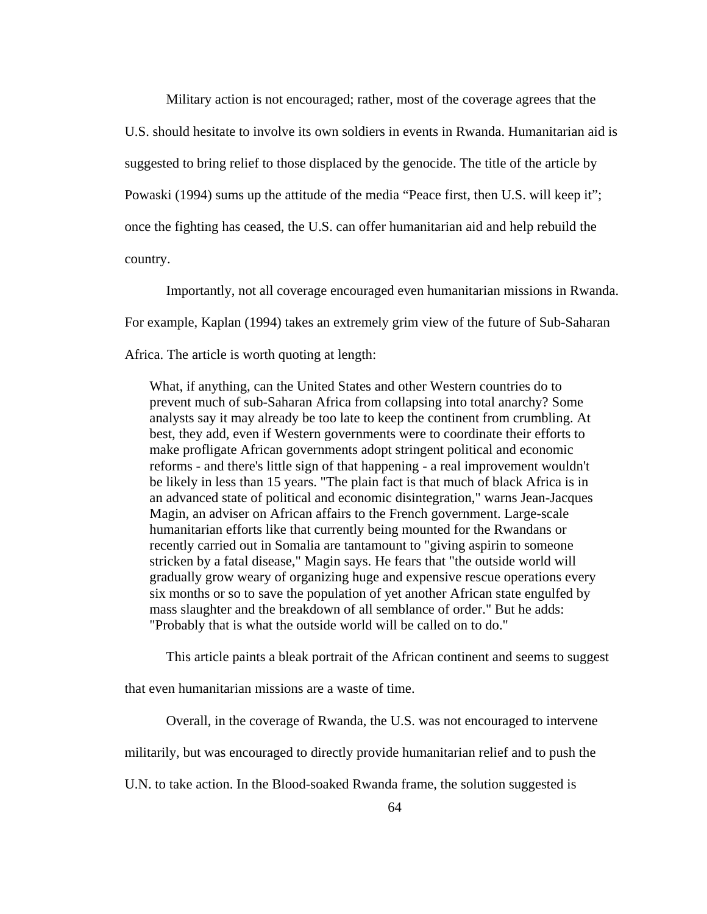Military action is not encouraged; rather, most of the coverage agrees that the U.S. should hesitate to involve its own soldiers in events in Rwanda. Humanitarian aid is suggested to bring relief to those displaced by the genocide. The title of the article by Powaski (1994) sums up the attitude of the media "Peace first, then U.S. will keep it"; once the fighting has ceased, the U.S. can offer humanitarian aid and help rebuild the country.

Importantly, not all coverage encouraged even humanitarian missions in Rwanda. For example, Kaplan (1994) takes an extremely grim view of the future of Sub-Saharan Africa. The article is worth quoting at length:

What, if anything, can the United States and other Western countries do to prevent much of sub-Saharan Africa from collapsing into total anarchy? Some analysts say it may already be too late to keep the continent from crumbling. At best, they add, even if Western governments were to coordinate their efforts to make profligate African governments adopt stringent political and economic reforms - and there's little sign of that happening - a real improvement wouldn't be likely in less than 15 years. "The plain fact is that much of black Africa is in an advanced state of political and economic disintegration," warns Jean-Jacques Magin, an adviser on African affairs to the French government. Large-scale humanitarian efforts like that currently being mounted for the Rwandans or recently carried out in Somalia are tantamount to "giving aspirin to someone stricken by a fatal disease," Magin says. He fears that "the outside world will gradually grow weary of organizing huge and expensive rescue operations every six months or so to save the population of yet another African state engulfed by mass slaughter and the breakdown of all semblance of order." But he adds: "Probably that is what the outside world will be called on to do."

This article paints a bleak portrait of the African continent and seems to suggest

that even humanitarian missions are a waste of time.

Overall, in the coverage of Rwanda, the U.S. was not encouraged to intervene

militarily, but was encouraged to directly provide humanitarian relief and to push the

U.N. to take action. In the Blood-soaked Rwanda frame, the solution suggested is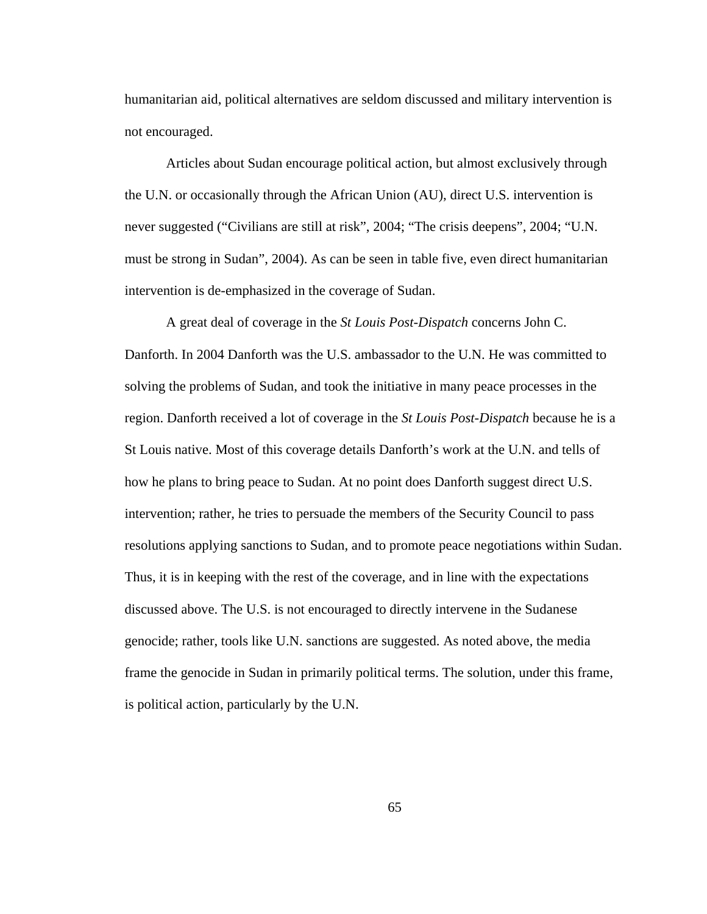humanitarian aid, political alternatives are seldom discussed and military intervention is not encouraged.

Articles about Sudan encourage political action, but almost exclusively through the U.N. or occasionally through the African Union (AU), direct U.S. intervention is never suggested ("Civilians are still at risk", 2004; "The crisis deepens", 2004; "U.N. must be strong in Sudan", 2004). As can be seen in table five, even direct humanitarian intervention is de-emphasized in the coverage of Sudan.

A great deal of coverage in the *St Louis Post-Dispatch* concerns John C. Danforth. In 2004 Danforth was the U.S. ambassador to the U.N. He was committed to solving the problems of Sudan, and took the initiative in many peace processes in the region. Danforth received a lot of coverage in the *St Louis Post-Dispatch* because he is a St Louis native. Most of this coverage details Danforth's work at the U.N. and tells of how he plans to bring peace to Sudan. At no point does Danforth suggest direct U.S. intervention; rather, he tries to persuade the members of the Security Council to pass resolutions applying sanctions to Sudan, and to promote peace negotiations within Sudan. Thus, it is in keeping with the rest of the coverage, and in line with the expectations discussed above. The U.S. is not encouraged to directly intervene in the Sudanese genocide; rather, tools like U.N. sanctions are suggested. As noted above, the media frame the genocide in Sudan in primarily political terms. The solution, under this frame, is political action, particularly by the U.N.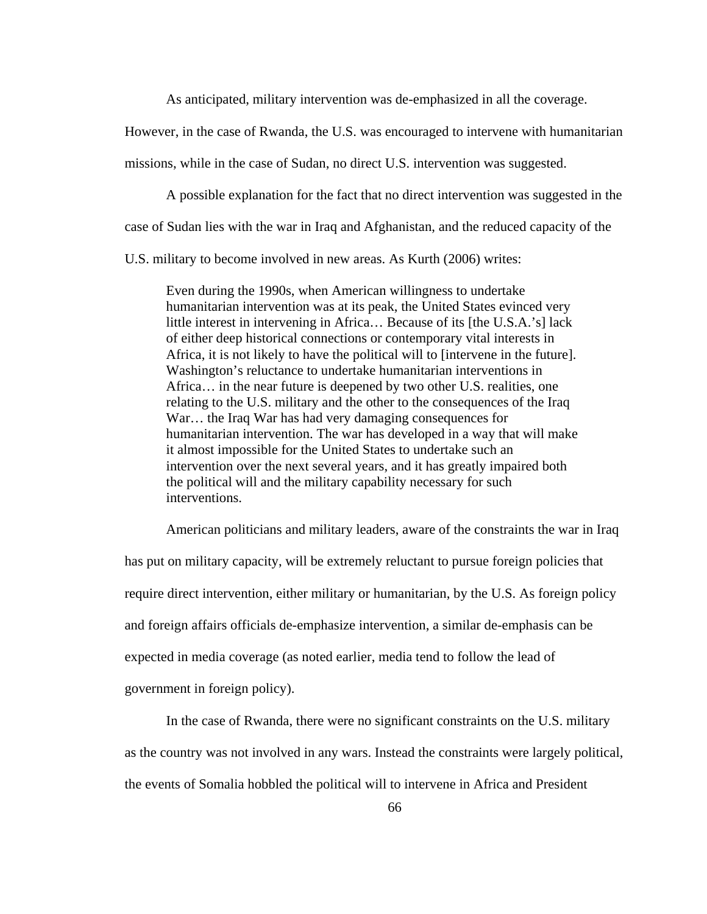As anticipated, military intervention was de-emphasized in all the coverage.

However, in the case of Rwanda, the U.S. was encouraged to intervene with humanitarian

missions, while in the case of Sudan, no direct U.S. intervention was suggested.

A possible explanation for the fact that no direct intervention was suggested in the

case of Sudan lies with the war in Iraq and Afghanistan, and the reduced capacity of the

U.S. military to become involved in new areas. As Kurth (2006) writes:

Even during the 1990s, when American willingness to undertake humanitarian intervention was at its peak, the United States evinced very little interest in intervening in Africa… Because of its [the U.S.A.'s] lack of either deep historical connections or contemporary vital interests in Africa, it is not likely to have the political will to [intervene in the future]. Washington's reluctance to undertake humanitarian interventions in Africa… in the near future is deepened by two other U.S. realities, one relating to the U.S. military and the other to the consequences of the Iraq War… the Iraq War has had very damaging consequences for humanitarian intervention. The war has developed in a way that will make it almost impossible for the United States to undertake such an intervention over the next several years, and it has greatly impaired both the political will and the military capability necessary for such interventions.

American politicians and military leaders, aware of the constraints the war in Iraq has put on military capacity, will be extremely reluctant to pursue foreign policies that require direct intervention, either military or humanitarian, by the U.S. As foreign policy and foreign affairs officials de-emphasize intervention, a similar de-emphasis can be expected in media coverage (as noted earlier, media tend to follow the lead of government in foreign policy).

In the case of Rwanda, there were no significant constraints on the U.S. military as the country was not involved in any wars. Instead the constraints were largely political, the events of Somalia hobbled the political will to intervene in Africa and President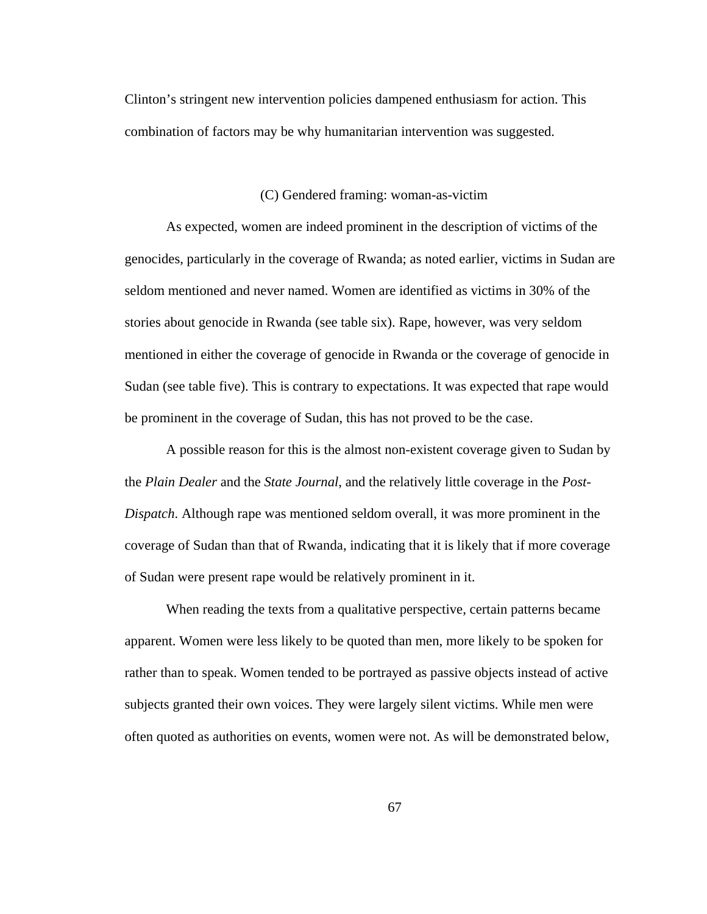Clinton's stringent new intervention policies dampened enthusiasm for action. This combination of factors may be why humanitarian intervention was suggested.

#### (C) Gendered framing: woman-as-victim

As expected, women are indeed prominent in the description of victims of the genocides, particularly in the coverage of Rwanda; as noted earlier, victims in Sudan are seldom mentioned and never named. Women are identified as victims in 30% of the stories about genocide in Rwanda (see table six). Rape, however, was very seldom mentioned in either the coverage of genocide in Rwanda or the coverage of genocide in Sudan (see table five). This is contrary to expectations. It was expected that rape would be prominent in the coverage of Sudan, this has not proved to be the case.

A possible reason for this is the almost non-existent coverage given to Sudan by the *Plain Dealer* and the *State Journal*, and the relatively little coverage in the *Post-Dispatch*. Although rape was mentioned seldom overall, it was more prominent in the coverage of Sudan than that of Rwanda, indicating that it is likely that if more coverage of Sudan were present rape would be relatively prominent in it.

When reading the texts from a qualitative perspective, certain patterns became apparent. Women were less likely to be quoted than men, more likely to be spoken for rather than to speak. Women tended to be portrayed as passive objects instead of active subjects granted their own voices. They were largely silent victims. While men were often quoted as authorities on events, women were not. As will be demonstrated below,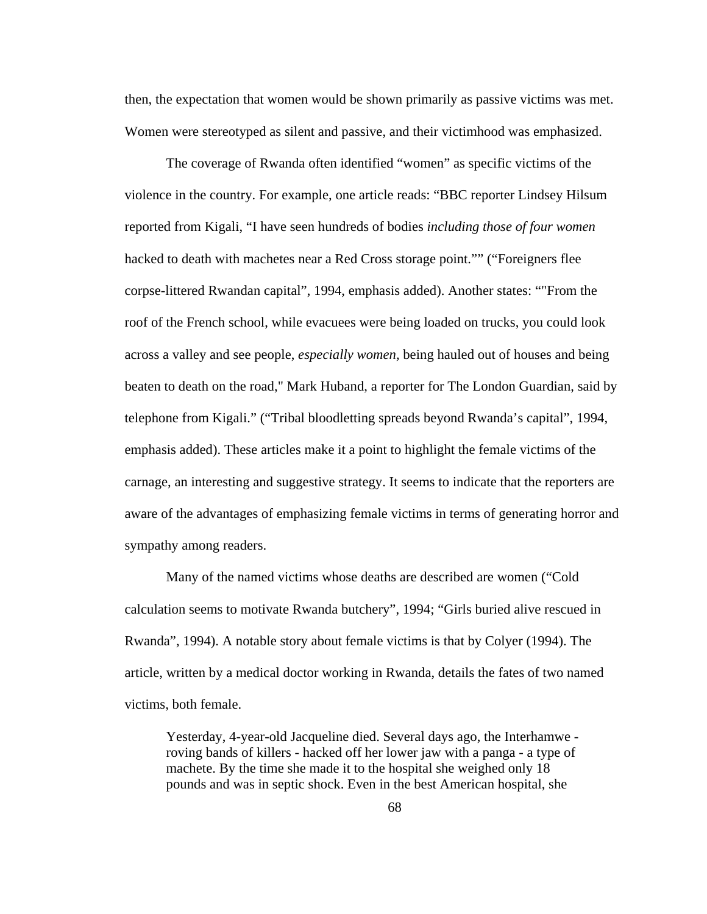then, the expectation that women would be shown primarily as passive victims was met. Women were stereotyped as silent and passive, and their victimhood was emphasized.

The coverage of Rwanda often identified "women" as specific victims of the violence in the country. For example, one article reads: "BBC reporter Lindsey Hilsum reported from Kigali, "I have seen hundreds of bodies *including those of four women* hacked to death with machetes near a Red Cross storage point."" ("Foreigners flee corpse-littered Rwandan capital", 1994, emphasis added). Another states: ""From the roof of the French school, while evacuees were being loaded on trucks, you could look across a valley and see people, *especially women,* being hauled out of houses and being beaten to death on the road," Mark Huband, a reporter for The London Guardian, said by telephone from Kigali." ("Tribal bloodletting spreads beyond Rwanda's capital", 1994, emphasis added). These articles make it a point to highlight the female victims of the carnage, an interesting and suggestive strategy. It seems to indicate that the reporters are aware of the advantages of emphasizing female victims in terms of generating horror and sympathy among readers.

Many of the named victims whose deaths are described are women ("Cold calculation seems to motivate Rwanda butchery", 1994; "Girls buried alive rescued in Rwanda", 1994). A notable story about female victims is that by Colyer (1994). The article, written by a medical doctor working in Rwanda, details the fates of two named victims, both female.

Yesterday, 4-year-old Jacqueline died. Several days ago, the Interhamwe roving bands of killers - hacked off her lower jaw with a panga - a type of machete. By the time she made it to the hospital she weighed only 18 pounds and was in septic shock. Even in the best American hospital, she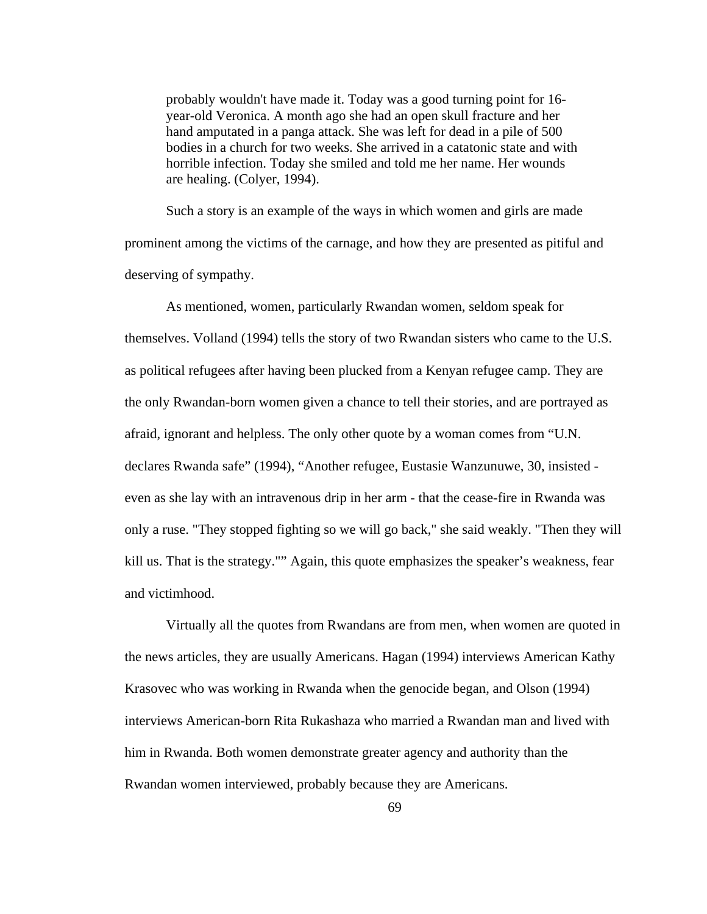probably wouldn't have made it. Today was a good turning point for 16 year-old Veronica. A month ago she had an open skull fracture and her hand amputated in a panga attack. She was left for dead in a pile of 500 bodies in a church for two weeks. She arrived in a catatonic state and with horrible infection. Today she smiled and told me her name. Her wounds are healing. (Colyer, 1994).

Such a story is an example of the ways in which women and girls are made prominent among the victims of the carnage, and how they are presented as pitiful and deserving of sympathy.

As mentioned, women, particularly Rwandan women, seldom speak for themselves. Volland (1994) tells the story of two Rwandan sisters who came to the U.S. as political refugees after having been plucked from a Kenyan refugee camp. They are the only Rwandan-born women given a chance to tell their stories, and are portrayed as afraid, ignorant and helpless. The only other quote by a woman comes from "U.N. declares Rwanda safe" (1994), "Another refugee, Eustasie Wanzunuwe, 30, insisted even as she lay with an intravenous drip in her arm - that the cease-fire in Rwanda was only a ruse. "They stopped fighting so we will go back," she said weakly. "Then they will kill us. That is the strategy."" Again, this quote emphasizes the speaker's weakness, fear and victimhood.

Virtually all the quotes from Rwandans are from men, when women are quoted in the news articles, they are usually Americans. Hagan (1994) interviews American Kathy Krasovec who was working in Rwanda when the genocide began, and Olson (1994) interviews American-born Rita Rukashaza who married a Rwandan man and lived with him in Rwanda. Both women demonstrate greater agency and authority than the Rwandan women interviewed, probably because they are Americans.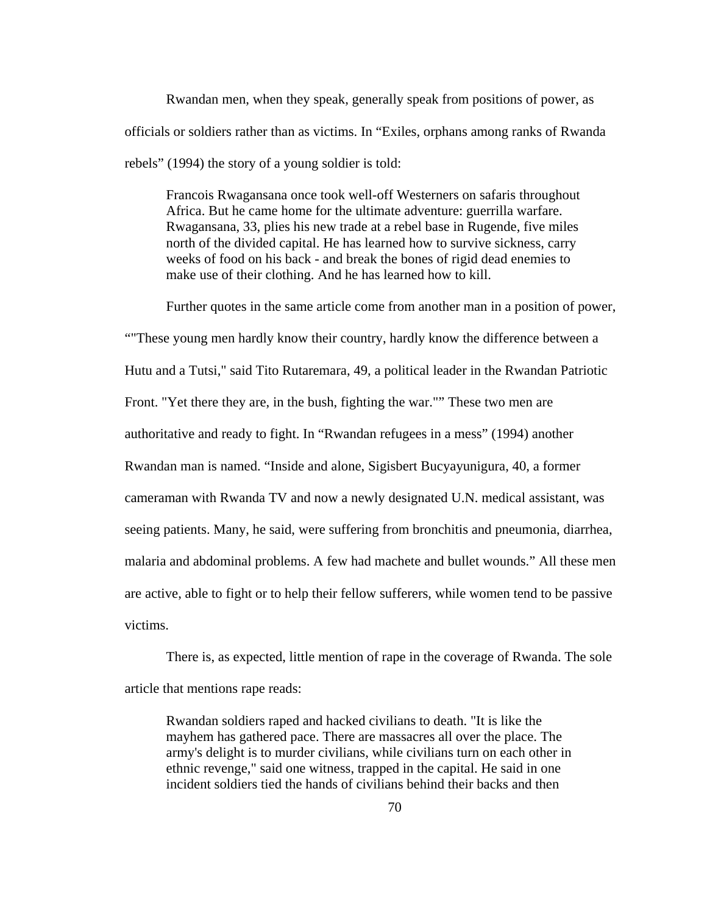Rwandan men, when they speak, generally speak from positions of power, as officials or soldiers rather than as victims. In "Exiles, orphans among ranks of Rwanda rebels" (1994) the story of a young soldier is told:

Francois Rwagansana once took well-off Westerners on safaris throughout Africa. But he came home for the ultimate adventure: guerrilla warfare. Rwagansana, 33, plies his new trade at a rebel base in Rugende, five miles north of the divided capital. He has learned how to survive sickness, carry weeks of food on his back - and break the bones of rigid dead enemies to make use of their clothing. And he has learned how to kill.

Further quotes in the same article come from another man in a position of power, ""These young men hardly know their country, hardly know the difference between a Hutu and a Tutsi," said Tito Rutaremara, 49, a political leader in the Rwandan Patriotic Front. "Yet there they are, in the bush, fighting the war."" These two men are authoritative and ready to fight. In "Rwandan refugees in a mess" (1994) another Rwandan man is named. "Inside and alone, Sigisbert Bucyayunigura, 40, a former cameraman with Rwanda TV and now a newly designated U.N. medical assistant, was seeing patients. Many, he said, were suffering from bronchitis and pneumonia, diarrhea, malaria and abdominal problems. A few had machete and bullet wounds." All these men are active, able to fight or to help their fellow sufferers, while women tend to be passive victims.

There is, as expected, little mention of rape in the coverage of Rwanda. The sole article that mentions rape reads:

Rwandan soldiers raped and hacked civilians to death. "It is like the mayhem has gathered pace. There are massacres all over the place. The army's delight is to murder civilians, while civilians turn on each other in ethnic revenge," said one witness, trapped in the capital. He said in one incident soldiers tied the hands of civilians behind their backs and then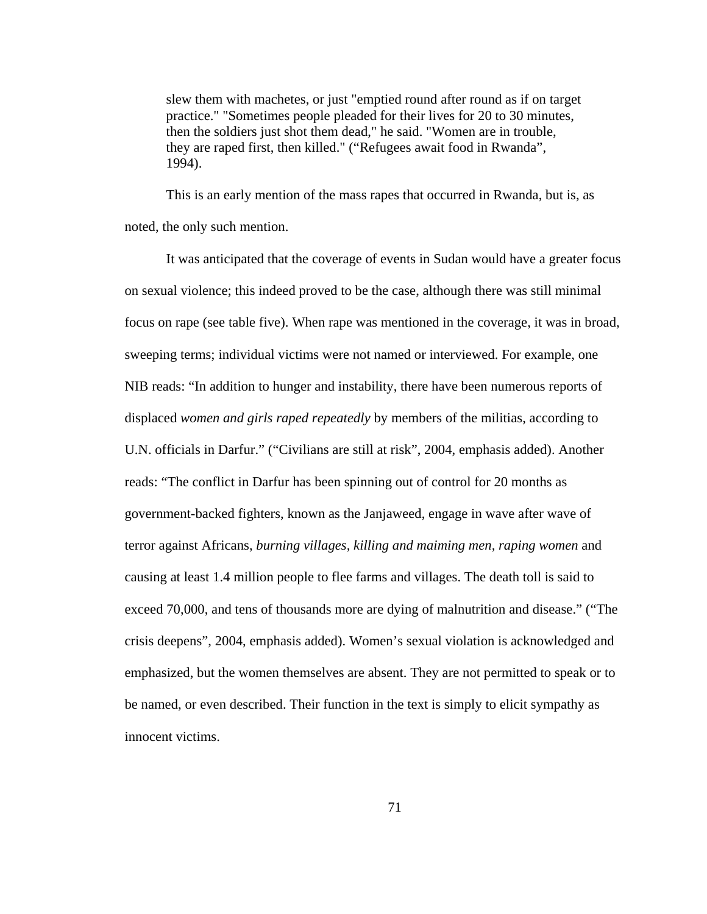slew them with machetes, or just "emptied round after round as if on target practice." "Sometimes people pleaded for their lives for 20 to 30 minutes, then the soldiers just shot them dead," he said. "Women are in trouble, they are raped first, then killed." ("Refugees await food in Rwanda", 1994).

This is an early mention of the mass rapes that occurred in Rwanda, but is, as noted, the only such mention.

It was anticipated that the coverage of events in Sudan would have a greater focus on sexual violence; this indeed proved to be the case, although there was still minimal focus on rape (see table five). When rape was mentioned in the coverage, it was in broad, sweeping terms; individual victims were not named or interviewed. For example, one NIB reads: "In addition to hunger and instability, there have been numerous reports of displaced *women and girls raped repeatedly* by members of the militias, according to U.N. officials in Darfur." ("Civilians are still at risk", 2004, emphasis added). Another reads: "The conflict in Darfur has been spinning out of control for 20 months as government-backed fighters, known as the Janjaweed, engage in wave after wave of terror against Africans, *burning villages, killing and maiming men, raping women* and causing at least 1.4 million people to flee farms and villages. The death toll is said to exceed 70,000, and tens of thousands more are dying of malnutrition and disease." ("The crisis deepens", 2004, emphasis added). Women's sexual violation is acknowledged and emphasized, but the women themselves are absent. They are not permitted to speak or to be named, or even described. Their function in the text is simply to elicit sympathy as innocent victims.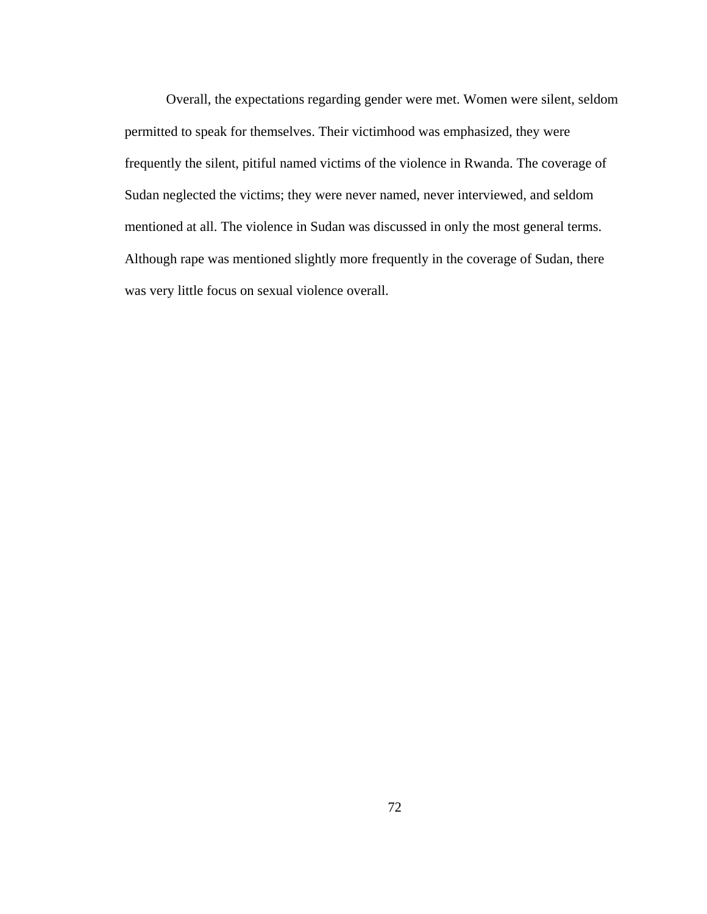Overall, the expectations regarding gender were met. Women were silent, seldom permitted to speak for themselves. Their victimhood was emphasized, they were frequently the silent, pitiful named victims of the violence in Rwanda. The coverage of Sudan neglected the victims; they were never named, never interviewed, and seldom mentioned at all. The violence in Sudan was discussed in only the most general terms. Although rape was mentioned slightly more frequently in the coverage of Sudan, there was very little focus on sexual violence overall.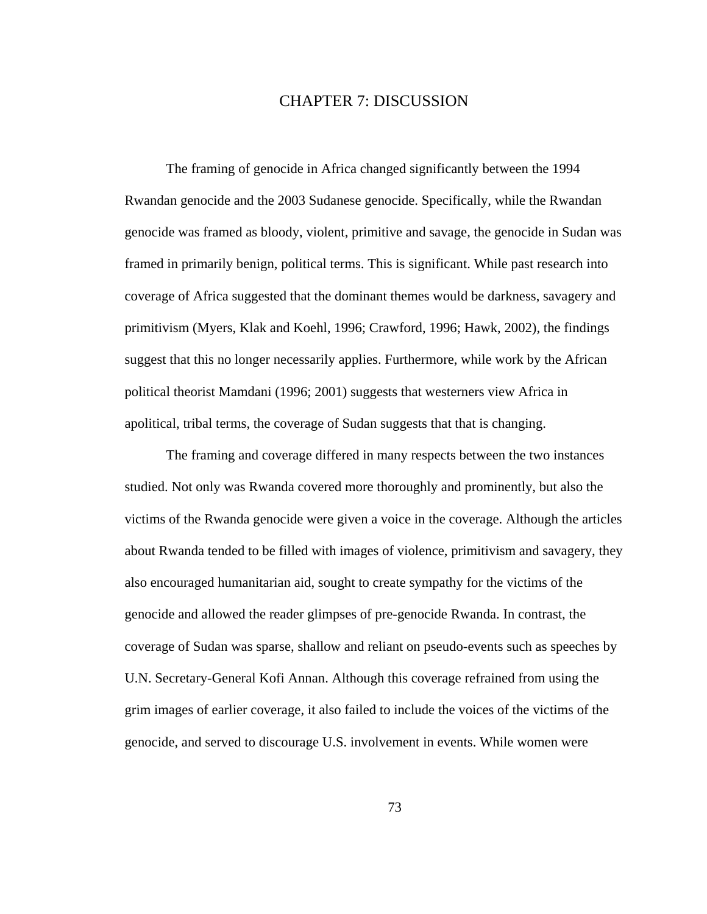### CHAPTER 7: DISCUSSION

The framing of genocide in Africa changed significantly between the 1994 Rwandan genocide and the 2003 Sudanese genocide. Specifically, while the Rwandan genocide was framed as bloody, violent, primitive and savage, the genocide in Sudan was framed in primarily benign, political terms. This is significant. While past research into coverage of Africa suggested that the dominant themes would be darkness, savagery and primitivism (Myers, Klak and Koehl, 1996; Crawford, 1996; Hawk, 2002), the findings suggest that this no longer necessarily applies. Furthermore, while work by the African political theorist Mamdani (1996; 2001) suggests that westerners view Africa in apolitical, tribal terms, the coverage of Sudan suggests that that is changing.

The framing and coverage differed in many respects between the two instances studied. Not only was Rwanda covered more thoroughly and prominently, but also the victims of the Rwanda genocide were given a voice in the coverage. Although the articles about Rwanda tended to be filled with images of violence, primitivism and savagery, they also encouraged humanitarian aid, sought to create sympathy for the victims of the genocide and allowed the reader glimpses of pre-genocide Rwanda. In contrast, the coverage of Sudan was sparse, shallow and reliant on pseudo-events such as speeches by U.N. Secretary-General Kofi Annan. Although this coverage refrained from using the grim images of earlier coverage, it also failed to include the voices of the victims of the genocide, and served to discourage U.S. involvement in events. While women were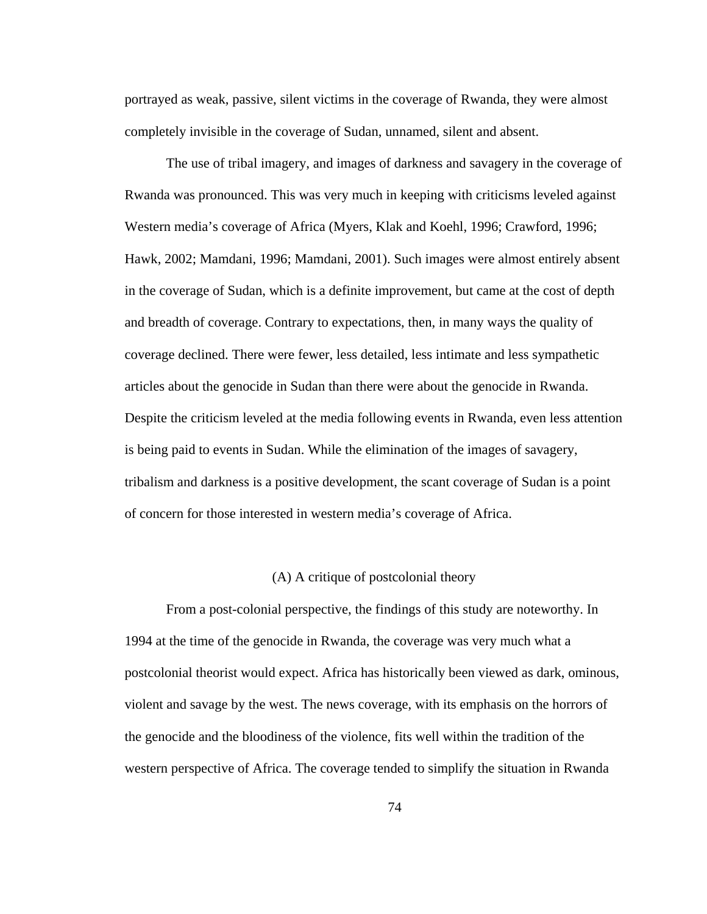portrayed as weak, passive, silent victims in the coverage of Rwanda, they were almost completely invisible in the coverage of Sudan, unnamed, silent and absent.

The use of tribal imagery, and images of darkness and savagery in the coverage of Rwanda was pronounced. This was very much in keeping with criticisms leveled against Western media's coverage of Africa (Myers, Klak and Koehl, 1996; Crawford, 1996; Hawk, 2002; Mamdani, 1996; Mamdani, 2001). Such images were almost entirely absent in the coverage of Sudan, which is a definite improvement, but came at the cost of depth and breadth of coverage. Contrary to expectations, then, in many ways the quality of coverage declined. There were fewer, less detailed, less intimate and less sympathetic articles about the genocide in Sudan than there were about the genocide in Rwanda. Despite the criticism leveled at the media following events in Rwanda, even less attention is being paid to events in Sudan. While the elimination of the images of savagery, tribalism and darkness is a positive development, the scant coverage of Sudan is a point of concern for those interested in western media's coverage of Africa.

### (A) A critique of postcolonial theory

From a post-colonial perspective, the findings of this study are noteworthy. In 1994 at the time of the genocide in Rwanda, the coverage was very much what a postcolonial theorist would expect. Africa has historically been viewed as dark, ominous, violent and savage by the west. The news coverage, with its emphasis on the horrors of the genocide and the bloodiness of the violence, fits well within the tradition of the western perspective of Africa. The coverage tended to simplify the situation in Rwanda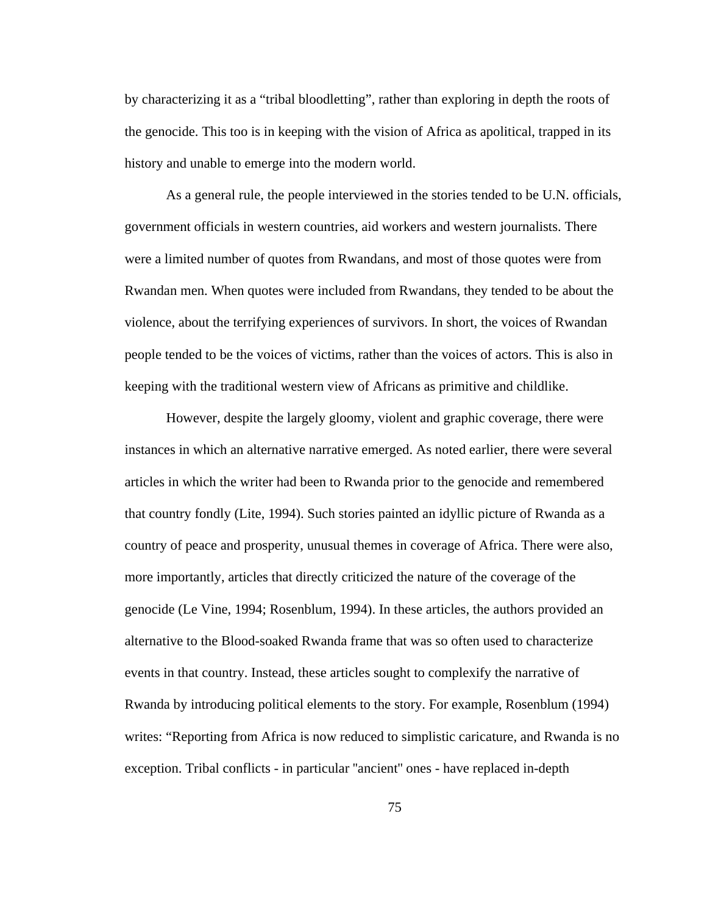by characterizing it as a "tribal bloodletting", rather than exploring in depth the roots of the genocide. This too is in keeping with the vision of Africa as apolitical, trapped in its history and unable to emerge into the modern world.

As a general rule, the people interviewed in the stories tended to be U.N. officials, government officials in western countries, aid workers and western journalists. There were a limited number of quotes from Rwandans, and most of those quotes were from Rwandan men. When quotes were included from Rwandans, they tended to be about the violence, about the terrifying experiences of survivors. In short, the voices of Rwandan people tended to be the voices of victims, rather than the voices of actors. This is also in keeping with the traditional western view of Africans as primitive and childlike.

However, despite the largely gloomy, violent and graphic coverage, there were instances in which an alternative narrative emerged. As noted earlier, there were several articles in which the writer had been to Rwanda prior to the genocide and remembered that country fondly (Lite, 1994). Such stories painted an idyllic picture of Rwanda as a country of peace and prosperity, unusual themes in coverage of Africa. There were also, more importantly, articles that directly criticized the nature of the coverage of the genocide (Le Vine, 1994; Rosenblum, 1994). In these articles, the authors provided an alternative to the Blood-soaked Rwanda frame that was so often used to characterize events in that country. Instead, these articles sought to complexify the narrative of Rwanda by introducing political elements to the story. For example, Rosenblum (1994) writes: "Reporting from Africa is now reduced to simplistic caricature, and Rwanda is no exception. Tribal conflicts - in particular ''ancient'' ones - have replaced in-depth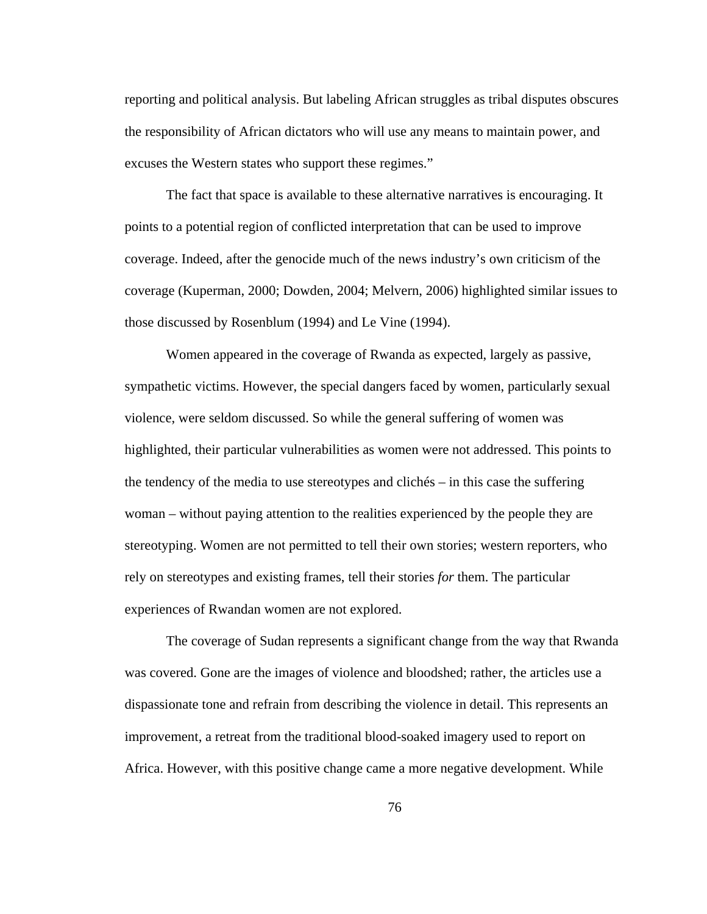reporting and political analysis. But labeling African struggles as tribal disputes obscures the responsibility of African dictators who will use any means to maintain power, and excuses the Western states who support these regimes."

The fact that space is available to these alternative narratives is encouraging. It points to a potential region of conflicted interpretation that can be used to improve coverage. Indeed, after the genocide much of the news industry's own criticism of the coverage (Kuperman, 2000; Dowden, 2004; Melvern, 2006) highlighted similar issues to those discussed by Rosenblum (1994) and Le Vine (1994).

Women appeared in the coverage of Rwanda as expected, largely as passive, sympathetic victims. However, the special dangers faced by women, particularly sexual violence, were seldom discussed. So while the general suffering of women was highlighted, their particular vulnerabilities as women were not addressed. This points to the tendency of the media to use stereotypes and clichés – in this case the suffering woman – without paying attention to the realities experienced by the people they are stereotyping. Women are not permitted to tell their own stories; western reporters, who rely on stereotypes and existing frames, tell their stories *for* them. The particular experiences of Rwandan women are not explored.

The coverage of Sudan represents a significant change from the way that Rwanda was covered. Gone are the images of violence and bloodshed; rather, the articles use a dispassionate tone and refrain from describing the violence in detail. This represents an improvement, a retreat from the traditional blood-soaked imagery used to report on Africa. However, with this positive change came a more negative development. While

76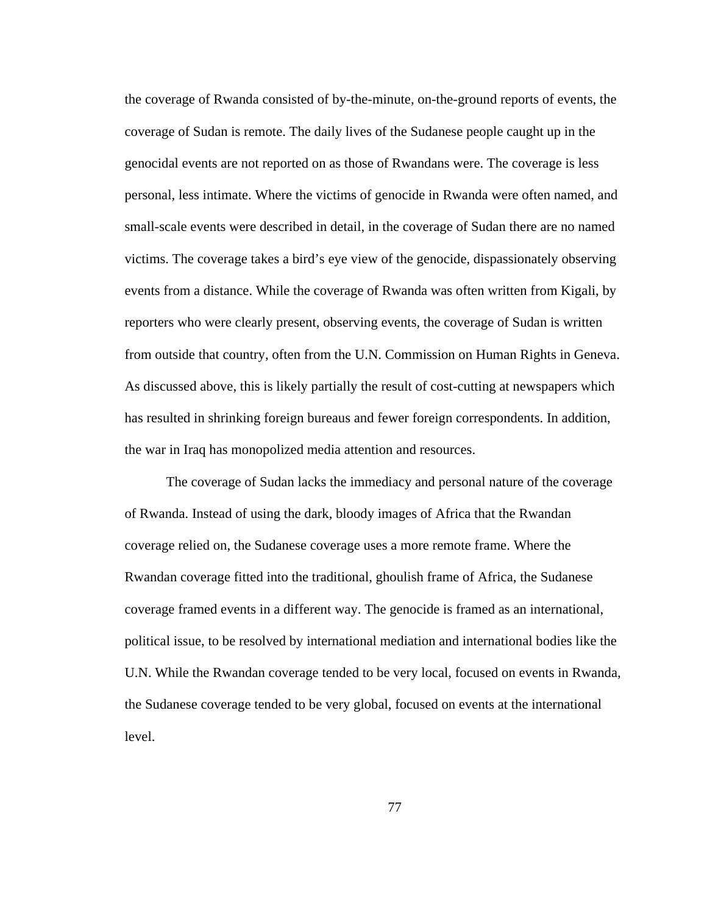the coverage of Rwanda consisted of by-the-minute, on-the-ground reports of events, the coverage of Sudan is remote. The daily lives of the Sudanese people caught up in the genocidal events are not reported on as those of Rwandans were. The coverage is less personal, less intimate. Where the victims of genocide in Rwanda were often named, and small-scale events were described in detail, in the coverage of Sudan there are no named victims. The coverage takes a bird's eye view of the genocide, dispassionately observing events from a distance. While the coverage of Rwanda was often written from Kigali, by reporters who were clearly present, observing events, the coverage of Sudan is written from outside that country, often from the U.N. Commission on Human Rights in Geneva. As discussed above, this is likely partially the result of cost-cutting at newspapers which has resulted in shrinking foreign bureaus and fewer foreign correspondents. In addition, the war in Iraq has monopolized media attention and resources.

The coverage of Sudan lacks the immediacy and personal nature of the coverage of Rwanda. Instead of using the dark, bloody images of Africa that the Rwandan coverage relied on, the Sudanese coverage uses a more remote frame. Where the Rwandan coverage fitted into the traditional, ghoulish frame of Africa, the Sudanese coverage framed events in a different way. The genocide is framed as an international, political issue, to be resolved by international mediation and international bodies like the U.N. While the Rwandan coverage tended to be very local, focused on events in Rwanda, the Sudanese coverage tended to be very global, focused on events at the international level.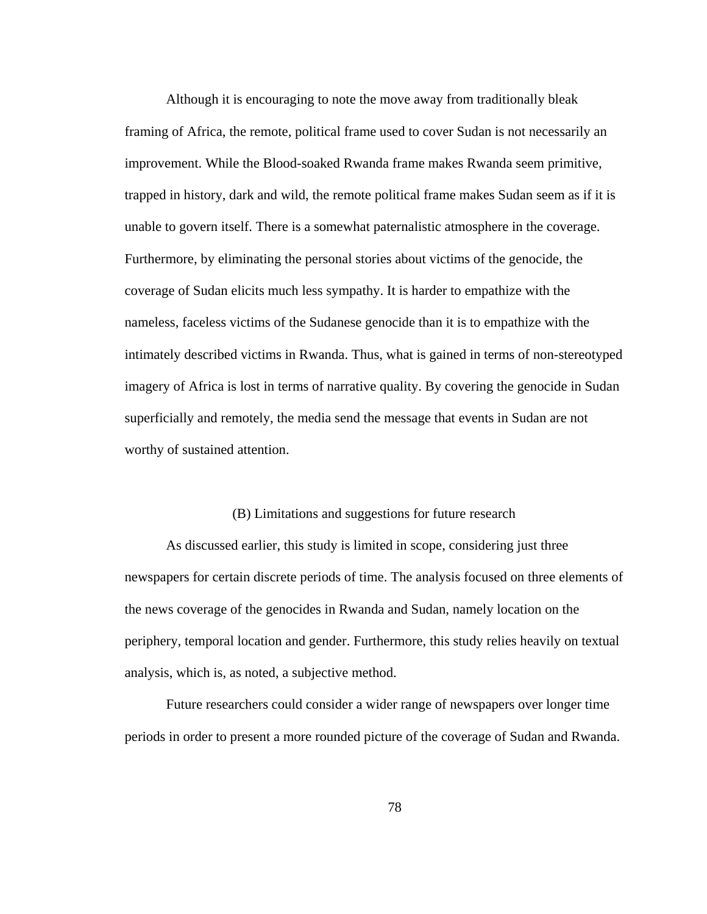Although it is encouraging to note the move away from traditionally bleak framing of Africa, the remote, political frame used to cover Sudan is not necessarily an improvement. While the Blood-soaked Rwanda frame makes Rwanda seem primitive, trapped in history, dark and wild, the remote political frame makes Sudan seem as if it is unable to govern itself. There is a somewhat paternalistic atmosphere in the coverage. Furthermore, by eliminating the personal stories about victims of the genocide, the coverage of Sudan elicits much less sympathy. It is harder to empathize with the nameless, faceless victims of the Sudanese genocide than it is to empathize with the intimately described victims in Rwanda. Thus, what is gained in terms of non-stereotyped imagery of Africa is lost in terms of narrative quality. By covering the genocide in Sudan superficially and remotely, the media send the message that events in Sudan are not worthy of sustained attention.

### (B) Limitations and suggestions for future research

As discussed earlier, this study is limited in scope, considering just three newspapers for certain discrete periods of time. The analysis focused on three elements of the news coverage of the genocides in Rwanda and Sudan, namely location on the periphery, temporal location and gender. Furthermore, this study relies heavily on textual analysis, which is, as noted, a subjective method.

Future researchers could consider a wider range of newspapers over longer time periods in order to present a more rounded picture of the coverage of Sudan and Rwanda.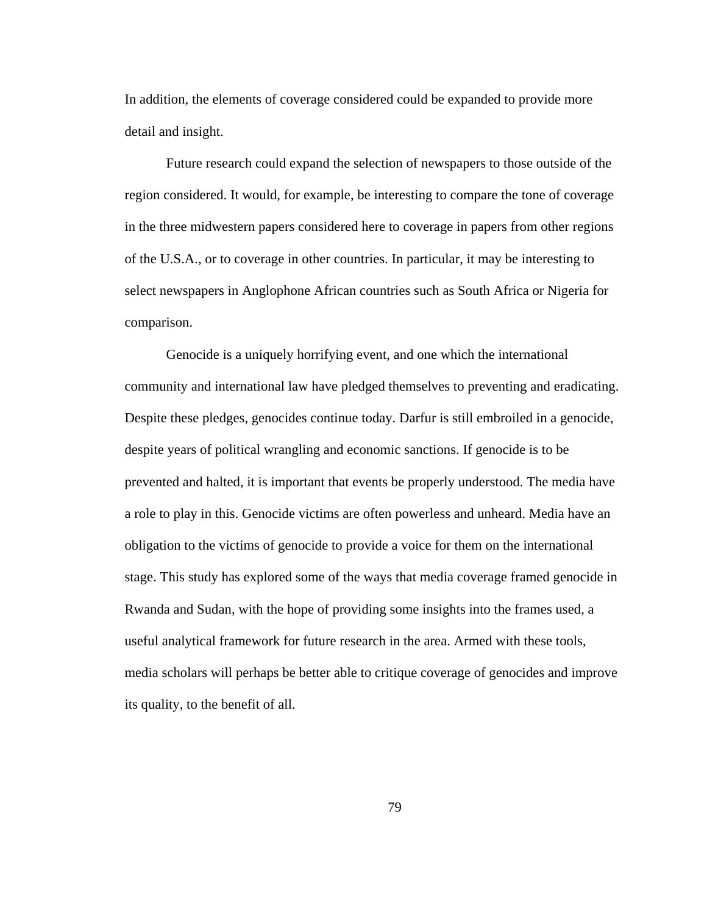In addition, the elements of coverage considered could be expanded to provide more detail and insight.

Future research could expand the selection of newspapers to those outside of the region considered. It would, for example, be interesting to compare the tone of coverage in the three midwestern papers considered here to coverage in papers from other regions of the U.S.A., or to coverage in other countries. In particular, it may be interesting to select newspapers in Anglophone African countries such as South Africa or Nigeria for comparison.

Genocide is a uniquely horrifying event, and one which the international community and international law have pledged themselves to preventing and eradicating. Despite these pledges, genocides continue today. Darfur is still embroiled in a genocide, despite years of political wrangling and economic sanctions. If genocide is to be prevented and halted, it is important that events be properly understood. The media have a role to play in this. Genocide victims are often powerless and unheard. Media have an obligation to the victims of genocide to provide a voice for them on the international stage. This study has explored some of the ways that media coverage framed genocide in Rwanda and Sudan, with the hope of providing some insights into the frames used, a useful analytical framework for future research in the area. Armed with these tools, media scholars will perhaps be better able to critique coverage of genocides and improve its quality, to the benefit of all.

79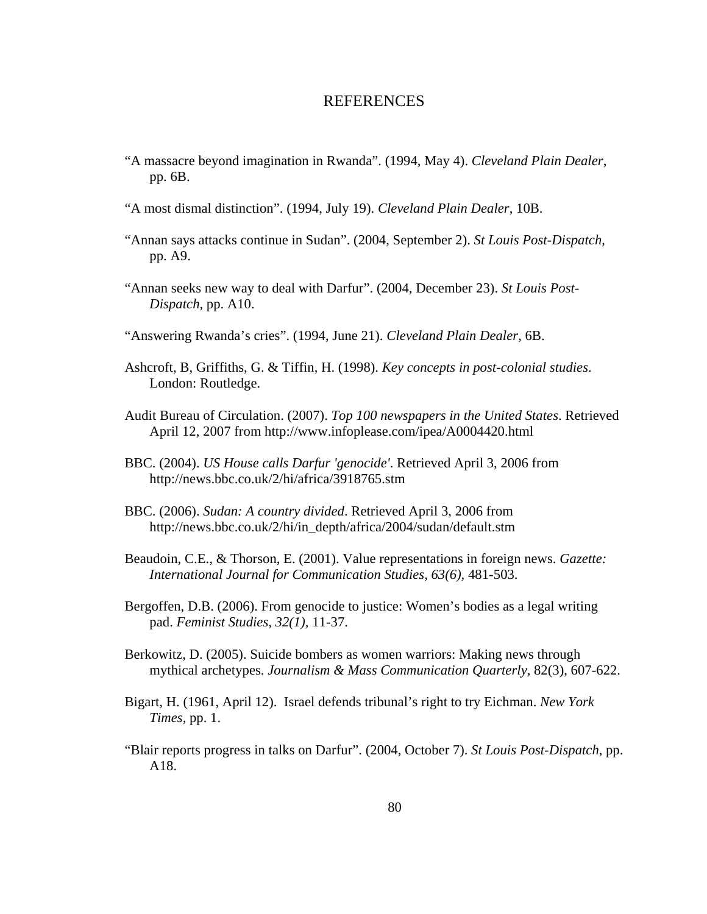### REFERENCES

- "A massacre beyond imagination in Rwanda". (1994, May 4). *Cleveland Plain Dealer*, pp. 6B.
- "A most dismal distinction". (1994, July 19). *Cleveland Plain Dealer*, 10B.
- "Annan says attacks continue in Sudan". (2004, September 2). *St Louis Post-Dispatch*, pp. A9.
- "Annan seeks new way to deal with Darfur". (2004, December 23). *St Louis Post-Dispatch*, pp. A10.
- "Answering Rwanda's cries". (1994, June 21). *Cleveland Plain Dealer*, 6B.
- Ashcroft, B, Griffiths, G. & Tiffin, H. (1998). *Key concepts in post-colonial studies*. London: Routledge.
- Audit Bureau of Circulation. (2007). *Top 100 newspapers in the United States*. Retrieved April 12, 2007 from http://www.infoplease.com/ipea/A0004420.html
- BBC. (2004). *US House calls Darfur 'genocide'*. Retrieved April 3, 2006 from http://news.bbc.co.uk/2/hi/africa/3918765.stm
- BBC. (2006). *Sudan: A country divided*. Retrieved April 3, 2006 from [http://news.bbc.co.uk/2/hi/in\\_depth/africa/2004/sudan/default.stm](http://news.bbc.co.uk/2/hi/in_depth/africa/2004/sudan/default.stm)
- Beaudoin, C.E., & Thorson, E. (2001). Value representations in foreign news. *Gazette: International Journal for Communication Studies, 63(6),* 481-503.
- Bergoffen, D.B. (2006). From genocide to justice: Women's bodies as a legal writing pad. *Feminist Studies, 32(1),* 11-37.
- Berkowitz, D. (2005). Suicide bombers as women warriors: Making news through mythical archetypes. *Journalism & Mass Communication Quarterly,* 82(3), 607-622.
- Bigart, H. (1961, April 12). Israel defends tribunal's right to try Eichman. *New York Times,* pp. 1.
- "Blair reports progress in talks on Darfur". (2004, October 7). *St Louis Post-Dispatch*, pp. A18.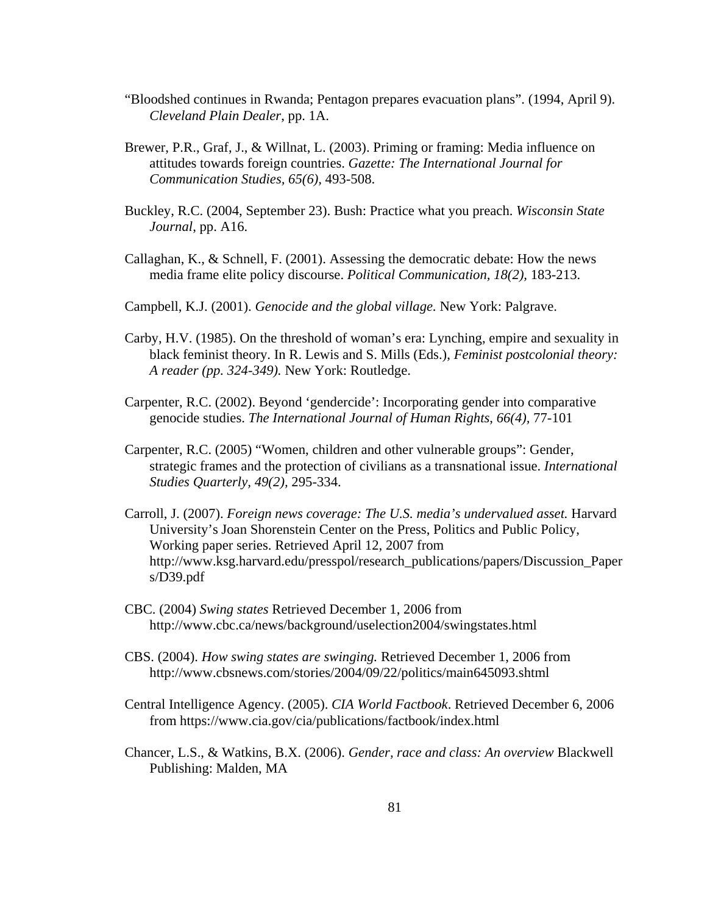- "Bloodshed continues in Rwanda; Pentagon prepares evacuation plans". (1994, April 9). *Cleveland Plain Dealer*, pp. 1A.
- Brewer, P.R., Graf, J., & Willnat, L. (2003). Priming or framing: Media influence on attitudes towards foreign countries. *Gazette: The International Journal for Communication Studies, 65(6),* 493-508.
- Buckley, R.C. (2004, September 23). Bush: Practice what you preach. *Wisconsin State Journal*, pp. A16.
- Callaghan, K., & Schnell, F. (2001). Assessing the democratic debate: How the news media frame elite policy discourse. *Political Communication, 18(2),* 183-213.
- Campbell, K.J. (2001). *Genocide and the global village.* New York: Palgrave.
- Carby, H.V. (1985). On the threshold of woman's era: Lynching, empire and sexuality in black feminist theory. In R. Lewis and S. Mills (Eds.), *Feminist postcolonial theory: A reader (pp. 324-349).* New York: Routledge.
- Carpenter, R.C. (2002). Beyond 'gendercide': Incorporating gender into comparative genocide studies. *The International Journal of Human Rights*, *66(4),* 77-101
- Carpenter, R.C. (2005) "Women, children and other vulnerable groups": Gender, strategic frames and the protection of civilians as a transnational issue. *International Studies Quarterly, 49(2),* 295-334.
- Carroll, J. (2007). *Foreign news coverage: The U.S. media's undervalued asset.* Harvard University's Joan Shorenstein Center on the Press, Politics and Public Policy, Working paper series. Retrieved April 12, 2007 from http://www.ksg.harvard.edu/presspol/research\_publications/papers/Discussion\_Paper s/D39.pdf
- CBC. (2004) *Swing states* Retrieved December 1, 2006 from http://www.cbc.ca/news/background/uselection2004/swingstates.html
- CBS. (2004). *How swing states are swinging.* Retrieved December 1, 2006 from http://www.cbsnews.com/stories/2004/09/22/politics/main645093.shtml
- Central Intelligence Agency. (2005). *CIA World Factbook*. Retrieved December 6, 2006 from <https://www.cia.gov/cia/publications/factbook/index.html>
- Chancer, L.S., & Watkins, B.X. (2006). *Gender, race and class: An overview* Blackwell Publishing: Malden, MA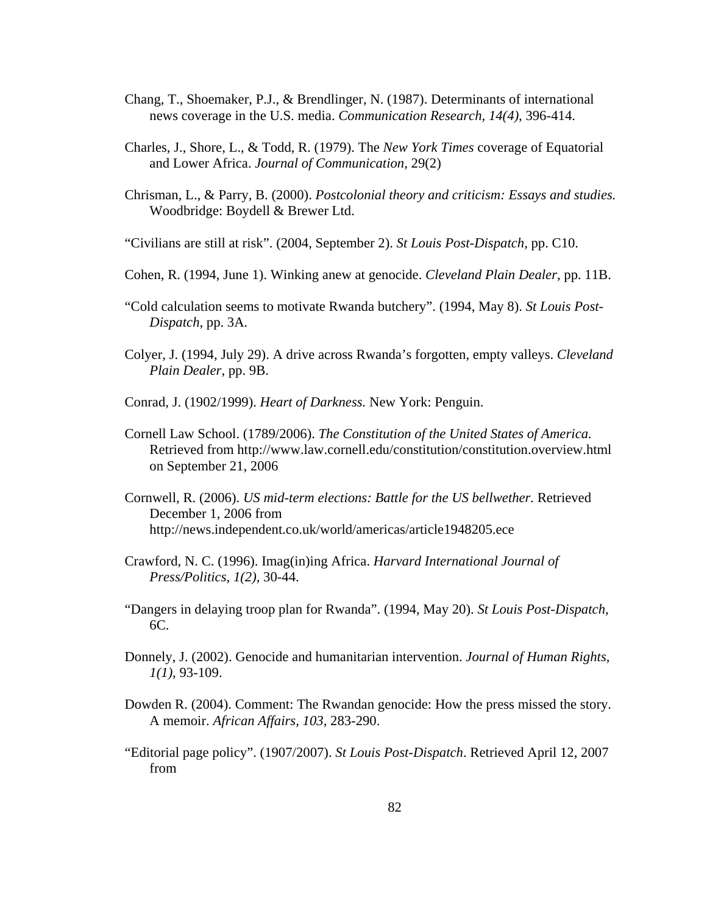- Chang, T., Shoemaker, P.J., & Brendlinger, N. (1987). Determinants of international news coverage in the U.S. media. *Communication Research, 14(4),* 396-414.
- Charles, J., Shore, L., & Todd, R. (1979). The *New York Times* coverage of Equatorial and Lower Africa. *Journal of Communication*, 29(2)
- Chrisman, L., & Parry, B. (2000). *Postcolonial theory and criticism: Essays and studies.* Woodbridge: Boydell & Brewer Ltd.
- "Civilians are still at risk". (2004, September 2). *St Louis Post-Dispatch*, pp. C10.
- Cohen, R. (1994, June 1). Winking anew at genocide. *Cleveland Plain Dealer*, pp. 11B.
- "Cold calculation seems to motivate Rwanda butchery". (1994, May 8). *St Louis Post-Dispatch*, pp. 3A.
- Colyer, J. (1994, July 29). A drive across Rwanda's forgotten, empty valleys. *Cleveland Plain Dealer*, pp. 9B.
- Conrad, J. (1902/1999). *Heart of Darkness.* New York: Penguin.
- Cornell Law School. (1789/2006). *The Constitution of the United States of America.* Retrieved from <http://www.law.cornell.edu/constitution/constitution.overview.html> on September 21, 2006
- Cornwell, R. (2006). *US mid-term elections: Battle for the US bellwether.* Retrieved December 1, 2006 from http://news.independent.co.uk/world/americas/article1948205.ece
- Crawford, N. C. (1996). Imag(in)ing Africa. *Harvard International Journal of Press/Politics, 1(2),* 30-44.
- "Dangers in delaying troop plan for Rwanda". (1994, May 20). *St Louis Post-Dispatch*, 6C.
- Donnely, J. (2002). Genocide and humanitarian intervention. *Journal of Human Rights, 1(1)*, 93-109.
- Dowden R. (2004). Comment: The Rwandan genocide: How the press missed the story. A memoir. *African Affairs, 103,* 283-290.
- "Editorial page policy". (1907/2007). *St Louis Post-Dispatch*. Retrieved April 12, 2007 from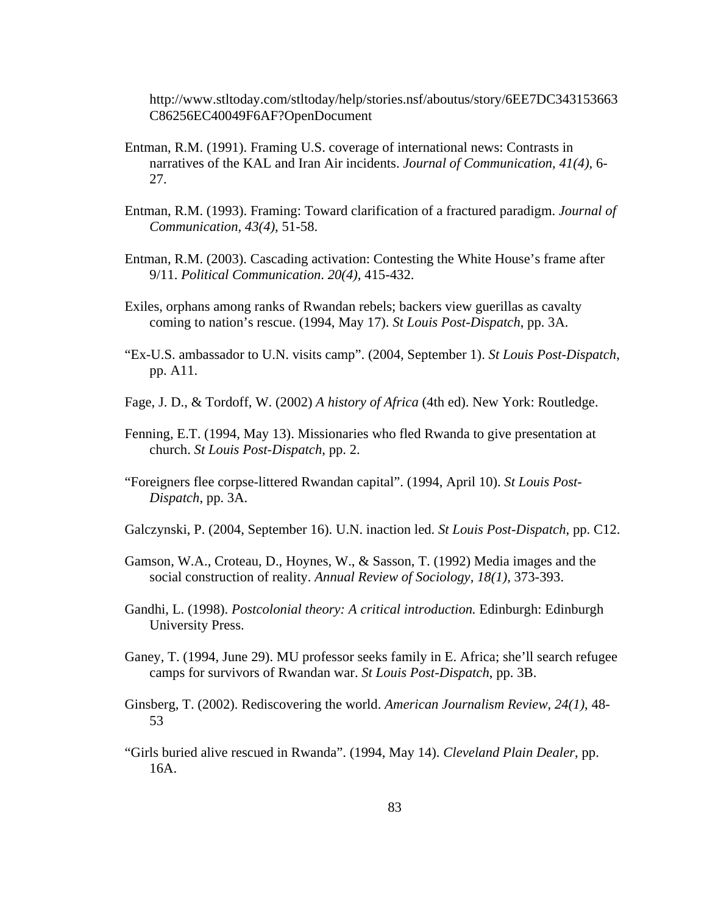http://www.stltoday.com/stltoday/help/stories.nsf/aboutus/story/6EE7DC343153663 C86256EC40049F6AF?OpenDocument

- Entman, R.M. (1991). Framing U.S. coverage of international news: Contrasts in narratives of the KAL and Iran Air incidents. *Journal of Communication, 41(4),* 6- 27.
- Entman, R.M. (1993). Framing: Toward clarification of a fractured paradigm. *Journal of Communication, 43(4)*, 51-58.
- Entman, R.M. (2003). Cascading activation: Contesting the White House's frame after 9/11. *Political Communication*. *20(4),* 415-432.
- Exiles, orphans among ranks of Rwandan rebels; backers view guerillas as cavalty coming to nation's rescue. (1994, May 17). *St Louis Post-Dispatch*, pp. 3A.
- "Ex-U.S. ambassador to U.N. visits camp". (2004, September 1). *St Louis Post-Dispatch*, pp. A11.
- Fage, J. D., & Tordoff, W. (2002) *A history of Africa* (4th ed). New York: Routledge.
- Fenning, E.T. (1994, May 13). Missionaries who fled Rwanda to give presentation at church. *St Louis Post-Dispatch*, pp. 2.
- "Foreigners flee corpse-littered Rwandan capital". (1994, April 10). *St Louis Post-Dispatch*, pp. 3A.
- Galczynski, P. (2004, September 16). U.N. inaction led. *St Louis Post-Dispatch*, pp. C12.
- Gamson, W.A., Croteau, D., Hoynes, W., & Sasson, T. (1992) Media images and the social construction of reality. *Annual Review of Sociology, 18(1),* 373-393.
- Gandhi, L. (1998). *Postcolonial theory: A critical introduction.* Edinburgh: Edinburgh University Press.
- Ganey, T. (1994, June 29). MU professor seeks family in E. Africa; she'll search refugee camps for survivors of Rwandan war. *St Louis Post-Dispatch*, pp. 3B.
- Ginsberg, T. (2002). Rediscovering the world. *American Journalism Review, 24(1)*, 48- 53
- "Girls buried alive rescued in Rwanda". (1994, May 14). *Cleveland Plain Dealer*, pp. 16A.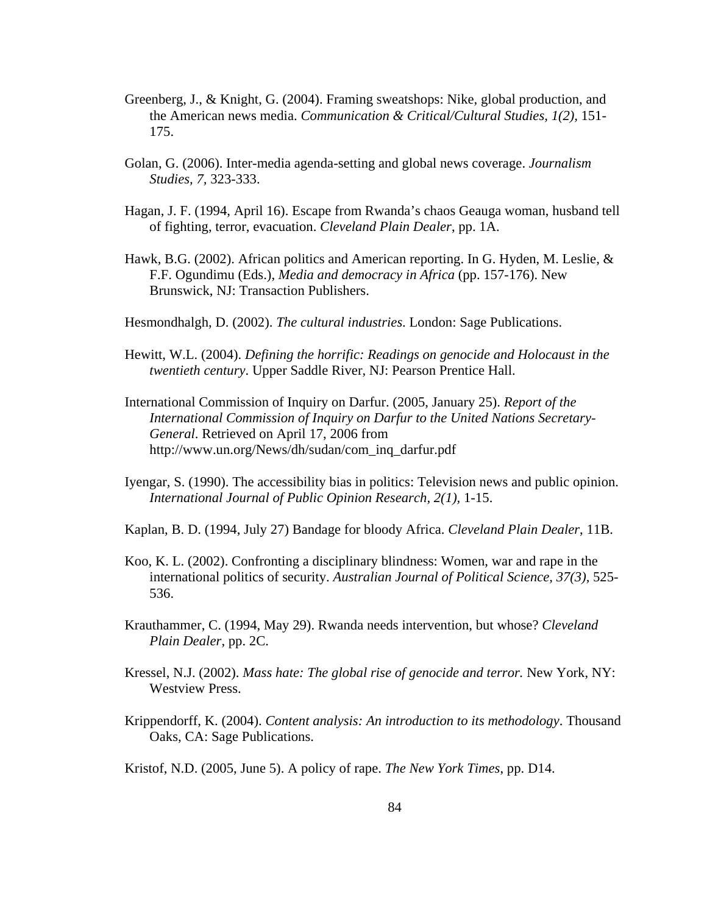- Greenberg, J., & Knight, G. (2004). Framing sweatshops: Nike, global production, and the American news media. *Communication & Critical/Cultural Studies, 1(2),* 151- 175.
- Golan, G. (2006). Inter-media agenda-setting and global news coverage. *Journalism Studies, 7,* 323-333.
- Hagan, J. F. (1994, April 16). Escape from Rwanda's chaos Geauga woman, husband tell of fighting, terror, evacuation. *Cleveland Plain Dealer*, pp. 1A.
- Hawk, B.G. (2002). African politics and American reporting. In G. Hyden, M. Leslie, & F.F. Ogundimu (Eds.), *Media and democracy in Africa* (pp. 157-176). New Brunswick, NJ: Transaction Publishers.
- Hesmondhalgh, D. (2002). *The cultural industries*. London: Sage Publications.
- Hewitt, W.L. (2004). *Defining the horrific: Readings on genocide and Holocaust in the twentieth century*. Upper Saddle River, NJ: Pearson Prentice Hall.
- International Commission of Inquiry on Darfur. (2005, January 25). *Report of the International Commission of Inquiry on Darfur to the United Nations Secretary-General*. Retrieved on April 17, 2006 from http://www.un.org/News/dh/sudan/com\_inq\_darfur.pdf
- Iyengar, S. (1990). The accessibility bias in politics: Television news and public opinion. *International Journal of Public Opinion Research, 2(1),* 1-15.
- Kaplan, B. D. (1994, July 27) Bandage for bloody Africa. *Cleveland Plain Dealer*, 11B.
- Koo, K. L. (2002). Confronting a disciplinary blindness: Women, war and rape in the international politics of security. *Australian Journal of Political Science, 37(3),* 525- 536.
- Krauthammer, C. (1994, May 29). Rwanda needs intervention, but whose? *Cleveland Plain Dealer*, pp. 2C.
- Kressel, N.J. (2002). *Mass hate: The global rise of genocide and terror.* New York, NY: Westview Press.
- Krippendorff, K. (2004). *Content analysis: An introduction to its methodology*. Thousand Oaks, CA: Sage Publications.
- Kristof, N.D. (2005, June 5). A policy of rape. *The New York Times*, pp. D14.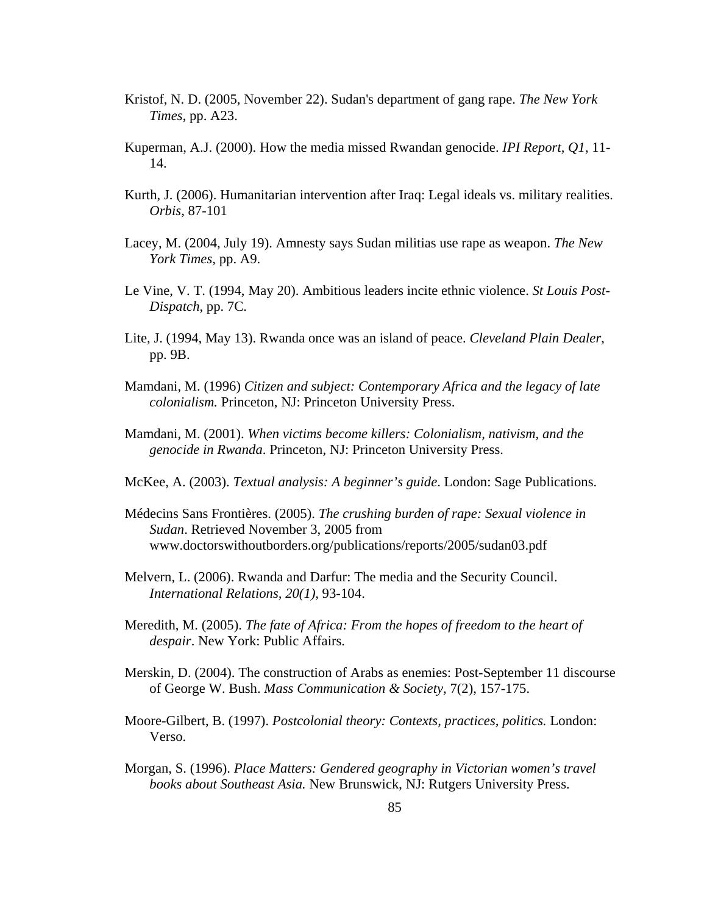- Kristof, N. D. (2005, November 22). Sudan's department of gang rape. *The New York Times*, pp. A23.
- Kuperman, A.J. (2000). How the media missed Rwandan genocide. *IPI Report, Q1*, 11- 14.
- Kurth, J. (2006). Humanitarian intervention after Iraq: Legal ideals vs. military realities. *Orbis*, 87-101
- Lacey, M. (2004, July 19). Amnesty says Sudan militias use rape as weapon. *The New York Times*, pp. A9.
- Le Vine, V. T. (1994, May 20). Ambitious leaders incite ethnic violence. *St Louis Post-Dispatch*, pp. 7C.
- Lite, J. (1994, May 13). Rwanda once was an island of peace. *Cleveland Plain Dealer*, pp. 9B.
- Mamdani, M. (1996) *Citizen and subject: Contemporary Africa and the legacy of late colonialism.* Princeton, NJ: Princeton University Press.
- Mamdani, M. (2001). *When victims become killers: Colonialism, nativism, and the genocide in Rwanda*. Princeton, NJ: Princeton University Press.
- McKee, A. (2003). *Textual analysis: A beginner's guide*. London: Sage Publications.
- Médecins Sans Frontières. (2005). *The crushing burden of rape: Sexual violence in Sudan*. Retrieved November 3, 2005 from [www.doctorswithoutborders.org/publications/reports/2005/sudan03.pdf](http://www.doctorswithoutborders.org/publications/reports/2005/sudan03.pdf)
- Melvern, L. (2006). Rwanda and Darfur: The media and the Security Council. *International Relations, 20(1),* 93-104.
- Meredith, M. (2005). *The fate of Africa: From the hopes of freedom to the heart of despair*. New York: Public Affairs.
- Merskin, D. (2004). The construction of Arabs as enemies: Post-September 11 discourse of George W. Bush. *Mass Communication & Society,* 7(2), 157-175.
- Moore-Gilbert, B. (1997). *Postcolonial theory: Contexts, practices, politics.* London: Verso.
- Morgan, S. (1996). *Place Matters: Gendered geography in Victorian women's travel books about Southeast Asia.* New Brunswick, NJ: Rutgers University Press.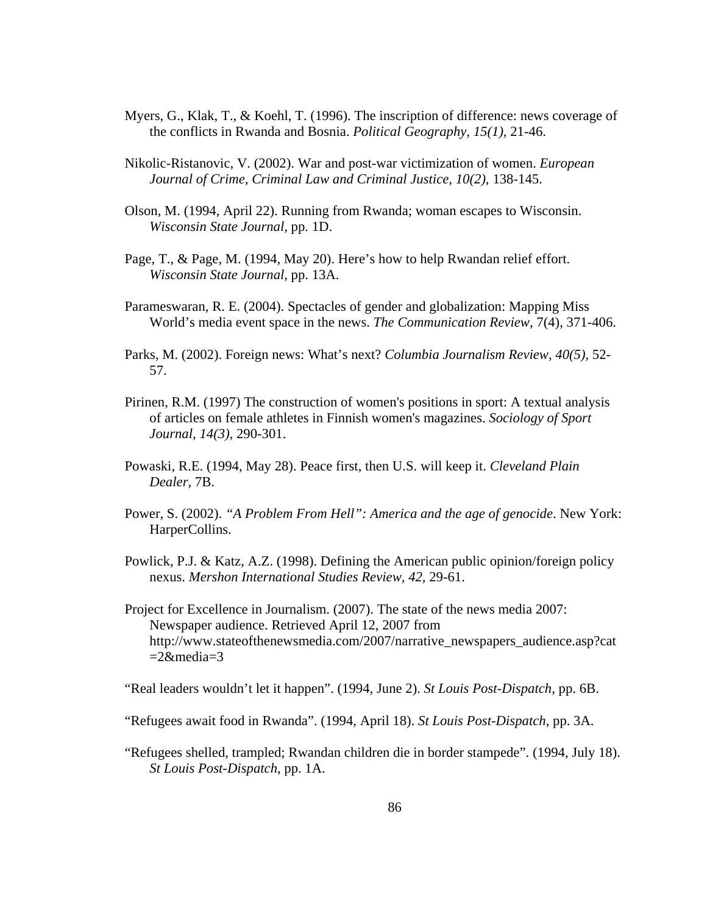- Myers, G., Klak, T., & Koehl, T. (1996). The inscription of difference: news coverage of the conflicts in Rwanda and Bosnia. *Political Geography, 15(1),* 21-46.
- Nikolic-Ristanovic, V. (2002). War and post-war victimization of women. *European Journal of Crime, Criminal Law and Criminal Justice, 10(2),* 138-145.
- Olson, M. (1994, April 22). Running from Rwanda; woman escapes to Wisconsin. *Wisconsin State Journal*, pp. 1D.
- Page, T., & Page, M. (1994, May 20). Here's how to help Rwandan relief effort. *Wisconsin State Journal*, pp. 13A.
- Parameswaran, R. E. (2004). Spectacles of gender and globalization: Mapping Miss World's media event space in the news. *The Communication Review,* 7(4), 371-406.
- Parks, M. (2002). Foreign news: What's next? *Columbia Journalism Review, 40(5),* 52- 57.
- Pirinen, R.M. (1997) The construction of women's positions in sport: A textual analysis of articles on female athletes in Finnish women's magazines. *Sociology of Sport Journal, 14(3),* 290-301.
- Powaski, R.E. (1994, May 28). Peace first, then U.S. will keep it. *Cleveland Plain Dealer*, 7B.
- Power, S. (2002). *"A Problem From Hell": America and the age of genocide*. New York: HarperCollins.
- Powlick, P.J. & Katz, A.Z. (1998). Defining the American public opinion/foreign policy nexus. *Mershon International Studies Review, 42,* 29-61.
- Project for Excellence in Journalism. (2007). The state of the news media 2007: Newspaper audience. Retrieved April 12, 2007 from http://www.stateofthenewsmedia.com/2007/narrative\_newspapers\_audience.asp?cat  $=2$ &media=3

"Real leaders wouldn't let it happen". (1994, June 2). *St Louis Post-Dispatch*, pp. 6B.

- "Refugees await food in Rwanda". (1994, April 18). *St Louis Post-Dispatch*, pp. 3A.
- "Refugees shelled, trampled; Rwandan children die in border stampede". (1994, July 18). *St Louis Post-Dispatch*, pp. 1A.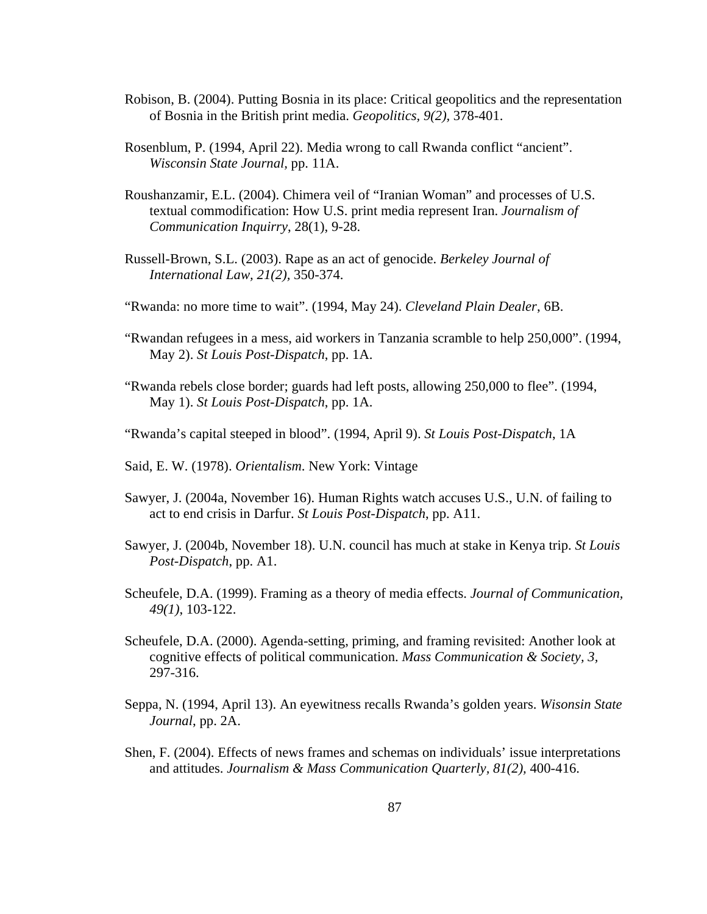- Robison, B. (2004). Putting Bosnia in its place: Critical geopolitics and the representation of Bosnia in the British print media. *Geopolitics, 9(2),* 378-401.
- Rosenblum, P. (1994, April 22). Media wrong to call Rwanda conflict "ancient". *Wisconsin State Journal,* pp. 11A.
- Roushanzamir, E.L. (2004). Chimera veil of "Iranian Woman" and processes of U.S. textual commodification: How U.S. print media represent Iran. *Journalism of Communication Inquirry*, 28(1), 9-28.
- Russell-Brown, S.L. (2003). Rape as an act of genocide. *Berkeley Journal of International Law, 21(2),* 350-374.
- "Rwanda: no more time to wait". (1994, May 24). *Cleveland Plain Dealer*, 6B.
- "Rwandan refugees in a mess, aid workers in Tanzania scramble to help 250,000". (1994, May 2). *St Louis Post-Dispatch*, pp. 1A.
- "Rwanda rebels close border; guards had left posts, allowing 250,000 to flee". (1994, May 1). *St Louis Post-Dispatch*, pp. 1A.
- "Rwanda's capital steeped in blood". (1994, April 9). *St Louis Post-Dispatch*, 1A
- Said, E. W. (1978). *Orientalism*. New York: Vintage
- Sawyer, J. (2004a, November 16). Human Rights watch accuses U.S., U.N. of failing to act to end crisis in Darfur. *St Louis Post-Dispatch*, pp. A11.
- Sawyer, J. (2004b, November 18). U.N. council has much at stake in Kenya trip. *St Louis Post-Dispatch*, pp. A1.
- Scheufele, D.A. (1999). Framing as a theory of media effects. *Journal of Communication, 49(1)*, 103-122.
- Scheufele, D.A. (2000). Agenda-setting, priming, and framing revisited: Another look at cognitive effects of political communication. *Mass Communication & Society, 3,*  297-316.
- Seppa, N. (1994, April 13). An eyewitness recalls Rwanda's golden years. *Wisonsin State Journal*, pp. 2A.
- Shen, F. (2004). Effects of news frames and schemas on individuals' issue interpretations and attitudes. *Journalism & Mass Communication Quarterly, 81(2),* 400-416.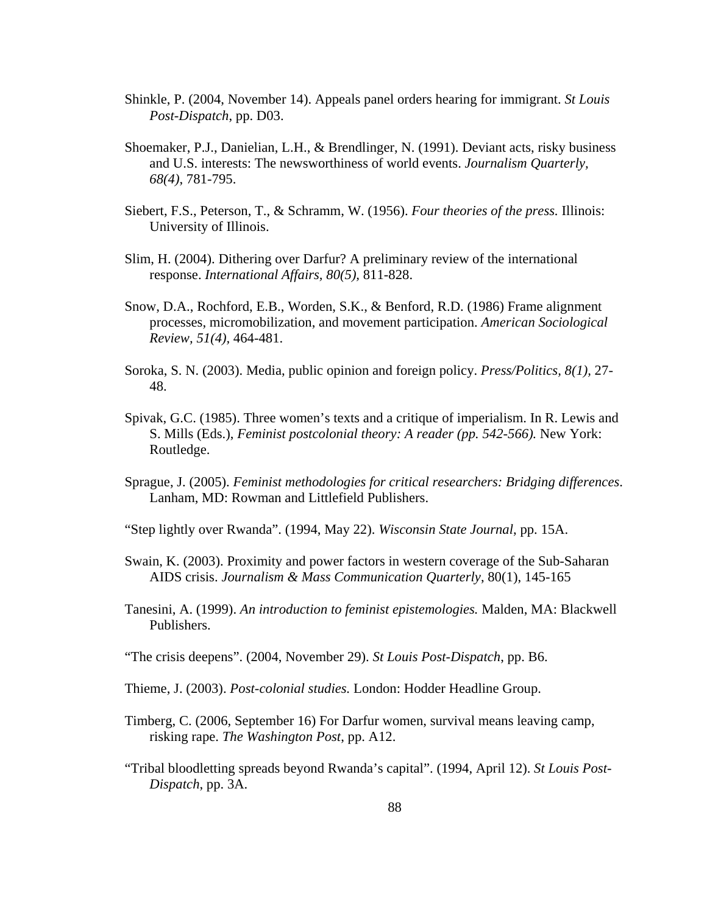- Shinkle, P. (2004, November 14). Appeals panel orders hearing for immigrant. *St Louis Post-Dispatch*, pp. D03.
- Shoemaker, P.J., Danielian, L.H., & Brendlinger, N. (1991). Deviant acts, risky business and U.S. interests: The newsworthiness of world events. *Journalism Quarterly, 68(4)*, 781-795.
- Siebert, F.S., Peterson, T., & Schramm, W. (1956). *Four theories of the press.* Illinois: University of Illinois.
- Slim, H. (2004). Dithering over Darfur? A preliminary review of the international response. *International Affairs, 80(5),* 811-828.
- Snow, D.A., Rochford, E.B., Worden, S.K., & Benford, R.D. (1986) Frame alignment processes, micromobilization, and movement participation. *American Sociological Review, 51(4),* 464-481.
- Soroka, S. N. (2003). Media, public opinion and foreign policy. *Press/Politics, 8(1),* 27- 48.
- Spivak, G.C. (1985). Three women's texts and a critique of imperialism. In R. Lewis and S. Mills (Eds.), *Feminist postcolonial theory: A reader (pp. 542-566).* New York: Routledge.
- Sprague, J. (2005). *Feminist methodologies for critical researchers: Bridging differences*. Lanham, MD: Rowman and Littlefield Publishers.
- "Step lightly over Rwanda". (1994, May 22). *Wisconsin State Journal*, pp. 15A.
- Swain, K. (2003). Proximity and power factors in western coverage of the Sub-Saharan AIDS crisis. *Journalism & Mass Communication Quarterly*, 80(1), 145-165
- Tanesini, A. (1999). *An introduction to feminist epistemologies.* Malden, MA: Blackwell Publishers.
- "The crisis deepens". (2004, November 29). *St Louis Post-Dispatch*, pp. B6.
- Thieme, J. (2003). *Post-colonial studies.* London: Hodder Headline Group.
- Timberg, C. (2006, September 16) For Darfur women, survival means leaving camp, risking rape. *The Washington Post*, pp. A12.
- "Tribal bloodletting spreads beyond Rwanda's capital". (1994, April 12). *St Louis Post-Dispatch*, pp. 3A.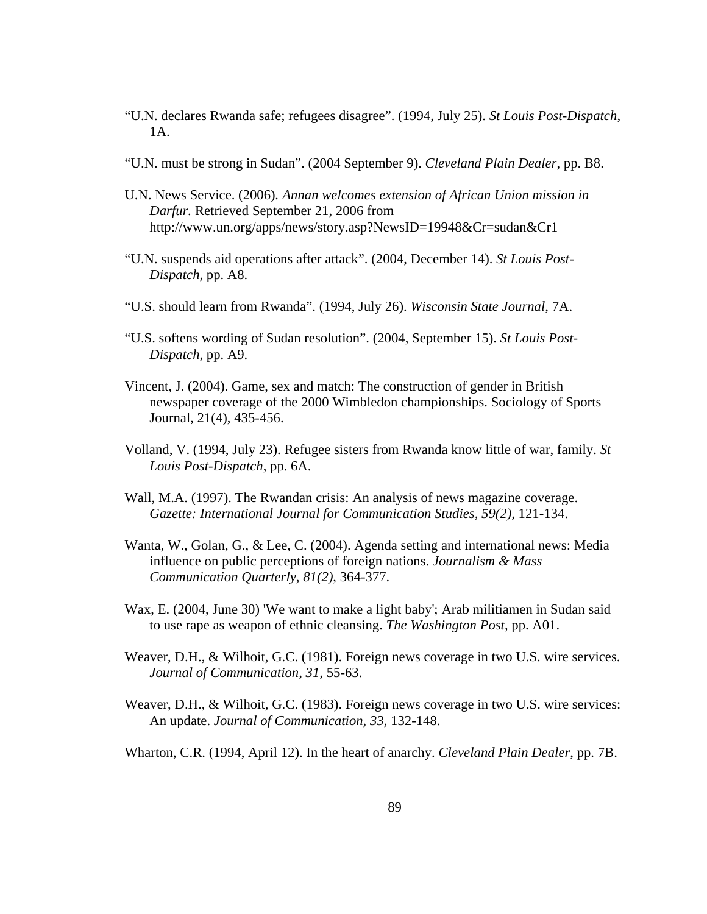- "U.N. declares Rwanda safe; refugees disagree". (1994, July 25). *St Louis Post-Dispatch*, 1A.
- "U.N. must be strong in Sudan". (2004 September 9). *Cleveland Plain Dealer*, pp. B8.
- U.N. News Service. (2006)*. Annan welcomes extension of African Union mission in Darfur.* Retrieved September 21, 2006 from <http://www.un.org/apps/news/story.asp?NewsID=19948&Cr=sudan&Cr1>
- "U.N. suspends aid operations after attack". (2004, December 14). *St Louis Post-Dispatch*, pp. A8.
- "U.S. should learn from Rwanda". (1994, July 26). *Wisconsin State Journal*, 7A.
- "U.S. softens wording of Sudan resolution". (2004, September 15). *St Louis Post-Dispatch*, pp. A9.
- Vincent, J. (2004). Game, sex and match: The construction of gender in British newspaper coverage of the 2000 Wimbledon championships. Sociology of Sports Journal, 21(4), 435-456.
- Volland, V. (1994, July 23). Refugee sisters from Rwanda know little of war, family. *St Louis Post-Dispatch*, pp. 6A.
- Wall, M.A. (1997). The Rwandan crisis: An analysis of news magazine coverage. *Gazette: International Journal for Communication Studies, 59(2),* 121-134.
- Wanta, W., Golan, G., & Lee, C. (2004). Agenda setting and international news: Media influence on public perceptions of foreign nations. *Journalism & Mass Communication Quarterly, 81(2)*, 364-377.
- Wax, E. (2004, June 30) 'We want to make a light baby'; Arab militiamen in Sudan said to use rape as weapon of ethnic cleansing. *The Washington Post,* pp. A01.
- Weaver, D.H., & Wilhoit, G.C. (1981). Foreign news coverage in two U.S. wire services. *Journal of Communication, 31,* 55-63.
- Weaver, D.H., & Wilhoit, G.C. (1983). Foreign news coverage in two U.S. wire services: An update. *Journal of Communication, 33,* 132-148.
- Wharton, C.R. (1994, April 12). In the heart of anarchy. *Cleveland Plain Dealer*, pp. 7B.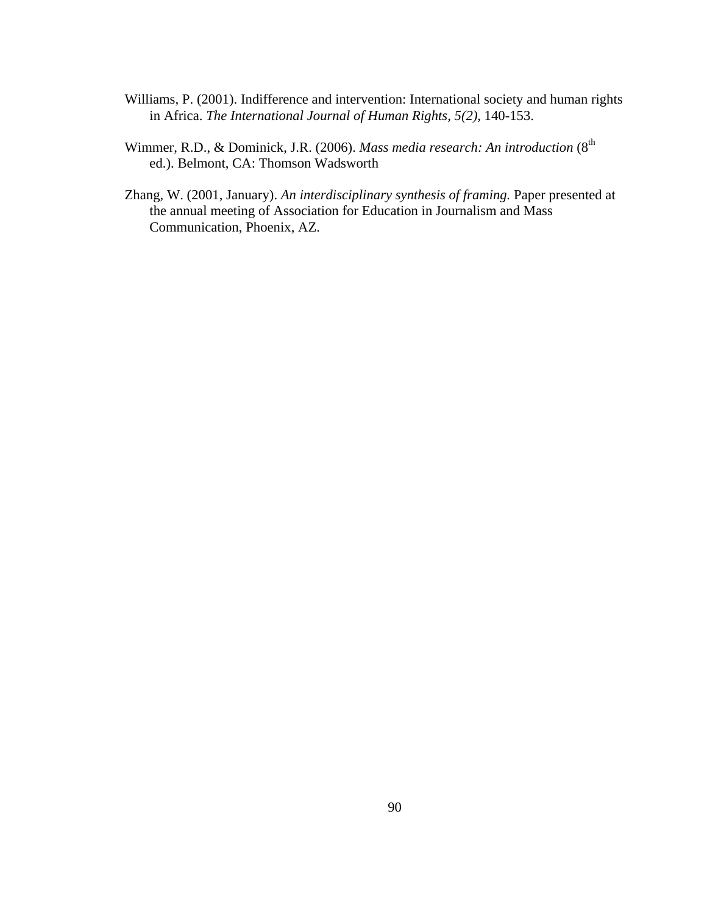- Williams, P. (2001). Indifference and intervention: International society and human rights in Africa. *The International Journal of Human Rights, 5(2),* 140-153.
- Wimmer, R.D., & Dominick, J.R. (2006). *Mass media research: An introduction* (8<sup>th</sup> ed.). Belmont, CA: Thomson Wadsworth
- Zhang, W. (2001, January). *An interdisciplinary synthesis of framing.* Paper presented at the annual meeting of Association for Education in Journalism and Mass Communication, Phoenix, AZ.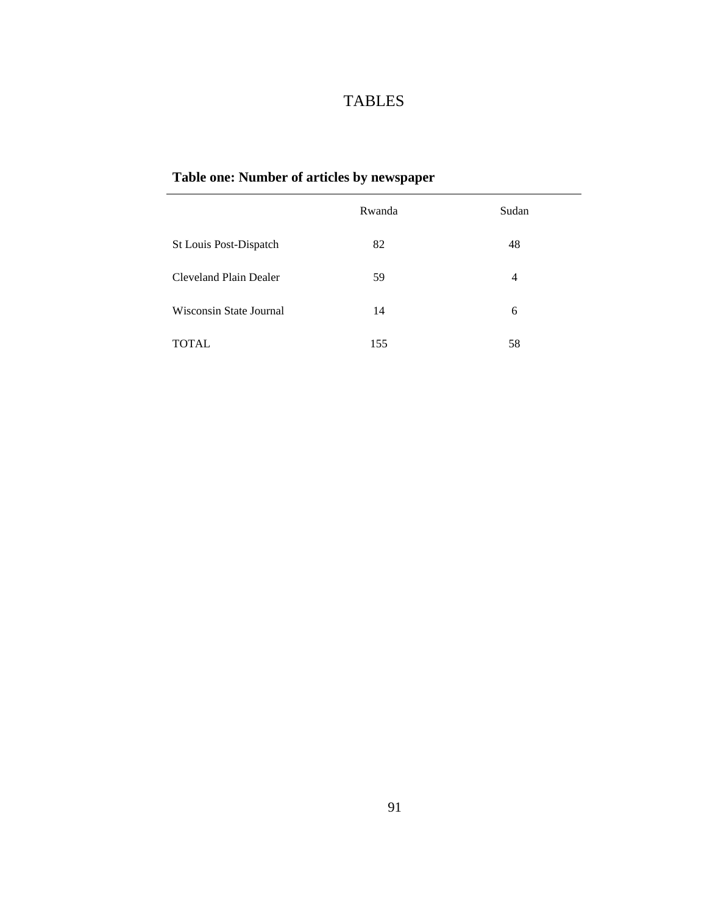# TABLES

# **Table one: Number of articles by newspaper**

|                         | Rwanda | Sudan |
|-------------------------|--------|-------|
| St Louis Post-Dispatch  | 82     | 48    |
| Cleveland Plain Dealer  | 59     | 4     |
| Wisconsin State Journal | 14     | 6     |
| <b>TOTAL</b>            | 155    | 58    |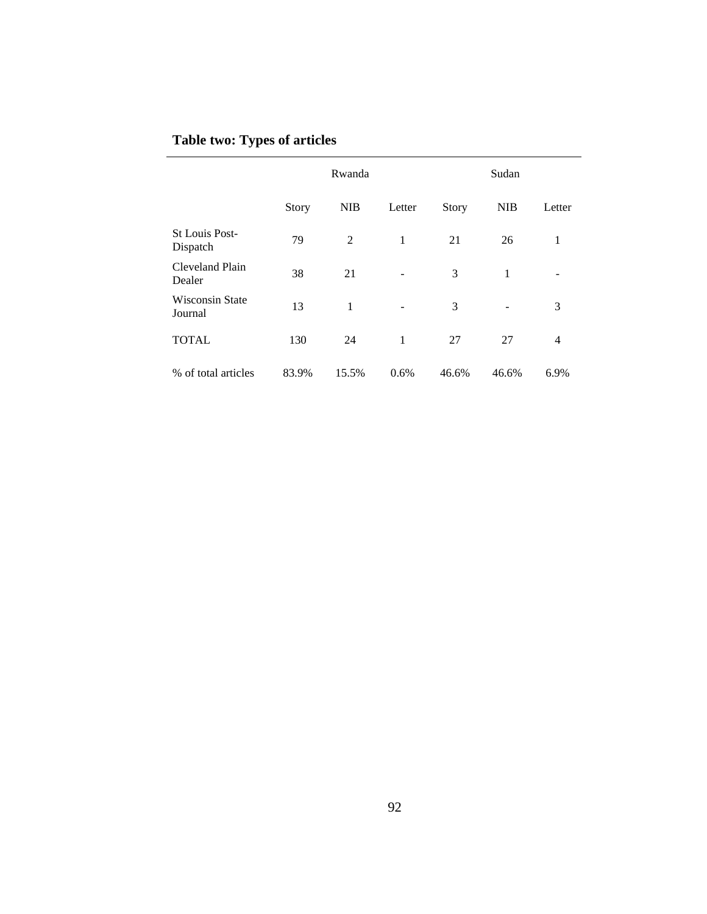|  |  | <b>Table two: Types of articles</b> |
|--|--|-------------------------------------|
|--|--|-------------------------------------|

|                                   | Rwanda |            | Sudan  |              |            |                |
|-----------------------------------|--------|------------|--------|--------------|------------|----------------|
|                                   | Story  | <b>NIB</b> | Letter | <b>Story</b> | <b>NIB</b> | Letter         |
| <b>St Louis Post-</b><br>Dispatch | 79     | 2          | 1      | 21           | 26         | 1              |
| Cleveland Plain<br>Dealer         | 38     | 21         |        | 3            | 1          |                |
| <b>Wisconsin State</b><br>Journal | 13     | 1          |        | 3            |            | 3              |
| <b>TOTAL</b>                      | 130    | 24         | 1      | 27           | 27         | $\overline{4}$ |
| % of total articles               | 83.9%  | 15.5%      | 0.6%   | 46.6%        | 46.6%      | 6.9%           |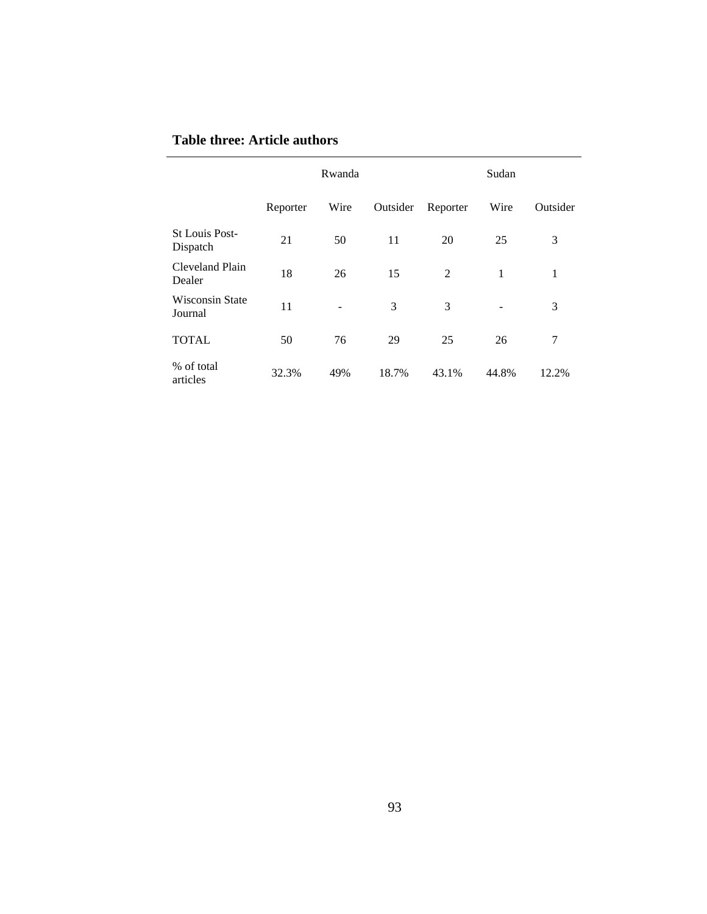## **Table three: Article authors**

|                                   | Rwanda   |      | Sudan    |                |       |          |
|-----------------------------------|----------|------|----------|----------------|-------|----------|
|                                   | Reporter | Wire | Outsider | Reporter       | Wire  | Outsider |
| <b>St Louis Post-</b><br>Dispatch | 21       | 50   | 11       | 20             | 25    | 3        |
| Cleveland Plain<br>Dealer         | 18       | 26   | 15       | $\overline{2}$ | 1     | 1        |
| <b>Wisconsin State</b><br>Journal | 11       |      | 3        | 3              |       | 3        |
| <b>TOTAL</b>                      | 50       | 76   | 29       | 25             | 26    | 7        |
| % of total<br>articles            | 32.3%    | 49%  | 18.7%    | 43.1%          | 44.8% | 12.2%    |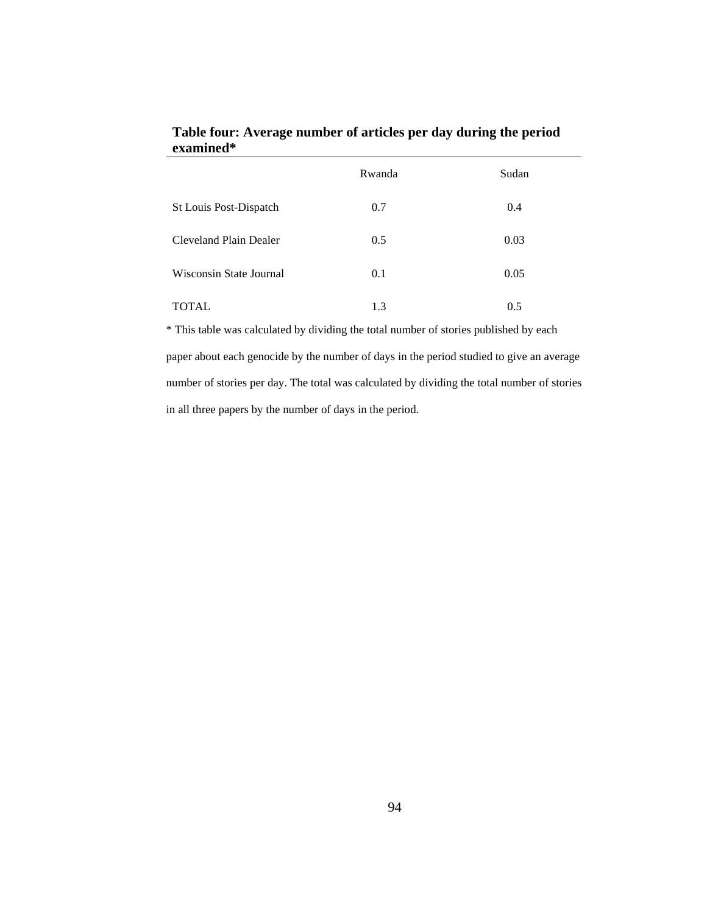|                         | Rwanda | Sudan |
|-------------------------|--------|-------|
| St Louis Post-Dispatch  | 0.7    | 0.4   |
| Cleveland Plain Dealer  | 0.5    | 0.03  |
| Wisconsin State Journal | 0.1    | 0.05  |
| TOTAL                   | 1.3    | 0.5   |

**Table four: Average number of articles per day during the period examined\*** 

\* This table was calculated by dividing the total number of stories published by each paper about each genocide by the number of days in the period studied to give an average number of stories per day. The total was calculated by dividing the total number of stories in all three papers by the number of days in the period.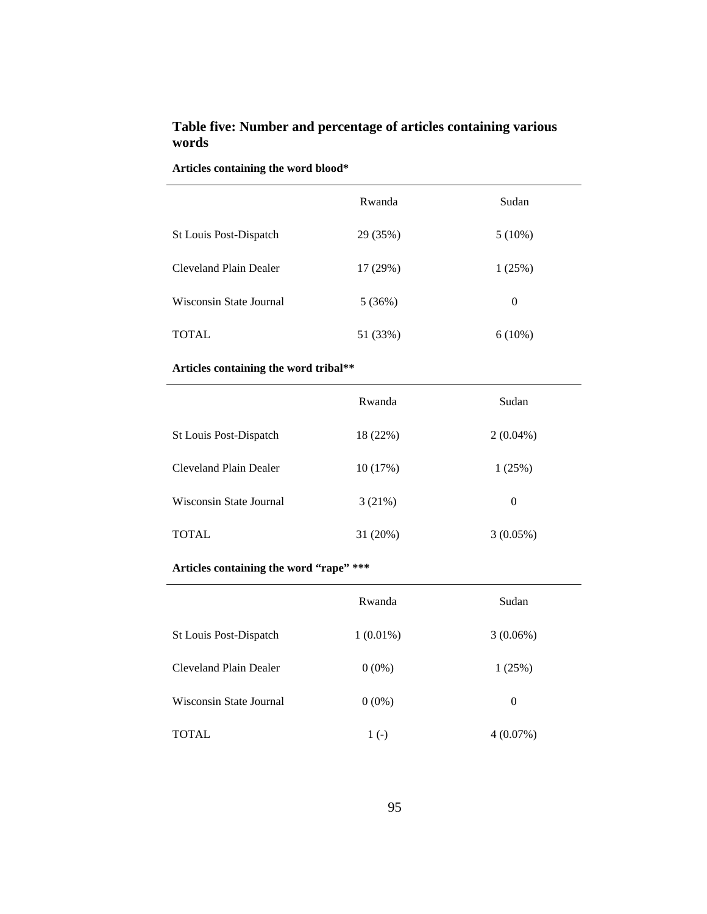## **Table five: Number and percentage of articles containing various words**

|                         | Rwanda   | Sudan     |
|-------------------------|----------|-----------|
| St Louis Post-Dispatch  | 29 (35%) | $5(10\%)$ |
| Cleveland Plain Dealer  | 17 (29%) | 1(25%)    |
| Wisconsin State Journal | 5(36%)   | $\Omega$  |
| TOTAL                   | 51 (33%) | $6(10\%)$ |

### **Articles containing the word tribal\*\***

|                         | Rwanda   | Sudan       |
|-------------------------|----------|-------------|
| St Louis Post-Dispatch  | 18 (22%) | $2(0.04\%)$ |
| Cleveland Plain Dealer  | 10(17%)  | 1(25%)      |
| Wisconsin State Journal | 3(21%)   | $\theta$    |
| <b>TOTAL</b>            | 31 (20%) | $3(0.05\%)$ |

**Articles containing the word "rape" \*\*\*** 

|                         | Rwanda      | Sudan       |
|-------------------------|-------------|-------------|
| St Louis Post-Dispatch  | $1(0.01\%)$ | 3(0.06%)    |
| Cleveland Plain Dealer  | $0(0\%)$    | 1(25%)      |
| Wisconsin State Journal | $0(0\%)$    | 0           |
| TOTAL                   | $1(-)$      | $4(0.07\%)$ |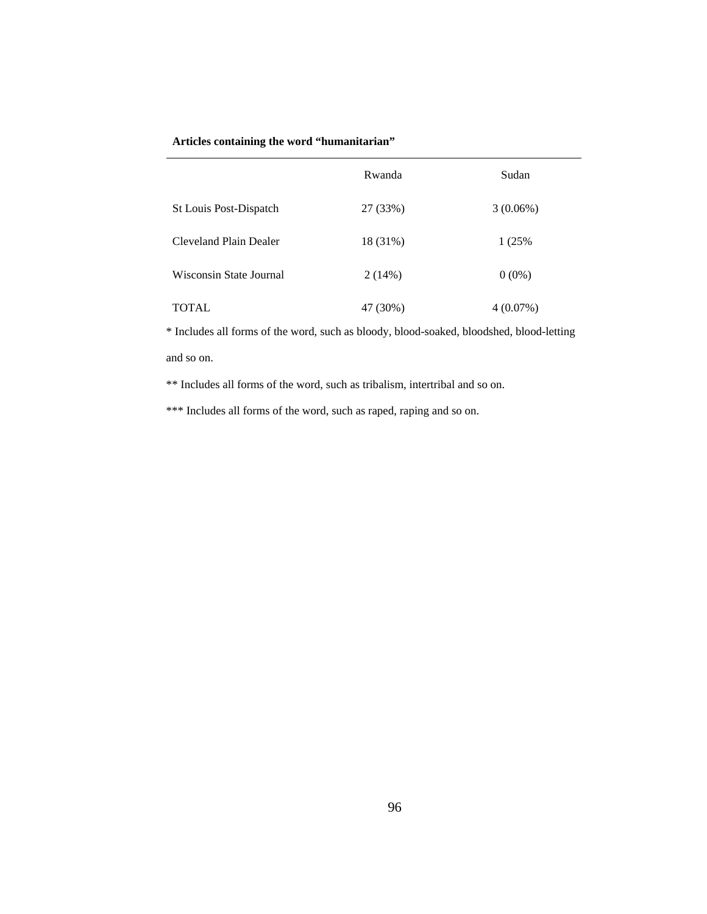#### **Articles containing the word "humanitarian"**

|                         | Rwanda   | Sudan       |
|-------------------------|----------|-------------|
| St Louis Post-Dispatch  | 27 (33%) | 3(0.06%)    |
| Cleveland Plain Dealer  | 18 (31%) | 1 (25%)     |
| Wisconsin State Journal | 2(14%)   | $0(0\%)$    |
| <b>TOTAL</b>            | 47 (30%) | $4(0.07\%)$ |

\* Includes all forms of the word, such as bloody, blood-soaked, bloodshed, blood-letting and so on.

\*\* Includes all forms of the word, such as tribalism, intertribal and so on.

\*\*\* Includes all forms of the word, such as raped, raping and so on.